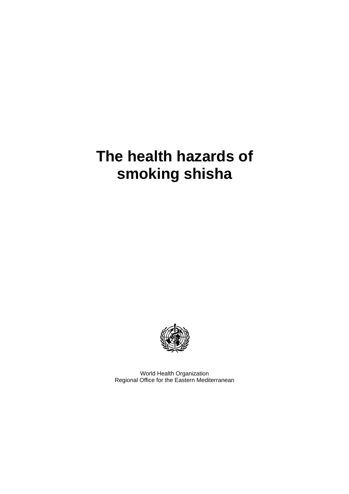# **The health hazards of smoking shisha**



World Health Organization Regional Office for the Eastern Mediterranean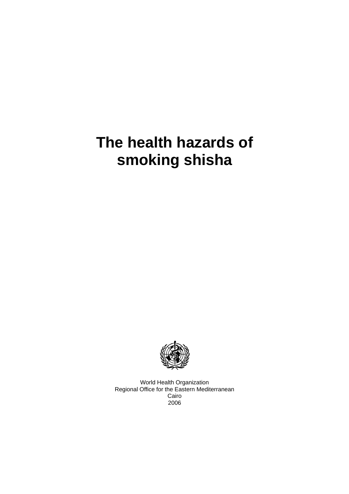# **The health hazards of smoking shisha**



World Health Organization Regional Office for the Eastern Mediterranean Cairo 2006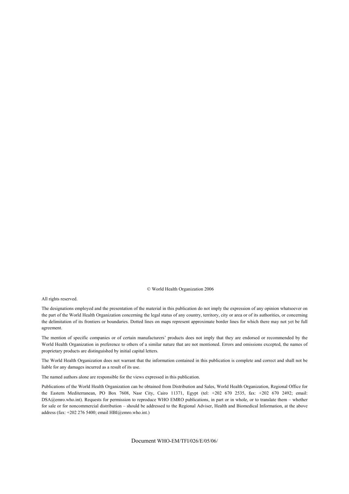© World Health Organization 2006

All rights reserved.

The designations employed and the presentation of the material in this publication do not imply the expression of any opinion whatsoever on the part of the World Health Organization concerning the legal status of any country, territory, city or area or of its authorities, or concerning the delimitation of its frontiers or boundaries. Dotted lines on maps represent approximate border lines for which there may not yet be full agreement.

The mention of specific companies or of certain manufacturers' products does not imply that they are endorsed or recommended by the World Health Organization in preference to others of a similar nature that are not mentioned. Errors and omissions excepted, the names of proprietary products are distinguished by initial capital letters.

The World Health Organization does not warrant that the information contained in this publication is complete and correct and shall not be liable for any damages incurred as a result of its use.

The named authors alone are responsible for the views expressed in this publication.

Publications of the World Health Organization can be obtained from Distribution and Sales, World Health Organization, Regional Office for the Eastern Mediterranean, PO Box 7608, Nasr City, Cairo 11371, Egypt (tel: +202 670 2535, fax: +202 670 2492; email: DSA@emro.who.int). Requests for permission to reproduce WHO EMRO publications, in part or in whole, or to translate them – whether for sale or for noncommercial distribution – should be addressed to the Regional Adviser, Health and Biomedical Information, at the above address (fax:  $+2022765400$ ; email HBI@emro.who.int.)

Document WHO-EM/TFI/026/E/05/06/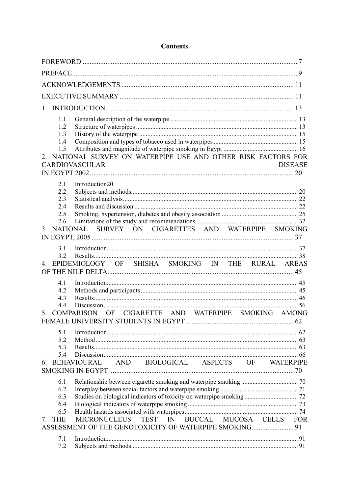| $1_{-}$                                                                                                                                                                                                            |  |
|--------------------------------------------------------------------------------------------------------------------------------------------------------------------------------------------------------------------|--|
| 1.1<br>1.2<br>1.3<br>1.4<br>1.5<br>NATIONAL SURVEY ON WATERPIPE USE AND OTHER RISK FACTORS FOR<br>$2^{\circ}$<br><b>CARDIOVASCULAR</b><br><b>DISEASE</b>                                                           |  |
| 2.1<br>Introduction20<br>2.2<br>2.3<br>2.4<br>2.5<br>2.6<br>NATIONAL SURVEY ON CIGARETTES AND WATERPIPE SMOKING<br>3                                                                                               |  |
| 3.1<br>3.2<br>EPIDEMIOLOGY OF SHISHA SMOKING IN THE RURAL AREAS                                                                                                                                                    |  |
| 4.1<br>4.2<br>4.3<br>44<br>COMPARISON OF CIGARETTE AND WATERPIPE SMOKING AMONG<br>5.                                                                                                                               |  |
| 5.1<br>5.2<br>5.3<br>5.4<br>AND BIOLOGICAL ASPECTS OF WATERPIPE<br><b>BEHAVIOURAL</b><br>6.                                                                                                                        |  |
| 6.1<br>6.2<br>6.3<br>6.4<br>6.5<br>BUCCAL MUCOSA CELLS FOR<br><b>MICRONUCLEUS</b><br><b>TEST</b><br>IN<br><b>THE</b><br>$7_{\scriptscriptstyle{\ddots}}$<br>ASSESSMENT OF THE GENOTOXICITY OF WATERPIPE SMOKING 91 |  |
| 7.1<br>7.2                                                                                                                                                                                                         |  |

# **Contents**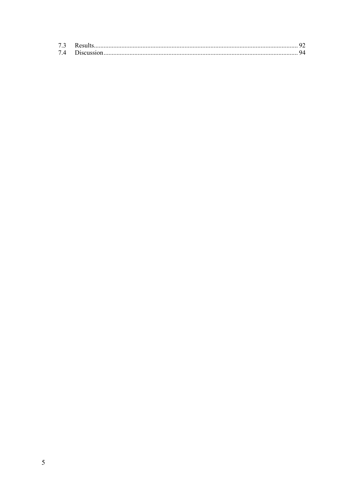| 73 |  |
|----|--|
|    |  |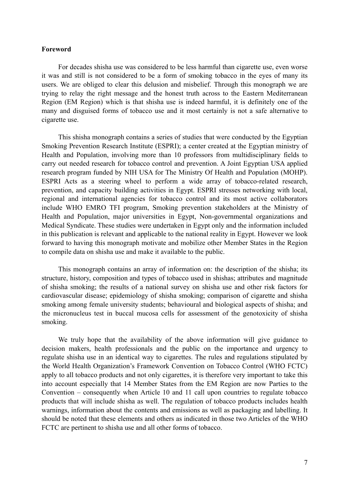#### **Foreword**

For decades shisha use was considered to be less harmful than cigarette use, even worse it was and still is not considered to be a form of smoking tobacco in the eyes of many its users. We are obliged to clear this delusion and misbelief. Through this monograph we are trying to relay the right message and the honest truth across to the Eastern Mediterranean Region (EM Region) which is that shisha use is indeed harmful, it is definitely one of the many and disguised forms of tobacco use and it most certainly is not a safe alternative to cigarette use.

This shisha monograph contains a series of studies that were conducted by the Egyptian Smoking Prevention Research Institute (ESPRI); a center created at the Egyptian ministry of Health and Population, involving more than 10 professors from multidisciplinary fields to carry out needed research for tobacco control and prevention. A Joint Egyptian USA applied research program funded by NIH USA for The Ministry Of Health and Population (MOHP). ESPRI Acts as a steering wheel to perform a wide array of tobacco-related research, prevention, and capacity building activities in Egypt. ESPRI stresses networking with local, regional and international agencies for tobacco control and its most active collaborators include WHO EMRO TFI program, Smoking prevention stakeholders at the Ministry of Health and Population, major universities in Egypt, Non-governmental organizations and Medical Syndicate. These studies were undertaken in Egypt only and the information included in this publication is relevant and applicable to the national reality in Egypt. However we look forward to having this monograph motivate and mobilize other Member States in the Region to compile data on shisha use and make it available to the public.

This monograph contains an array of information on: the description of the shisha; its structure, history, composition and types of tobacco used in shishas; attributes and magnitude of shisha smoking; the results of a national survey on shisha use and other risk factors for cardiovascular disease; epidemiology of shisha smoking; comparison of cigarette and shisha smoking among female university students; behavioural and biological aspects of shisha; and the micronucleus test in buccal mucosa cells for assessment of the genotoxicity of shisha smoking.

We truly hope that the availability of the above information will give guidance to decision makers, health professionals and the public on the importance and urgency to regulate shisha use in an identical way to cigarettes. The rules and regulations stipulated by the World Health Organization's Framework Convention on Tobacco Control (WHO FCTC) apply to all tobacco products and not only cigarettes, it is therefore very important to take this into account especially that 14 Member States from the EM Region are now Parties to the Convention – consequently when Article 10 and 11 call upon countries to regulate tobacco products that will include shisha as well. The regulation of tobacco products includes health warnings, information about the contents and emissions as well as packaging and labelling. It should be noted that these elements and others as indicated in those two Articles of the WHO FCTC are pertinent to shisha use and all other forms of tobacco.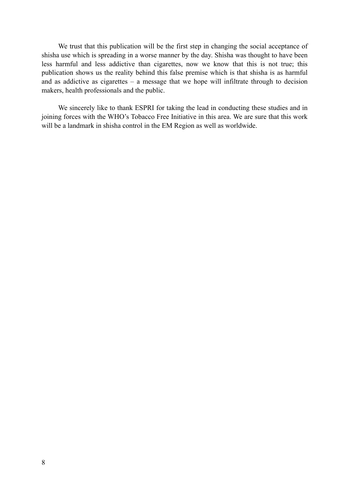We trust that this publication will be the first step in changing the social acceptance of shisha use which is spreading in a worse manner by the day. Shisha was thought to have been less harmful and less addictive than cigarettes, now we know that this is not true; this publication shows us the reality behind this false premise which is that shisha is as harmful and as addictive as cigarettes – a message that we hope will infiltrate through to decision makers, health professionals and the public.

We sincerely like to thank ESPRI for taking the lead in conducting these studies and in joining forces with the WHO's Tobacco Free Initiative in this area. We are sure that this work will be a landmark in shisha control in the EM Region as well as worldwide.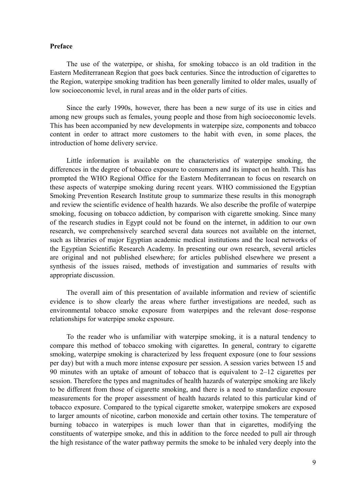#### **Preface**

The use of the waterpipe, or shisha, for smoking tobacco is an old tradition in the Eastern Mediterranean Region that goes back centuries. Since the introduction of cigarettes to the Region, waterpipe smoking tradition has been generally limited to older males, usually of low socioeconomic level, in rural areas and in the older parts of cities.

Since the early 1990s, however, there has been a new surge of its use in cities and among new groups such as females, young people and those from high socioeconomic levels. This has been accompanied by new developments in waterpipe size, components and tobacco content in order to attract more customers to the habit with even, in some places, the introduction of home delivery service.

Little information is available on the characteristics of waterpipe smoking, the differences in the degree of tobacco exposure to consumers and its impact on health. This has prompted the WHO Regional Office for the Eastern Mediterranean to focus on research on these aspects of waterpipe smoking during recent years. WHO commissioned the Egyptian Smoking Prevention Research Institute group to summarize these results in this monograph and review the scientific evidence of health hazards. We also describe the profile of waterpipe smoking, focusing on tobacco addiction, by comparison with cigarette smoking. Since many of the research studies in Egypt could not be found on the internet, in addition to our own research, we comprehensively searched several data sources not available on the internet, such as libraries of major Egyptian academic medical institutions and the local networks of the Egyptian Scientific Research Academy. In presenting our own research, several articles are original and not published elsewhere; for articles published elsewhere we present a synthesis of the issues raised, methods of investigation and summaries of results with appropriate discussion.

The overall aim of this presentation of available information and review of scientific evidence is to show clearly the areas where further investigations are needed, such as environmental tobacco smoke exposure from waterpipes and the relevant dose–response relationships for waterpipe smoke exposure.

To the reader who is unfamiliar with waterpipe smoking, it is a natural tendency to compare this method of tobacco smoking with cigarettes. In general, contrary to cigarette smoking, waterpipe smoking is characterized by less frequent exposure (one to four sessions per day) but with a much more intense exposure per session. A session varies between 15 and 90 minutes with an uptake of amount of tobacco that is equivalent to 2–12 cigarettes per session. Therefore the types and magnitudes of health hazards of waterpipe smoking are likely to be different from those of cigarette smoking, and there is a need to standardize exposure measurements for the proper assessment of health hazards related to this particular kind of tobacco exposure. Compared to the typical cigarette smoker, waterpipe smokers are exposed to larger amounts of nicotine, carbon monoxide and certain other toxins. The temperature of burning tobacco in waterpipes is much lower than that in cigarettes, modifying the constituents of waterpipe smoke, and this in addition to the force needed to pull air through the high resistance of the water pathway permits the smoke to be inhaled very deeply into the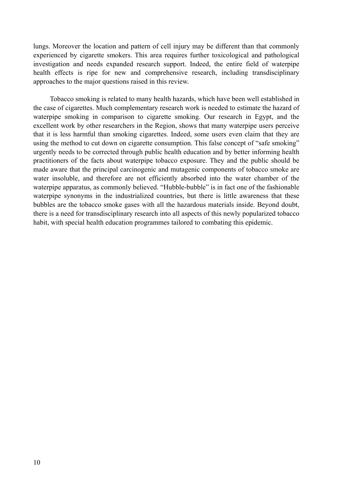lungs. Moreover the location and pattern of cell injury may be different than that commonly experienced by cigarette smokers. This area requires further toxicological and pathological investigation and needs expanded research support. Indeed, the entire field of waterpipe health effects is ripe for new and comprehensive research, including transdisciplinary approaches to the major questions raised in this review.

Tobacco smoking is related to many health hazards, which have been well established in the case of cigarettes. Much complementary research work is needed to estimate the hazard of waterpipe smoking in comparison to cigarette smoking. Our research in Egypt, and the excellent work by other researchers in the Region, shows that many waterpipe users perceive that it is less harmful than smoking cigarettes. Indeed, some users even claim that they are using the method to cut down on cigarette consumption. This false concept of "safe smoking" urgently needs to be corrected through public health education and by better informing health practitioners of the facts about waterpipe tobacco exposure. They and the public should be made aware that the principal carcinogenic and mutagenic components of tobacco smoke are water insoluble, and therefore are not efficiently absorbed into the water chamber of the waterpipe apparatus, as commonly believed. "Hubble-bubble" is in fact one of the fashionable waterpipe synonyms in the industrialized countries, but there is little awareness that these bubbles are the tobacco smoke gases with all the hazardous materials inside. Beyond doubt, there is a need for transdisciplinary research into all aspects of this newly popularized tobacco habit, with special health education programmes tailored to combating this epidemic.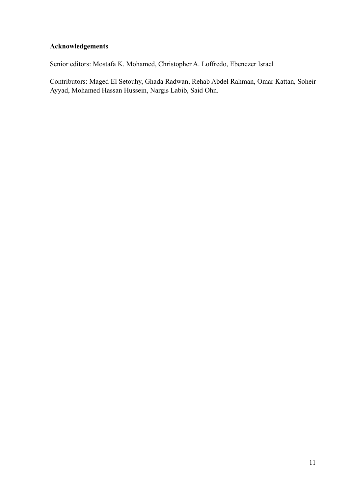# **Acknowledgements**

Senior editors: Mostafa K. Mohamed, Christopher A. Loffredo, Ebenezer Israel

Contributors: Maged El Setouhy, Ghada Radwan, Rehab Abdel Rahman, Omar Kattan, Soheir Ayyad, Mohamed Hassan Hussein, Nargis Labib, Said Ohn.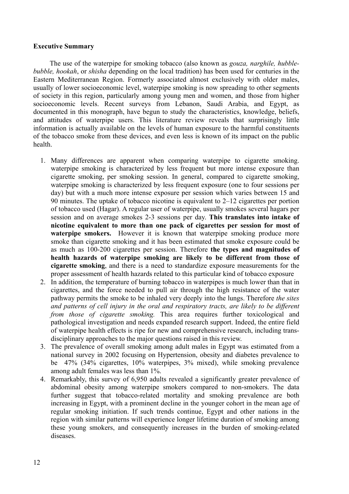#### **Executive Summary**

The use of the waterpipe for smoking tobacco (also known as *gouza, narghile, hubblebubble, hookah*, or *shisha* depending on the local tradition) has been used for centuries in the Eastern Mediterranean Region. Formerly associated almost exclusively with older males, usually of lower socioeconomic level, waterpipe smoking is now spreading to other segments of society in this region, particularly among young men and women, and those from higher socioeconomic levels. Recent surveys from Lebanon, Saudi Arabia, and Egypt, as documented in this monograph, have begun to study the characteristics, knowledge, beliefs, and attitudes of waterpipe users. This literature review reveals that surprisingly little information is actually available on the levels of human exposure to the harmful constituents of the tobacco smoke from these devices, and even less is known of its impact on the public health.

- 1. Many differences are apparent when comparing waterpipe to cigarette smoking. waterpipe smoking is characterized by less frequent but more intense exposure than cigarette smoking, per smoking session. In general, compared to cigarette smoking, waterpipe smoking is characterized by less frequent exposure (one to four sessions per day) but with a much more intense exposure per session which varies between 15 and 90 minutes. The uptake of tobacco nicotine is equivalent to 2–12 cigarettes per portion of tobacco used (Hagar). A regular user of waterpipe, usually smokes several hagars per session and on average smokes 2-3 sessions per day. **This translates into intake of nicotine equivalent to more than one pack of cigarettes per session for most of waterpipe smokers.** However it is known that waterpipe smoking produce more smoke than cigarette smoking and it has been estimated that smoke exposure could be as much as 100-200 cigarettes per session. Therefore **the types and magnitudes of health hazards of waterpipe smoking are likely to be different from those of cigarette smoking**, and there is a need to standardize exposure measurements for the proper assessment of health hazards related to this particular kind of tobacco exposure
- 2. In addition, the temperature of burning tobacco in waterpipes is much lower than that in cigarettes, and the force needed to pull air through the high resistance of the water pathway permits the smoke to be inhaled very deeply into the lungs. Therefore *the sites and patterns of cell injury in the oral and respiratory tracts, are likely to be different from those of cigarette smoking.* This area requires further toxicological and pathological investigation and needs expanded research support. Indeed, the entire field of waterpipe health effects is ripe for new and comprehensive research, including transdisciplinary approaches to the major questions raised in this review.
- 3. The prevalence of overall smoking among adult males in Egypt was estimated from a national survey in 2002 focusing on Hypertension, obesity and diabetes prevalence to be 47% (34% cigarettes, 10% waterpipes, 3% mixed), while smoking prevalence among adult females was less than 1%.
- 4. Remarkably, this survey of 6,950 adults revealed a significantly greater prevalence of abdominal obesity among waterpipe smokers compared to non-smokers. The data further suggest that tobacco-related mortality and smoking prevalence are both increasing in Egypt, with a prominent decline in the younger cohort in the mean age of regular smoking initiation. If such trends continue, Egypt and other nations in the region with similar patterns will experience longer lifetime duration of smoking among these young smokers, and consequently increases in the burden of smoking-related diseases.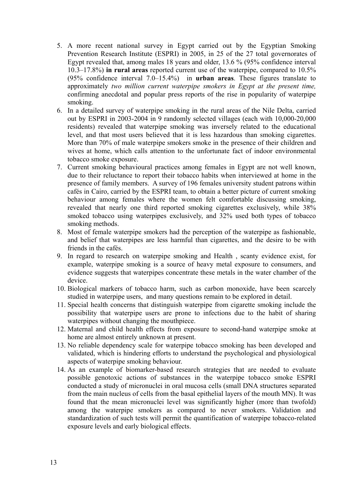- 5. A more recent national survey in Egypt carried out by the Egyptian Smoking Prevention Research Institute (ESPRI) in 2005, in 25 of the 27 total governorates of Egypt revealed that, among males 18 years and older, 13.6 % (95% confidence interval 10.3–17.8%) **in rural areas** reported current use of the waterpipe, compared to 10.5% (95% confidence interval 7.0–15.4%) in **urban areas**. These figures translate to approximately *two million current waterpipe smokers in Egypt at the present time,* confirming anecdotal and popular press reports of the rise in popularity of waterpipe smoking.
- 6. In a detailed survey of waterpipe smoking in the rural areas of the Nile Delta, carried out by ESPRI in 2003-2004 in 9 randomly selected villages (each with 10,000-20,000 residents) revealed that waterpipe smoking was inversely related to the educational level, and that most users believed that it is less hazardous than smoking cigarettes. More than 70% of male waterpipe smokers smoke in the presence of their children and wives at home, which calls attention to the unfortunate fact of indoor environmental tobacco smoke exposure.
- 7. Current smoking behavioural practices among females in Egypt are not well known, due to their reluctance to report their tobacco habits when interviewed at home in the presence of family members. A survey of 196 females university student patrons within cafés in Cairo, carried by the ESPRI team, to obtain a better picture of current smoking behaviour among females where the women felt comfortable discussing smoking, revealed that nearly one third reported smoking cigarettes exclusively, while 38% smoked tobacco using waterpipes exclusively, and 32% used both types of tobacco smoking methods.
- 8. Most of female waterpipe smokers had the perception of the waterpipe as fashionable, and belief that waterpipes are less harmful than cigarettes, and the desire to be with friends in the cafés.
- 9. In regard to research on waterpipe smoking and Health , scanty evidence exist, for example, waterpipe smoking is a source of heavy metal exposure to consumers, and evidence suggests that waterpipes concentrate these metals in the water chamber of the device.
- 10. Biological markers of tobacco harm, such as carbon monoxide, have been scarcely studied in waterpipe users, and many questions remain to be explored in detail.
- 11. Special health concerns that distinguish waterpipe from cigarette smoking include the possibility that waterpipe users are prone to infections due to the habit of sharing waterpipes without changing the mouthpiece.
- 12. Maternal and child health effects from exposure to second-hand waterpipe smoke at home are almost entirely unknown at present.
- 13. No reliable dependency scale for waterpipe tobacco smoking has been developed and validated, which is hindering efforts to understand the psychological and physiological aspects of waterpipe smoking behaviour.
- 14. As an example of biomarker-based research strategies that are needed to evaluate possible genotoxic actions of substances in the waterpipe tobacco smoke ESPRI conducted a study of micronuclei in oral mucosa cells (small DNA structures separated from the main nucleus of cells from the basal epithelial layers of the mouth MN). It was found that the mean micronuclei level was significantly higher (more than twofold) among the waterpipe smokers as compared to never smokers. Validation and standardization of such tests will permit the quantification of waterpipe tobacco-related exposure levels and early biological effects.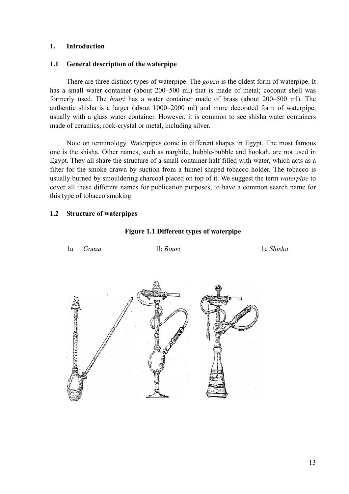#### **1. Introduction**

#### **1.1 General description of the waterpipe**

There are three distinct types of waterpipe. The *gouza* is the oldest form of waterpipe. It has a small water container (about 200–500 ml) that is made of metal; coconut shell was formerly used. The *bouri* has a water container made of brass (about 200–500 ml). The authentic shisha is a larger (about 1000–2000 ml) and more decorated form of waterpipe, usually with a glass water container. However, it is common to see shisha water containers made of ceramics, rock-crystal or metal, including silver.

Note on terminology. Waterpipes come in different shapes in Egypt. The most famous one is the shisha. Other names, such as narghile, hubble-bubble and hookah, are not used in Egypt. They all share the structure of a small container half filled with water, which acts as a filter for the smoke drawn by suction from a funnel-shaped tobacco holder. The tobacco is usually burned by smouldering charcoal placed on top of it. We suggest the term *waterpipe* to cover all these different names for publication purposes, to have a common search name for this type of tobacco smoking

#### **1.2 Structure of waterpipes**

#### **Figure 1.1 Different types of waterpipe**

| 1a                           | Gouza | $1\mathrm{b}$ Bouri | 1c Shisha |
|------------------------------|-------|---------------------|-----------|
| <b>REGISTERED</b><br>ilijii. |       |                     |           |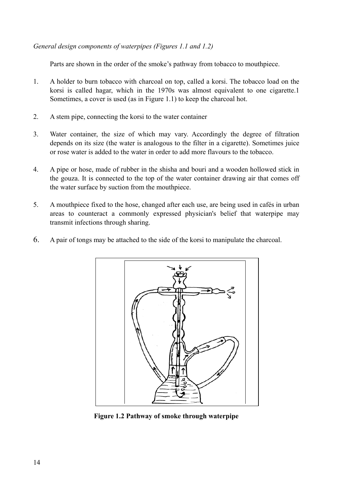*General design components of waterpipes (Figures 1.1 and 1.2)* 

Parts are shown in the order of the smoke's pathway from tobacco to mouthpiece.

- 1. A holder to burn tobacco with charcoal on top, called a korsi. The tobacco load on the korsi is called hagar, which in the 1970s was almost equivalent to one cigarette.1 Sometimes, a cover is used (as in Figure 1.1) to keep the charcoal hot.
- 2. A stem pipe, connecting the korsi to the water container
- 3. Water container, the size of which may vary. Accordingly the degree of filtration depends on its size (the water is analogous to the filter in a cigarette). Sometimes juice or rose water is added to the water in order to add more flavours to the tobacco.
- 4. A pipe or hose, made of rubber in the shisha and bouri and a wooden hollowed stick in the gouza. It is connected to the top of the water container drawing air that comes off the water surface by suction from the mouthpiece.
- 5. A mouthpiece fixed to the hose, changed after each use, are being used in cafés in urban areas to counteract a commonly expressed physician's belief that waterpipe may transmit infections through sharing.
- 6. A pair of tongs may be attached to the side of the korsi to manipulate the charcoal.



**Figure 1.2 Pathway of smoke through waterpipe**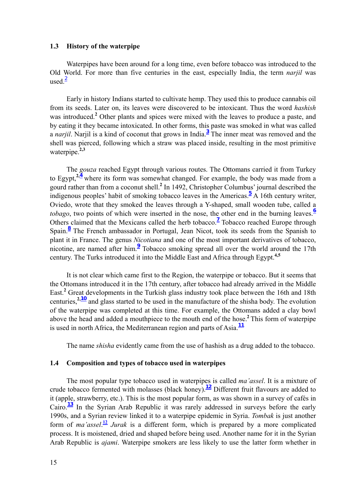#### **1.3 History of the waterpipe**

Waterpipes have been around for a long time, even before tobacco was introduced to the Old World. For more than five centuries in the east, especially India, the term *narjil* was used $\frac{2}{ }$ 

Early in history Indians started to cultivate hemp. They used this to produce cannabis oil from its seeds. Later on, its leaves were discovered to be intoxicant. Thus the word *hashish* was introduced.**<sup>2</sup>** Other plants and spices were mixed with the leaves to produce a paste, and by eating it they became intoxicated. In other forms, this paste was smoked in what was called a *narjil*. Narjil is a kind of coconut that grows in India.**<sup>3</sup>** The inner meat was removed and the shell was pierced, following which a straw was placed inside, resulting in the most primitive waterpipe.**2,3**

The *gouza* reached Egypt through various routes. The Ottomans carried it from Turkey to Egypt,**2,<sup>4</sup>** where its form was somewhat changed. For example, the body was made from a gourd rather than from a coconut shell.**<sup>2</sup>** In 1492, Christopher Columbus' journal described the indigenous peoples' habit of smoking tobacco leaves in the Americas.**<sup>5</sup>** A 16th century writer, Oviedo, wrote that they smoked the leaves through a Y-shaped, small wooden tube, called a *tobago*, two points of which were inserted in the nose, the other end in the burning leaves.**<sup>6</sup>** Others claimed that the Mexicans called the herb tobacco.<sup>7</sup> Tobacco reached Europe through Spain.<sup>8</sup> The French ambassador in Portugal, Jean Nicot, took its seeds from the Spanish to plant it in France. The genus *Nicotiana* and one of the most important derivatives of tobacco, nicotine, are named after him.**<sup>9</sup>** Tobacco smoking spread all over the world around the 17th century. The Turks introduced it into the Middle East and Africa through Egypt.**4,5**

It is not clear which came first to the Region, the waterpipe or tobacco. But it seems that the Ottomans introduced it in the 17th century, after tobacco had already arrived in the Middle East.<sup>2</sup> Great developments in the Turkish glass industry took place between the 16th and 18th centuries,**2,<sup>10</sup>** and glass started to be used in the manufacture of the shisha body. The evolution of the waterpipe was completed at this time. For example, the Ottomans added a clay bowl above the head and added a mouthpiece to the mouth end of the hose.**<sup>2</sup>**This form of waterpipe is used in north Africa, the Mediterranean region and parts of Asia.**<sup>11</sup>**

The name *shisha* evidently came from the use of hashish as a drug added to the tobacco.

#### **1.4 Composition and types of tobacco used in waterpipes**

The most popular type tobacco used in waterpipes is called *ma'assel*. It is a mixture of crude tobacco fermented with molasses (black honey).**12** Different fruit flavours are added to it (apple, strawberry, etc.). This is the most popular form, as was shown in a survey of cafés in Cairo.**13** In the Syrian Arab Republic it was rarely addressed in surveys before the early 1990s, and a Syrian review linked it to a waterpipe epidemic in Syria. *Tombak* is just another form of *ma'assel*.<sup>12</sup> *Jurak* is a different form, which is prepared by a more complicated process. It is moistened, dried and shaped before being used. Another name for it in the Syrian Arab Republic is *ajami*. Waterpipe smokers are less likely to use the latter form whether in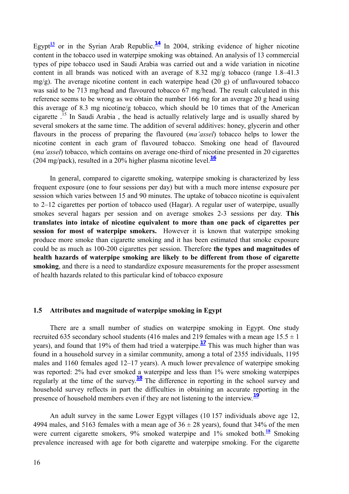Egypt<sup>13</sup> or in the Syrian Arab Republic.<sup>14</sup> In 2004, striking evidence of higher nicotine content in the tobacco used in waterpipe smoking was obtained. An analysis of 13 commercial types of pipe tobacco used in Saudi Arabia was carried out and a wide variation in nicotine content in all brands was noticed with an average of 8.32 mg/g tobacco (range 1.8–41.3 mg/g). The average nicotine content in each waterpipe head  $(20 \text{ g})$  of unflavoured tobacco was said to be 713 mg/head and flavoured tobacco 67 mg/head. The result calculated in this reference seems to be wrong as we obtain the number 166 mg for an average 20 g head using this average of 8.3 mg nicotine/g tobacco, which should be 10 times that of the American cigarette .15 In Saudi Arabia , the head is actually relatively large and is usually shared by several smokers at the same time. The addition of several additives: honey, glycerin and other flavours in the process of preparing the flavoured (*ma'assel*) tobacco helps to lower the nicotine content in each gram of flavoured tobacco. Smoking one head of flavoured (*ma'assel*) tobacco, which contains on average one-third of nicotine presented in 20 cigarettes (204 mg/pack), resulted in a 20% higher plasma nicotine level. $\frac{16}{16}$ 

In general, compared to cigarette smoking, waterpipe smoking is characterized by less frequent exposure (one to four sessions per day) but with a much more intense exposure per session which varies between 15 and 90 minutes. The uptake of tobacco nicotine is equivalent to 2–12 cigarettes per portion of tobacco used (Hagar). A regular user of waterpipe, usually smokes several hagars per session and on average smokes 2-3 sessions per day. **This translates into intake of nicotine equivalent to more than one pack of cigarettes per session for most of waterpipe smokers.** However it is known that waterpipe smoking produce more smoke than cigarette smoking and it has been estimated that smoke exposure could be as much as 100-200 cigarettes per session. Therefore **the types and magnitudes of health hazards of waterpipe smoking are likely to be different from those of cigarette smoking**, and there is a need to standardize exposure measurements for the proper assessment of health hazards related to this particular kind of tobacco exposure

#### **1.5 Attributes and magnitude of waterpipe smoking in Egypt**

There are a small number of studies on waterpipe smoking in Egypt. One study recruited 635 secondary school students (416 males and 219 females with a mean age  $15.5 \pm 1$ ) years), and found that 19% of them had tried a waterpipe.**17** This was much higher than was found in a household survey in a similar community, among a total of 2355 individuals, 1195 males and 1160 females aged 12–17 years). A much lower prevalence of waterpipe smoking was reported: 2% had ever smoked a waterpipe and less than 1% were smoking waterpipes regularly at the time of the survey.**18** The difference in reporting in the school survey and household survey reflects in part the difficulties in obtaining an accurate reporting in the presence of household members even if they are not listening to the interview.**<sup>19</sup>**

An adult survey in the same Lower Egypt villages (10 157 individuals above age 12, 4994 males, and 5163 females with a mean age of  $36 \pm 28$  years), found that 34% of the men were current cigarette smokers, 9% smoked waterpipe and 1% smoked both.<sup>18</sup> Smoking prevalence increased with age for both cigarette and waterpipe smoking. For the cigarette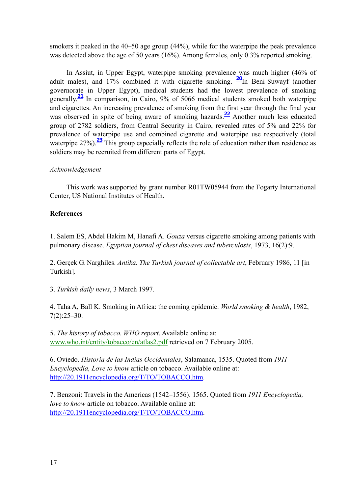smokers it peaked in the 40–50 age group (44%), while for the waterpipe the peak prevalence was detected above the age of 50 years (16%). Among females, only 0.3% reported smoking.

In Assiut, in Upper Egypt, waterpipe smoking prevalence was much higher (46% of adult males), and 17% combined it with cigarette smoking. **20**In Beni-Suwayf (another governorate in Upper Egypt), medical students had the lowest prevalence of smoking generally.**21** In comparison, in Cairo, 9% of 5066 medical students smoked both waterpipe and cigarettes. An increasing prevalence of smoking from the first year through the final year was observed in spite of being aware of smoking hazards.**22** Another much less educated group of 2782 soldiers, from Central Security in Cairo, revealed rates of 5% and 22% for prevalence of waterpipe use and combined cigarette and waterpipe use respectively (total waterpipe 27%).<sup>23</sup> This group especially reflects the role of education rather than residence as soldiers may be recruited from different parts of Egypt.

#### *Acknowledgement*

This work was supported by grant number R01TW05944 from the Fogarty International Center, US National Institutes of Health.

### **References**

1. Salem ES, Abdel Hakim M, Hanafi A. *Gouza* versus cigarette smoking among patients with pulmonary disease. *Egyptian journal of chest diseases and tuberculosis*, 1973, 16(2):9.

2. Gerçek G. Narghiles. *Antika. The Turkish journal of collectable art*, February 1986, 11 [in Turkish].

3. *Turkish daily news*, 3 March 1997.

4. Taha A, Ball K. Smoking in Africa: the coming epidemic. *World smoking & health*, 1982, 7(2):25–30.

5. *The history of tobacco. WHO report*. Available online at: www.who.int/entity/tobacco/en/atlas2.pdf retrieved on 7 February 2005.

6. Oviedo. *Historia de las Indias Occidentales*, Salamanca, 1535. Quoted from *1911 Encyclopedia, Love to know* article on tobacco. Available online at: http://20.1911encyclopedia.org/T/TO/TOBACCO.htm.

7. Benzoni: Travels in the Americas (1542–1556). 1565. Quoted from *1911 Encyclopedia, love to know* article on tobacco. Available online at: http://20.1911encyclopedia.org/T/TO/TOBACCO.htm.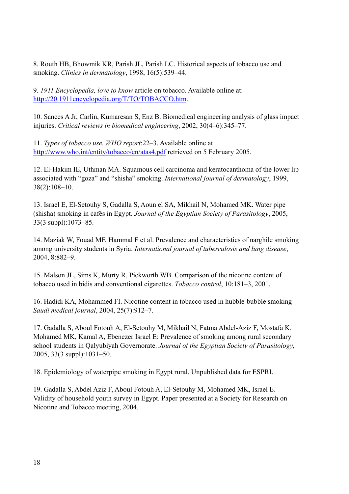8. Routh HB, Bhowmik KR, Parish JL, Parish LC. Historical aspects of tobacco use and smoking. *Clinics in dermatology*, 1998, 16(5):539–44.

9. *1911 Encyclopedia, love to know* article on tobacco. Available online at: http://20.1911encyclopedia.org/T/TO/TOBACCO.htm.

10. Sances A Jr, Carlin, Kumaresan S, Enz B. Biomedical engineering analysis of glass impact injuries. *Critical reviews in biomedical engineering*, 2002, 30(4–6):345–77.

11. *Types of tobacco use. WHO report*:22–3. Available online at http://www.who.int/entity/tobacco/en/atas4.pdf retrieved on 5 February 2005.

12. El-Hakim IE, Uthman MA. Squamous cell carcinoma and keratocanthoma of the lower lip associated with "goza" and "shisha" smoking. *International journal of dermatology*, 1999, 38(2):108–10.

13. Israel E, El-Setouhy S, Gadalla S, Aoun el SA, Mikhail N, Mohamed MK. Water pipe (shisha) smoking in cafés in Egypt. *Journal of the Egyptian Society of Parasitology*, 2005, 33(3 suppl):1073–85.

14. Maziak W, Fouad MF, Hammal F et al. Prevalence and characteristics of narghile smoking among university students in Syria. *International journal of tuberculosis and lung disease*, 2004, 8:882–9.

15. Malson JL, Sims K, Murty R, Pickworth WB. Comparison of the nicotine content of tobacco used in bidis and conventional cigarettes. *Tobacco control*, 10:181–3, 2001.

16. Hadidi KA, Mohammed FI. Nicotine content in tobacco used in hubble-bubble smoking *Saudi medical journal*, 2004, 25(7):912–7.

17. Gadalla S, Aboul Fotouh A, El-Setouhy M, Mikhail N, Fatma Abdel-Aziz F, Mostafa K. Mohamed MK, Kamal A, Ebenezer Israel E: Prevalence of smoking among rural secondary school students in Qalyubiyah Governorate. *Journal of the Egyptian Society of Parasitology*, 2005, 33(3 suppl):1031–50.

18. Epidemiology of waterpipe smoking in Egypt rural. Unpublished data for ESPRI.

19. Gadalla S, Abdel Aziz F, Aboul Fotouh A, El-Setouhy M, Mohamed MK, Israel E. Validity of household youth survey in Egypt. Paper presented at a Society for Research on Nicotine and Tobacco meeting, 2004.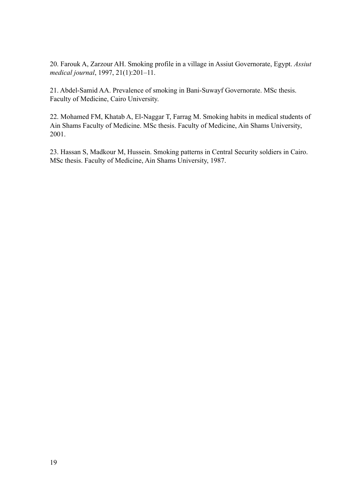20. Farouk A, Zarzour AH. Smoking profile in a village in Assiut Governorate, Egypt. *Assiut medical journal*, 1997, 21(1):201–11.

21. Abdel-Samid AA. Prevalence of smoking in Bani-Suwayf Governorate. MSc thesis. Faculty of Medicine, Cairo University.

22. Mohamed FM, Khatab A, El-Naggar T, Farrag M. Smoking habits in medical students of Ain Shams Faculty of Medicine. MSc thesis. Faculty of Medicine, Ain Shams University, 2001.

23. Hassan S, Madkour M, Hussein. Smoking patterns in Central Security soldiers in Cairo. MSc thesis. Faculty of Medicine, Ain Shams University, 1987.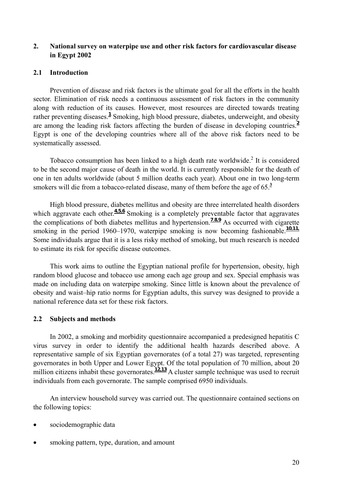# **2. National survey on waterpipe use and other risk factors for cardiovascular disease in Egypt 2002**

#### **2.1 Introduction**

Prevention of disease and risk factors is the ultimate goal for all the efforts in the health sector. Elimination of risk needs a continuous assessment of risk factors in the community along with reduction of its causes. However, most resources are directed towards treating rather preventing diseases.<sup>1</sup> Smoking, high blood pressure, diabetes, underweight, and obesity are among the leading risk factors affecting the burden of disease in developing countries.**<sup>2</sup>** Egypt is one of the developing countries where all of the above risk factors need to be systematically assessed.

Tobacco consumption has been linked to a high death rate worldwide.<sup>2</sup> It is considered to be the second major cause of death in the world. It is currently responsible for the death of one in ten adults worldwide (about 5 million deaths each year). About one in two long-term smokers will die from a tobacco-related disease, many of them before the age of 65.**<sup>3</sup>**

High blood pressure, diabetes mellitus and obesity are three interrelated health disorders which aggravate each other.<sup>4,5,6</sup> Smoking is a completely preventable factor that aggravates the complications of both diabetes mellitus and hypertension.**<sup>7</sup>**,**8,<sup>9</sup>** As occurred with cigarette smoking in the period 1960–1970, waterpipe smoking is now becoming fashionable.<sup>10,11</sup> Some individuals argue that it is a less risky method of smoking, but much research is needed to estimate its risk for specific disease outcomes.

This work aims to outline the Egyptian national profile for hypertension, obesity, high random blood glucose and tobacco use among each age group and sex. Special emphasis was made on including data on waterpipe smoking. Since little is known about the prevalence of obesity and waist–hip ratio norms for Egyptian adults, this survey was designed to provide a national reference data set for these risk factors.

#### **2.2 Subjects and methods**

In 2002, a smoking and morbidity questionnaire accompanied a predesigned hepatitis C virus survey in order to identify the additional health hazards described above. A representative sample of six Egyptian governorates (of a total 27) was targeted, representing governorates in both Upper and Lower Egypt. Of the total population of 70 million, about 20 million citizens inhabit these governorates.<sup>12,13</sup> A cluster sample technique was used to recruit individuals from each governorate. The sample comprised 6950 individuals.

An interview household survey was carried out. The questionnaire contained sections on the following topics:

- sociodemographic data
- smoking pattern, type, duration, and amount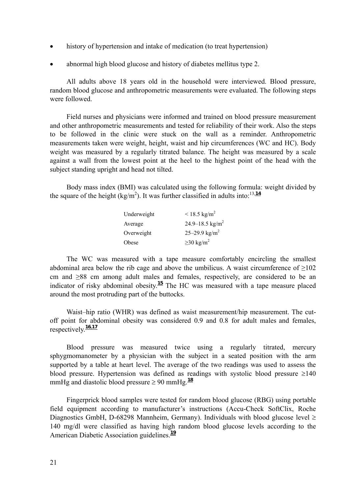- history of hypertension and intake of medication (to treat hypertension)
- abnormal high blood glucose and history of diabetes mellitus type 2.

All adults above 18 years old in the household were interviewed. Blood pressure, random blood glucose and anthropometric measurements were evaluated. The following steps were followed.

Field nurses and physicians were informed and trained on blood pressure measurement and other anthropometric measurements and tested for reliability of their work. Also the steps to be followed in the clinic were stuck on the wall as a reminder. Anthropometric measurements taken were weight, height, waist and hip circumferences (WC and HC). Body weight was measured by a regularly titrated balance. The height was measured by a scale against a wall from the lowest point at the heel to the highest point of the head with the subject standing upright and head not tilted.

Body mass index (BMI) was calculated using the following formula: weight divided by the square of the height  $(kg/m^2)$ . It was further classified in adults into:<sup>13,14</sup>

| Underweight | $< 18.5 \text{ kg/m}^2$     |
|-------------|-----------------------------|
| Average     | 24.9–18.5 kg/m <sup>2</sup> |
| Overweight  | 25–29.9 kg/m <sup>2</sup>   |
| Obese       | $\geq$ 30 kg/m <sup>2</sup> |

The WC was measured with a tape measure comfortably encircling the smallest abdominal area below the rib cage and above the umbilicus. A waist circumference of  $>102$ cm and ≥88 cm among adult males and females, respectively, are considered to be an indicator of risky abdominal obesity.**<sup>15</sup>** The HC was measured with a tape measure placed around the most protruding part of the buttocks.

Waist–hip ratio (WHR) was defined as waist measurement/hip measurement. The cutoff point for abdominal obesity was considered 0.9 and 0.8 for adult males and females, respectively.**<sup>16</sup>,<sup>17</sup>**

Blood pressure was measured twice using a regularly titrated, mercury sphygmomanometer by a physician with the subject in a seated position with the arm supported by a table at heart level. The average of the two readings was used to assess the blood pressure. Hypertension was defined as readings with systolic blood pressure ≥140 mmHg and diastolic blood pressure  $\geq 90$  mmHg.<sup>18</sup>

Fingerprick blood samples were tested for random blood glucose (RBG) using portable field equipment according to manufacturer's instructions (Accu-Check SoftClix, Roche Diagnostics GmbH, D-68298 Mannheim, Germany). Individuals with blood glucose level  $\geq$ 140 mg/dl were classified as having high random blood glucose levels according to the American Diabetic Association guidelines.**<sup>19</sup>**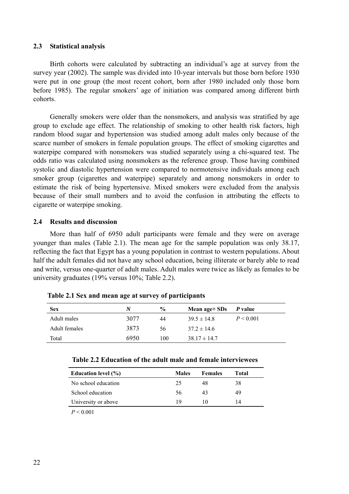#### **2.3 Statistical analysis**

Birth cohorts were calculated by subtracting an individual's age at survey from the survey year (2002). The sample was divided into 10-year intervals but those born before 1930 were put in one group (the most recent cohort, born after 1980 included only those born before 1985). The regular smokers' age of initiation was compared among different birth cohorts.

Generally smokers were older than the nonsmokers, and analysis was stratified by age group to exclude age effect. The relationship of smoking to other health risk factors, high random blood sugar and hypertension was studied among adult males only because of the scarce number of smokers in female population groups. The effect of smoking cigarettes and waterpipe compared with nonsmokers was studied separately using a chi-squared test. The odds ratio was calculated using nonsmokers as the reference group. Those having combined systolic and diastolic hypertension were compared to normotensive individuals among each smoker group (cigarettes and waterpipe) separately and among nonsmokers in order to estimate the risk of being hypertensive. Mixed smokers were excluded from the analysis because of their small numbers and to avoid the confusion in attributing the effects to cigarette or waterpipe smoking.

#### **2.4 Results and discussion**

More than half of 6950 adult participants were female and they were on average younger than males (Table 2.1). The mean age for the sample population was only 38.17, reflecting the fact that Egypt has a young population in contrast to western populations. About half the adult females did not have any school education, being illiterate or barely able to read and write, versus one-quarter of adult males. Adult males were twice as likely as females to be university graduates (19% versus 10%; Table 2.2).

| <b>Sex</b>    | N    | $\frac{6}{9}$ | Mean age+ SDs    | P value   |
|---------------|------|---------------|------------------|-----------|
| Adult males   | 3077 | 44            | $39.5 \pm 14.8$  | P < 0.001 |
| Adult females | 3873 | 56            | $37.2 \pm 14.6$  |           |
| Total         | 6950 | 100           | $38.17 \pm 14.7$ |           |

**Table 2.1 Sex and mean age at survey of participants** 

| Education level $(\% )$ | <b>Males</b> | <b>Females</b> | Total |
|-------------------------|--------------|----------------|-------|
| No school education     | 25           | 48             | 38    |
| School education        | 56           | 43             | 49    |
| University or above     | 19           | 10             | 14    |
| _ _ _ _ _               |              |                |       |

 $P < 0.001$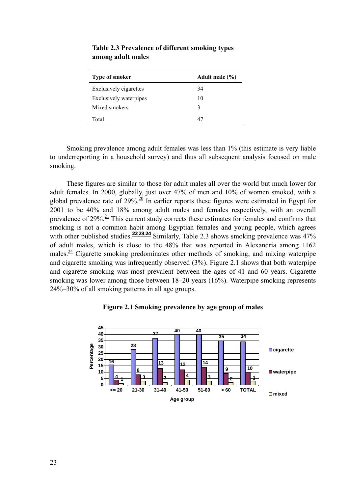| <b>Type of smoker</b>         | Adult male $(\% )$ |
|-------------------------------|--------------------|
| <b>Exclusively cigarettes</b> | 34                 |
| <b>Exclusively waterpipes</b> | 10                 |
| Mixed smokers                 | 3                  |
| Total                         | 47                 |

**Table 2.3 Prevalence of different smoking types among adult males** 

Smoking prevalence among adult females was less than 1% (this estimate is very liable to underreporting in a household survey) and thus all subsequent analysis focused on male smoking.

These figures are similar to those for adult males all over the world but much lower for adult females. In 2000, globally, just over 47% of men and 10% of women smoked, with a global prevalence rate of  $29\%$ <sup>20</sup> In earlier reports these figures were estimated in Egypt for 2001 to be 40% and 18% among adult males and females respectively, with an overall prevalence of  $29\%$ <sup>21</sup>. This current study corrects these estimates for females and confirms that smoking is not a common habit among Egyptian females and young people, which agrees with other published studies.<sup>22,23,24</sup> Similarly, Table 2.3 shows smoking prevalence was 47% of adult males, which is close to the 48% that was reported in Alexandria among 1162 males. $24$  Cigarette smoking predominates other methods of smoking, and mixing waterpipe and cigarette smoking was infrequently observed (3%). Figure 2.1 shows that both waterpipe and cigarette smoking was most prevalent between the ages of 41 and 60 years. Cigarette smoking was lower among those between 18–20 years (16%). Waterpipe smoking represents 24%–30% of all smoking patterns in all age groups.



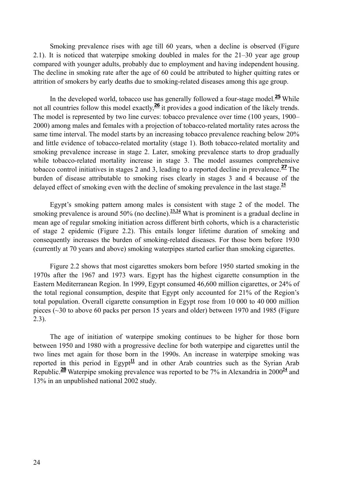Smoking prevalence rises with age till 60 years, when a decline is observed (Figure 2.1). It is noticed that waterpipe smoking doubled in males for the 21–30 year age group compared with younger adults, probably due to employment and having independent housing. The decline in smoking rate after the age of 60 could be attributed to higher quitting rates or attrition of smokers by early deaths due to smoking-related diseases among this age group.

In the developed world, tobacco use has generally followed a four-stage model.**<sup>25</sup>** While not all countries follow this model exactly, <sup>26</sup> it provides a good indication of the likely trends. The model is represented by two line curves: tobacco prevalence over time (100 years, 1900– 2000) among males and females with a projection of tobacco-related mortality rates across the same time interval. The model starts by an increasing tobacco prevalence reaching below 20% and little evidence of tobacco-related mortality (stage 1). Both tobacco-related mortality and smoking prevalence increase in stage 2. Later, smoking prevalence starts to drop gradually while tobacco-related mortality increase in stage 3. The model assumes comprehensive tobacco control initiatives in stages 2 and 3, leading to a reported decline in prevalence.**<sup>27</sup>** The burden of disease attributable to smoking rises clearly in stages 3 and 4 because of the delayed effect of smoking even with the decline of smoking prevalence in the last stage.**<sup>25</sup>**

Egypt's smoking pattern among males is consistent with stage 2 of the model. The smoking prevalence is around 50% (no decline).<sup>23,24</sup> What is prominent is a gradual decline in mean age of regular smoking initiation across different birth cohorts, which is a characteristic of stage 2 epidemic (Figure 2.2). This entails longer lifetime duration of smoking and consequently increases the burden of smoking-related diseases. For those born before 1930 (currently at 70 years and above) smoking waterpipes started earlier than smoking cigarettes.

Figure 2.2 shows that most cigarettes smokers born before 1950 started smoking in the 1970s after the 1967 and 1973 wars. Egypt has the highest cigarette consumption in the Eastern Mediterranean Region. In 1999, Egypt consumed 46,600 million cigarettes, or 24% of the total regional consumption, despite that Egypt only accounted for 21% of the Region's total population. Overall cigarette consumption in Egypt rose from 10 000 to 40 000 million pieces (~30 to above 60 packs per person 15 years and older) between 1970 and 1985 (Figure 2.3).

The age of initiation of waterpipe smoking continues to be higher for those born between 1950 and 1980 with a progressive decline for both waterpipe and cigarettes until the two lines met again for those born in the 1990s. An increase in waterpipe smoking was reported in this period in Egypt<sup> $11$ </sup> and in other Arab countries such as the Syrian Arab Republic.**<sup>28</sup>** Waterpipe smoking prevalence was reported to be 7% in Alexandria in 2000**<sup>24</sup>** and 13% in an unpublished national 2002 study.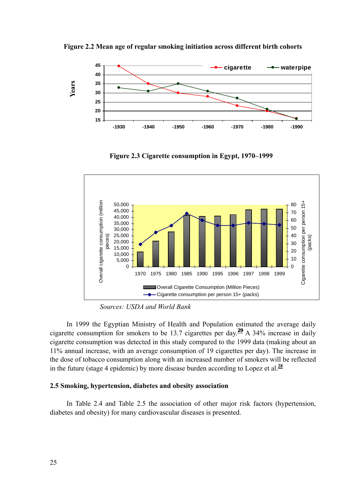

**Figure 2.2 Mean age of regular smoking initiation across different birth cohorts** 

**Figure 2.3 Cigarette consumption in Egypt, 1970–1999** 



 *Sources: USDA and World Bank*

In 1999 the Egyptian Ministry of Health and Population estimated the average daily cigarette consumption for smokers to be 13.7 cigarettes per day.**<sup>29</sup>** A 34% increase in daily cigarette consumption was detected in this study compared to the 1999 data (making about an 11% annual increase, with an average consumption of 19 cigarettes per day). The increase in the dose of tobacco consumption along with an increased number of smokers will be reflected in the future (stage 4 epidemic) by more disease burden according to Lopez et al.**<sup>28</sup>**

#### **2.5 Smoking, hypertension, diabetes and obesity association**

In Table 2.4 and Table 2.5 the association of other major risk factors (hypertension, diabetes and obesity) for many cardiovascular diseases is presented.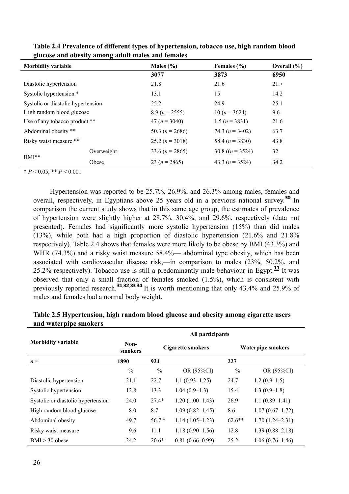| <b>Morbidity variable</b>          |            | Males $(\% )$                          | Females (%)         | Overall $(\% )$ |
|------------------------------------|------------|----------------------------------------|---------------------|-----------------|
|                                    |            | 3077                                   | 3873                | 6950            |
| Diastolic hypertension             |            | 21.8                                   | 21.6                | 21.7            |
| Systolic hypertension *            |            | 13.1                                   | 15                  | 14.2            |
| Systolic or diastolic hypertension |            | 25.2                                   | 24.9                | 25.1            |
| High random blood glucose          |            | $8.9(n=2555)$                          | 10 $(n = 3624)$     | 9.6             |
| Use of any tobacco product **      |            | $47 (n = 3040)$                        | 1.5 $(n = 3831)$    | 21.6            |
| Abdominal obesity **               |            | 50.3 $(n = 2686)$                      | 74.3 $(n = 3402)$   | 63.7            |
| Risky waist measure **             |            | 25.2 $(n = 3018)$<br>58.4 $(n = 3830)$ |                     | 43.8            |
|                                    | Overweight | 33.6 $(n = 2865)$                      | 30.8 $((n = 3524))$ | 32              |
| $BMI**$                            | Obese      | 23 ( $n = 2865$ )                      | 43.3 $(n = 3524)$   | 34.2            |

**Table 2.4 Prevalence of different types of hypertension, tobacco use, high random blood glucose and obesity among adult males and females** 

 $* P < 0.05, ** P < 0.001$ 

Hypertension was reported to be 25.7%, 26.9%, and 26.3% among males, females and overall, respectively, in Egyptians above 25 years old in a previous national survey.**<sup>30</sup>** In comparison the current study shows that in this same age group, the estimates of prevalence of hypertension were slightly higher at 28.7%, 30.4%, and 29.6%, respectively (data not presented). Females had significantly more systolic hypertension (15%) than did males (13%), while both had a high proportion of diastolic hypertension (21.6% and 21.8% respectively). Table 2.4 shows that females were more likely to be obese by BMI (43.3%) and WHR (74.3%) and a risky waist measure 58.4%— abdominal type obesity, which has been associated with cardiovascular disease risk,—in comparison to males (23%, 50.2%, and 25.2% respectively). Tobacco use is still a predominantly male behaviour in Egypt.**<sup>11</sup>** It was observed that only a small fraction of females smoked (1.5%), which is consistent with previously reported research.**<sup>31</sup>**,**32**,**33**,**<sup>34</sup>** It is worth mentioning that only 43.4% and 25.9% of males and females had a normal body weight.

|                                    | All participants |                   |                     |                   |                     |  |
|------------------------------------|------------------|-------------------|---------------------|-------------------|---------------------|--|
| <b>Morbidity variable</b>          | Non-<br>smokers  | Cigarette smokers |                     | Waterpipe smokers |                     |  |
| $\boldsymbol{n} =$                 | 1890             | 924               | 227                 |                   |                     |  |
|                                    | $\frac{0}{0}$    | $\frac{0}{0}$     | OR (95%CI)          | $\frac{0}{0}$     | OR (95%CI)          |  |
| Diastolic hypertension             | 21.1             | 22.7              | $1.1(0.93 - 1.25)$  | 24.7              | $1.2(0.9-1.5)$      |  |
| Systolic hypertension              | 12.8             | 13.3              | $1.04(0.9-1.3)$     | 15.4              | $1.3(0.9-1.8)$      |  |
| Systolic or diastolic hypertension | 24.0             | $27.4*$           | $1.20(1.00-1.43)$   | 26.9              | $1.1(0.89-1.41)$    |  |
| High random blood glucose          | 8.0              | 8.7               | $1.09(0.82 - 1.45)$ | 8.6               | $1.07(0.67-1.72)$   |  |
| Abdominal obesity                  | 49.7             | $56.7*$           | $1.14(1.05-1.23)$   | $62.6**$          | $1.70(1.24 - 2.31)$ |  |
| Risky waist measure                | 9.6              | 11.1              | $1.18(0.90-1.56)$   | 12.8              | $1.39(0.88 - 2.18)$ |  |
| $BMI > 30$ obese                   | 24.2             | $20.6*$           | $0.81(0.66 - 0.99)$ | 25.2              | $1.06(0.76-1.46)$   |  |

**Table 2.5 Hypertension, high random blood glucose and obesity among cigarette users and waterpipe smokers**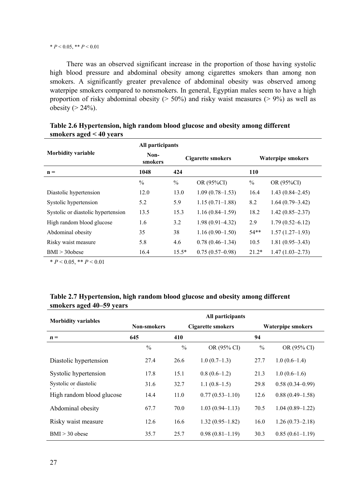#### \* *P* < 0.05, \*\* *P* < 0.01

There was an observed significant increase in the proportion of those having systolic high blood pressure and abdominal obesity among cigarettes smokers than among non smokers. A significantly greater prevalence of abdominal obesity was observed among waterpipe smokers compared to nonsmokers. In general, Egyptian males seem to have a high proportion of risky abdominal obesity ( $> 50\%$ ) and risky waist measures ( $> 9\%$ ) as well as obesity  $(> 24\%)$ .

|                                    | All participants |                          |                     |                          |                     |
|------------------------------------|------------------|--------------------------|---------------------|--------------------------|---------------------|
| <b>Morbidity variable</b>          | Non-<br>smokers  | <b>Cigarette smokers</b> |                     | <b>Waterpipe smokers</b> |                     |
| $\mathbf{n} =$                     | 1048             | 424                      |                     | <b>110</b>               |                     |
|                                    | $\frac{0}{0}$    | $\frac{0}{0}$            | OR (95%CI)          | $\frac{0}{0}$            | OR (95%CI)          |
| Diastolic hypertension             | 12.0             | 13.0                     | $1.09(0.78 - 1.53)$ | 16.4                     | $1.43(0.84 - 2.45)$ |
| Systolic hypertension              | 5.2              | 5.9                      | $1.15(0.71-1.88)$   | 8.2                      | $1.64(0.79-3.42)$   |
| Systolic or diastolic hypertension | 13.5             | 15.3                     | $1.16(0.84 - 1.59)$ | 18.2                     | $1.42(0.85 - 2.37)$ |
| High random blood glucose          | 1.6              | 3.2                      | $1.98(0.91 - 4.32)$ | 2.9                      | $1.79(0.52 - 6.12)$ |
| Abdominal obesity                  | 35               | 38                       | $1.16(0.90-1.50)$   | $54**$                   | $1.57(1.27-1.93)$   |
| Risky waist measure                | 5.8              | 4.6                      | $0.78(0.46 - 1.34)$ | 10.5                     | $1.81(0.95-3.43)$   |
| $BMI > 30$ obese                   | 16.4             | $15.5*$                  | $0.75(0.57-0.98)$   | $21.2*$                  | $1.47(1.03 - 2.73)$ |

# **Table 2.6 Hypertension, high random blood glucose and obesity among different smokers aged < 40 years**

 $* P < 0.05, ** P < 0.01$ 

### **Table 2.7 Hypertension, high random blood glucose and obesity among different smokers aged 40–59 years**

| <b>Morbidity variables</b> |                    |                          | All participants    |                          |                     |
|----------------------------|--------------------|--------------------------|---------------------|--------------------------|---------------------|
|                            | <b>Non-smokers</b> | <b>Cigarette smokers</b> |                     | <b>Waterpipe smokers</b> |                     |
| $\boldsymbol{n} =$         | 645                | 410                      | 94                  |                          |                     |
|                            | $\frac{0}{0}$      | $\frac{0}{0}$            | OR (95% CI)         | $\frac{0}{0}$            | OR (95% CI)         |
| Diastolic hypertension     | 27.4               | 26.6                     | $1.0(0.7-1.3)$      | 27.7                     | $1.0(0.6-1.4)$      |
| Systolic hypertension      | 17.8               | 15.1                     | $0.8(0.6-1.2)$      | 21.3                     | $1.0(0.6-1.6)$      |
| Systolic or diastolic      | 31.6               | 32.7                     | $1.1(0.8-1.5)$      | 29.8                     | $0.58(0.34 - 0.99)$ |
| High random blood glucose  | 14.4               | 11.0                     | $0.77(0.53 - 1.10)$ | 12.6                     | $0.88(0.49-1.58)$   |
| Abdominal obesity          | 67.7               | 70.0                     | $1.03(0.94 - 1.13)$ | 70.5                     | $1.04(0.89-1.22)$   |
| Risky waist measure        | 12.6               | 16.6                     | $1.32(0.95 - 1.82)$ | 16.0                     | $1.26(0.73 - 2.18)$ |
| $BMI > 30$ obese           | 35.7               | 25.7                     | $0.98(0.81-1.19)$   | 30.3                     | $0.85(0.61-1.19)$   |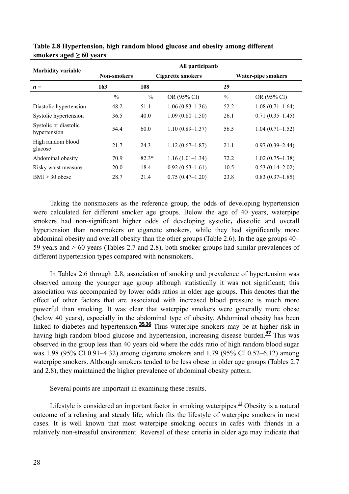| <b>Morbidity variable</b>             | All participants |                   |                     |               |                     |  |  |
|---------------------------------------|------------------|-------------------|---------------------|---------------|---------------------|--|--|
|                                       | Non-smokers      | Cigarette smokers |                     |               | Water-pipe smokers  |  |  |
| $\boldsymbol{n} =$                    | 163              | 108               |                     | 29            |                     |  |  |
|                                       | $\frac{0}{0}$    | $\%$              | OR (95% CI)         | $\frac{0}{0}$ | OR (95% CI)         |  |  |
| Diastolic hypertension                | 48.2             | 51.1              | $1.06(0.83 - 1.36)$ | 52.2          | $1.08(0.71-1.64)$   |  |  |
| Systolic hypertension                 | 36.5             | 40.0              | $1.09(0.80 - 1.50)$ | 26.1          | $0.71(0.35-1.45)$   |  |  |
| Systolic or diastolic<br>hypertension | 54.4             | 60.0              | $1.10(0.89 - 1.37)$ | 56.5          | $1.04(0.71-1.52)$   |  |  |
| High random blood<br>glucose          | 21.7             | 24.3              | $1.12(0.67-1.87)$   | 21.1          | $0.97(0.39 - 2.44)$ |  |  |
| Abdominal obesity                     | 70.9             | $82.3*$           | $1.16(1.01-1.34)$   | 72.2          | $1.02(0.75-1.38)$   |  |  |
| Risky waist measure                   | 20.0             | 18.4              | $0.92(0.53 - 1.61)$ | 10.5          | $0.53(0.14-2.02)$   |  |  |
| $BMI > 30$ obese                      | 28.7             | 21.4              | $0.75(0.47-1.20)$   | 23.8          | $0.83(0.37-1.85)$   |  |  |

**Table 2.8 Hypertension, high random blood glucose and obesity among different**  smokers aged  $\geq 60$  years

Taking the nonsmokers as the reference group, the odds of developing hypertension were calculated for different smoker age groups. Below the age of 40 years, waterpipe smokers had non-significant higher odds of developing systolic**,** diastolic and overall hypertension than nonsmokers or cigarette smokers, while they had significantly more abdominal obesity and overall obesity than the other groups (Table 2.6). In the age groups 40– 59 years and > 60 years (Tables 2.7 and 2.8), both smoker groups had similar prevalences of different hypertension types compared with nonsmokers.

In Tables 2.6 through 2.8, association of smoking and prevalence of hypertension was observed among the younger age group although statistically it was not significant; this association was accompanied by lower odds ratios in older age groups. This denotes that the effect of other factors that are associated with increased blood pressure is much more powerful than smoking. It was clear that waterpipe smokers were generally more obese (below 40 years), especially in the abdominal type of obesity. Abdominal obesity has been linked to diabetes and hypertension.<sup>35,36</sup> Thus waterpipe smokers may be at higher risk in having high random blood glucose and hypertension, increasing disease burden.**<sup>37</sup>** This was observed in the group less than 40 years old where the odds ratio of high random blood sugar was 1.98 (95% CI 0.91–4.32) among cigarette smokers and 1.79 (95% CI 0.52–6.12) among waterpipe smokers. Although smokers tended to be less obese in older age groups (Tables 2.7 and 2.8), they maintained the higher prevalence of abdominal obesity pattern.

Several points are important in examining these results.

Lifestyle is considered an important factor in smoking waterpipes.**<sup>11</sup>** Obesity is a natural outcome of a relaxing and steady life, which fits the lifestyle of waterpipe smokers in most cases. It is well known that most waterpipe smoking occurs in cafés with friends in a relatively non-stressful environment. Reversal of these criteria in older age may indicate that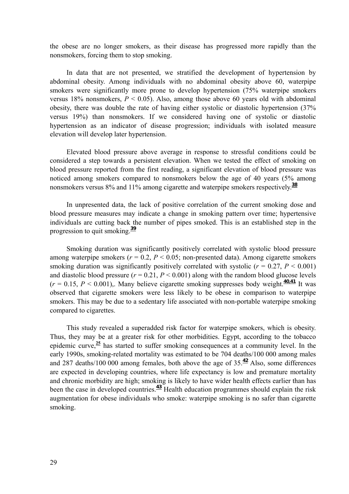the obese are no longer smokers, as their disease has progressed more rapidly than the nonsmokers, forcing them to stop smoking.

In data that are not presented, we stratified the development of hypertension by abdominal obesity. Among individuals with no abdominal obesity above 60, waterpipe smokers were significantly more prone to develop hypertension (75% waterpipe smokers versus 18% nonsmokers,  $P < 0.05$ ). Also, among those above 60 years old with abdominal obesity, there was double the rate of having either systolic or diastolic hypertension (37% versus 19%) than nonsmokers. If we considered having one of systolic or diastolic hypertension as an indicator of disease progression; individuals with isolated measure elevation will develop later hypertension.

Elevated blood pressure above average in response to stressful conditions could be considered a step towards a persistent elevation. When we tested the effect of smoking on blood pressure reported from the first reading, a significant elevation of blood pressure was noticed among smokers compared to nonsmokers below the age of 40 years (5% among nonsmokers versus 8% and 11% among cigarette and waterpipe smokers respectively.**<sup>38</sup>**

In unpresented data, the lack of positive correlation of the current smoking dose and blood pressure measures may indicate a change in smoking pattern over time; hypertensive individuals are cutting back the number of pipes smoked. This is an established step in the progression to quit smoking.**<sup>39</sup>**

Smoking duration was significantly positively correlated with systolic blood pressure among waterpipe smokers ( $r = 0.2$ ,  $P < 0.05$ ; non-presented data). Among cigarette smokers smoking duration was significantly positively correlated with systolic  $(r = 0.27, P \le 0.001)$ and diastolic blood pressure  $(r = 0.21, P \le 0.001)$  along with the random blood glucose levels  $(r = 0.15, P \le 0.001)$ ,. Many believe cigarette smoking suppresses body weight.<sup>40,41</sup> It was observed that cigarette smokers were less likely to be obese in comparison to waterpipe smokers. This may be due to a sedentary life associated with non-portable waterpipe smoking compared to cigarettes.

This study revealed a superadded risk factor for waterpipe smokers, which is obesity. Thus, they may be at a greater risk for other morbidities. Egypt, according to the tobacco epidemic curve,**<sup>25</sup>** has started to suffer smoking consequences at a community level. In the early 1990s, smoking-related mortality was estimated to be 704 deaths/100 000 among males and 287 deaths/100 000 among females, both above the age of 35.**<sup>42</sup>** Also, some differences are expected in developing countries, where life expectancy is low and premature mortality and chronic morbidity are high; smoking is likely to have wider health effects earlier than has been the case in developed countries.**<sup>43</sup>** Health education programmes should explain the risk augmentation for obese individuals who smoke: waterpipe smoking is no safer than cigarette smoking.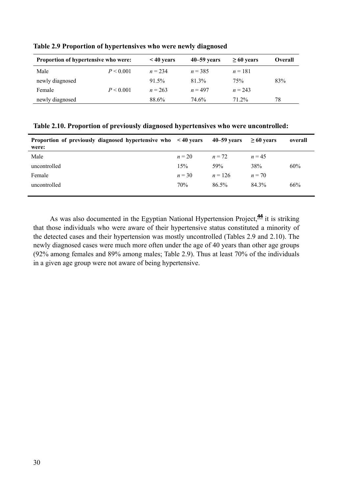| Proportion of hypertensive who were: |           | $< 40$ years | $40 - 59$ years | $\geq 60$ years | Overall |
|--------------------------------------|-----------|--------------|-----------------|-----------------|---------|
| Male                                 | P < 0.001 | $n = 234$    | $n = 385$       | $n = 181$       |         |
| newly diagnosed                      |           | $91.5\%$     | 81 3%           | 75%             | 83%     |
| Female                               | P < 0.001 | $n = 263$    | $n = 497$       | $n = 243$       |         |
| newly diagnosed                      |           | 88.6%        | 74.6%           | 71 2%           | 78      |

**Table 2.9 Proportion of hypertensives who were newly diagnosed** 

**Table 2.10. Proportion of previously diagnosed hypertensives who were uncontrolled:** 

| Proportion of previously diagnosed hypertensive who <40 years<br>were: |          | $40 - 59$ vears | $\geq 60$ vears | overall |
|------------------------------------------------------------------------|----------|-----------------|-----------------|---------|
| Male                                                                   | $n = 20$ | $n = 72$        | $n = 45$        |         |
| uncontrolled                                                           | 15%      | 59%             | 38%             | 60%     |
| Female                                                                 | $n = 30$ | $n = 126$       | $n = 70$        |         |
| uncontrolled                                                           | 70%      | 86.5%           | 84.3%           | 66%     |
|                                                                        |          |                 |                 |         |

As was also documented in the Egyptian National Hypertension Project,**<sup>44</sup>** it is striking that those individuals who were aware of their hypertensive status constituted a minority of the detected cases and their hypertension was mostly uncontrolled (Tables 2.9 and 2.10). The newly diagnosed cases were much more often under the age of 40 years than other age groups (92% among females and 89% among males; Table 2.9). Thus at least 70% of the individuals in a given age group were not aware of being hypertensive.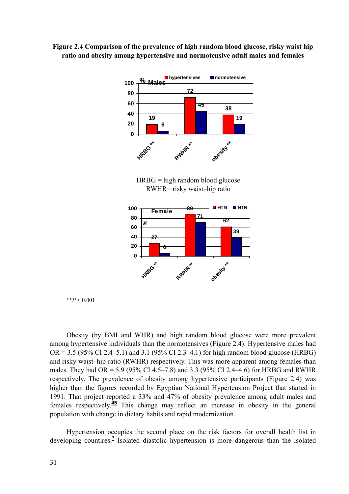



HRBG = high random blood glucose RWHR= risky waist–hip ratio



 $*$ *\*P* < 0.001

Obesity (by BMI and WHR) and high random blood glucose were more prevalent among hypertensive individuals than the normotensives (Figure 2.4). Hypertensive males had  $OR = 3.5$  (95% CI 2.4–5.1) and 3.1 (95% CI 2.3–4.1) for high random blood glucose (HRBG) and risky waist–hip ratio (RWHR) respectively. This was more apparent among females than males. They had OR = 5.9 (95% CI 4.5–7.8) and 3.3 (95% CI 2.4–4.6) for HRBG and RWHR respectively. The prevalence of obesity among hypertensive participants (Figure 2.4) was higher than the figures recorded by Egyptian National Hypertension Project that started in 1991. That project reported a 33% and 47% of obesity prevalence among adult males and females respectively.**<sup>45</sup>** This change may reflect an increase in obesity in the general population with change in dietary habits and rapid modernization.

Hypertension occupies the second place on the risk factors for overall health list in developing countires.**<sup>2</sup>** Isolated diastolic hypertension is more dangerous than the isolated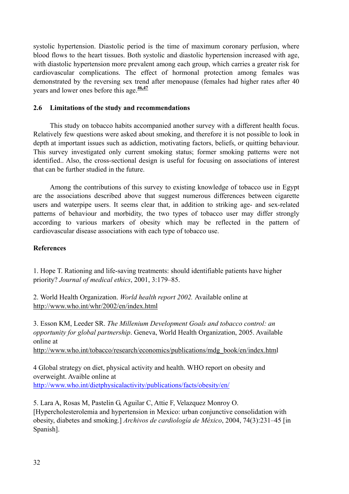systolic hypertension. Diastolic period is the time of maximum coronary perfusion, where blood flows to the heart tissues. Both systolic and diastolic hypertension increased with age, with diastolic hypertension more prevalent among each group, which carries a greater risk for cardiovascular complications. The effect of hormonal protection among females was demonstrated by the reversing sex trend after menopause (females had higher rates after 40 years and lower ones before this age.**46,47**

# **2.6 Limitations of the study and recommendations**

This study on tobacco habits accompanied another survey with a different health focus. Relatively few questions were asked about smoking, and therefore it is not possible to look in depth at important issues such as addiction, motivating factors, beliefs, or quitting behaviour. This survey investigated only current smoking status; former smoking patterns were not identified.. Also, the cross-sectional design is useful for focusing on associations of interest that can be further studied in the future.

Among the contributions of this survey to existing knowledge of tobacco use in Egypt are the associations described above that suggest numerous differences between cigarette users and waterpipe users. It seems clear that, in addition to striking age- and sex-related patterns of behaviour and morbidity, the two types of tobacco user may differ strongly according to various markers of obesity which may be reflected in the pattern of cardiovascular disease associations with each type of tobacco use.

# **References**

1. Hope T. Rationing and life-saving treatments: should identifiable patients have higher priority? *Journal of medical ethics*, 2001, 3:179–85.

2. World Health Organization. *World health report 2002.* Available online at http://www.who.int/whr/2002/en/index.html

3. Esson KM, Leeder SR. *The Millenium Development Goals and tobacco control: an opportunity for global partnership*. Geneva, World Health Organization, 2005. Available online at http://www.who.int/tobacco/research/economics/publications/mdg\_book/en/index.html

4 Global strategy on diet, physical activity and health. WHO report on obesity and overweight. Avaible online at http://www.who.int/dietphysicalactivity/publications/facts/obesity/en/

5. Lara A, Rosas M, Pastelin G, Aguilar C, Attie F, Velazquez Monroy O. [Hypercholesterolemia and hypertension in Mexico: urban conjunctive consolidation with obesity, diabetes and smoking.] *Archivos de cardiología de México*, 2004, 74(3):231–45 [in Spanish].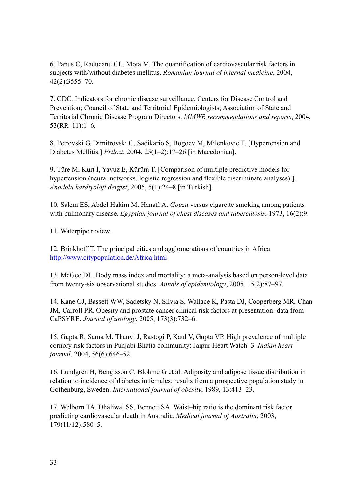6. Panus C, Raducanu CL, Mota M. The quantification of cardiovascular risk factors in subjects with/without diabetes mellitus. *Romanian journal of internal medicine*, 2004, 42(2):3555–70.

7. CDC. Indicators for chronic disease surveillance. Centers for Disease Control and Prevention; Council of State and Territorial Epidemiologists; Association of State and Territorial Chronic Disease Program Directors. *MMWR recommendations and reports*, 2004, 53(RR–11):1–6.

8. Petrovski G, Dimitrovski C, Sadikario S, Bogoev M, Milenkovic T. [Hypertension and Diabetes Mellitis.] *Prilozi*, 2004, 25(1–2):17–26 [in Macedonian].

9. Türe M, Kurt İ, Yavuz E, Kürüm T. [Comparison of multiple predictive models for hypertension (neural networks, logistic regression and flexible discriminate analyses).]. *Anadolu kardiyoloji dergisi*, 2005, 5(1):24–8 [in Turkish].

10. Salem ES, Abdel Hakim M, Hanafi A. *Gouza* versus cigarette smoking among patients with pulmonary disease. *Egyptian journal of chest diseases and tuberculosis*, 1973, 16(2):9.

11. Waterpipe review.

12. Brinkhoff T. The principal cities and agglomerations of countries in Africa. http://www.citypopulation.de/Africa.html

13. McGee DL. Body mass index and mortality: a meta-analysis based on person-level data from twenty-six observational studies. *Annals of epidemiology*, 2005, 15(2):87–97.

14. Kane CJ, Bassett WW, Sadetsky N, Silvia S, Wallace K, Pasta DJ, Cooperberg MR, Chan JM, Carroll PR. Obesity and prostate cancer clinical risk factors at presentation: data from CaPSYRE. *Journal of urology*, 2005, 173(3):732–6.

15. Gupta R, Sarna M, Thanvi J, Rastogi P, Kaul V, Gupta VP. High prevalence of multiple cornory risk factors in Punjabi Bhatia community: Jaipur Heart Watch–3. *Indian heart journal*, 2004, 56(6):646–52.

16. Lundgren H, Bengtsson C, Blohme G et al. Adiposity and adipose tissue distribution in relation to incidence of diabetes in females: results from a prospective population study in Gothenburg, Sweden. *International journal of obesity*, 1989, 13:413–23.

17. Welborn TA, Dhaliwal SS, Bennett SA. Waist–hip ratio is the dominant risk factor predicting cardiovascular death in Australia. *Medical journal of Australia*, 2003, 179(11/12):580–5.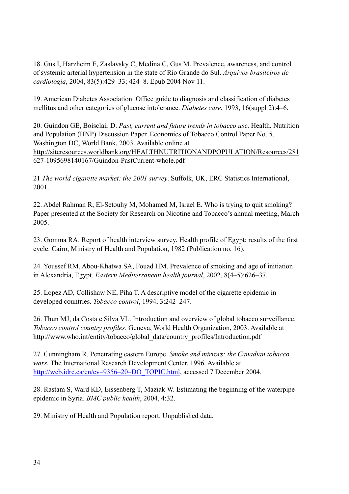18. Gus I, Harzheim E, Zaslavsky C, Medina C, Gus M. Prevalence, awareness, and control of systemic arterial hypertension in the state of Rio Grande do Sul. *Arquivos brasileiros de cardiologia*, 2004, 83(5):429–33; 424–8. Epub 2004 Nov 11.

19. American Diabetes Association. Office guide to diagnosis and classification of diabetes mellitus and other categories of glucose intolerance. *Diabetes care*, 1993, 16(suppl 2):4–6.

20. Guindon GE, Boisclair D. *Past, current and future trends in tobacco use*. Health. Nutrition and Population (HNP) Discussion Paper. Economics of Tobacco Control Paper No. 5. Washington DC, World Bank, 2003. Available online at http://siteresources.worldbank.org/HEALTHNUTRITIONANDPOPULATION/Resources/281 627-1095698140167/Guindon-PastCurrent-whole.pdf

21 *The world cigarette market: the 2001 survey*. Suffolk, UK, ERC Statistics International, 2001.

22. Abdel Rahman R, El-Setouhy M, Mohamed M, Israel E. Who is trying to quit smoking? Paper presented at the Society for Research on Nicotine and Tobacco's annual meeting, March 2005.

23. Gomma RA. Report of health interview survey. Health profile of Egypt: results of the first cycle. Cairo, Ministry of Health and Population, 1982 (Publication no. 16).

24. Youssef RM, Abou-Khatwa SA, Fouad HM. Prevalence of smoking and age of initiation in Alexandria, Egypt. *Eastern Mediterranean health journal*, 2002, 8(4–5):626–37.

25. Lopez AD, Collishaw NE, Piha T. A descriptive model of the cigarette epidemic in developed countries. *Tobacco control*, 1994, 3:242–247.

26. Thun MJ, da Costa e Silva VL. Introduction and overview of global tobacco surveillance. *Tobacco control country profiles*. Geneva, World Health Organization, 2003. Available at http://www.who.int/entity/tobacco/global\_data/country\_profiles/Introduction.pdf

27. Cunningham R. Penetrating eastern Europe. *Smoke and mirrors: the Canadian tobacco wars.* The International Research Development Center, 1996. Available at http://web.idrc.ca/en/ev–9356–20–DO\_TOPIC.html, accessed 7 December 2004.

28. Rastam S, Ward KD, Eissenberg T, Maziak W. Estimating the beginning of the waterpipe epidemic in Syria. *BMC public health*, 2004, 4:32.

29. Ministry of Health and Population report. Unpublished data.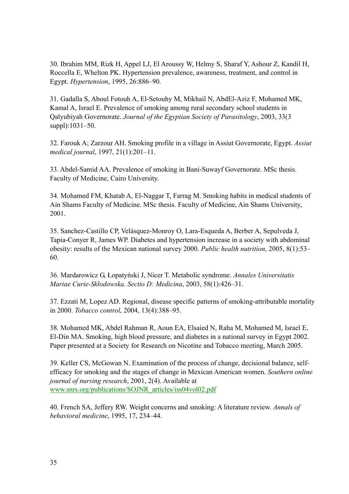30. Ibrahim MM, Rizk H, Appel LJ, El Aroussy W, Helmy S, Sharaf Y, Ashour Z, Kandil H, Roccella E, Whelton PK. Hypertension prevalence, awareness, treatment, and control in Egypt. *Hypertension*, 1995, 26:886–90.

31. Gadalla S, Aboul Fotouh A, El-Setouhy M, Mikhail N, AbdEl-Aziz F, Mohamed MK, Kamal A, Israel E. Prevalence of smoking among rural secondary school students in Qalyubiyah Governorate. *Journal of the Egyptian Society of Parasitology*, 2003, 33(3 suppl):1031–50.

32. Farouk A; Zarzour AH. Smoking profile in a village in Assiut Governorate, Egypt. *Assiut medical journal*, 1997, 21(1):201–11.

33. Abdel-Samid AA. Prevalence of smoking in Bani-Suwayf Governorate. MSc thesis. Faculty of Medicine, Cairo University.

34. Mohamed FM, Khatab A, El-Naggar T, Farrag M. Smoking habits in medical students of Ain Shams Faculty of Medicine. MSc thesis. Faculty of Medicine, Ain Shams University, 2001.

35. Sanchez-Castillo CP, Velásquez-Monroy O, Lara-Esqueda A, Berber A, Sepulveda J, Tapia-Conyer R, James WP. Diabetes and hypertension increase in a society with abdominal obesity: results of the Mexican national survey 2000. *Public health nutrition*, 2005, 8(1):53– 60.

36. Mardarowicz G, Łopatyński J, Nicer T. Metabolic syndrome. *Annales Universitatis Mariae Curie-Skłodowska. Sectio D: Medicina*, 2003, 58(1):426–31.

37. Ezzati M, Lopez AD. Regional, disease specific patterns of smoking-attributable mortality in 2000. *Tobacco control*, 2004, 13(4):388–95.

38. Mohamed MK, Abdel Rahman R, Aoun EA, Elsaied N, Raha M, Mohamed M, Israel E, El-Din MA. Smoking, high blood pressure, and diabetes in a national survey in Egypt 2002. Paper presented at a Society for Research on Nicotine and Tobacco meeting, March 2005.

39. Keller CS, McGowan N. Examination of the process of change, decisional balance, selfefficacy for smoking and the stages of change in Mexican American women. *Southern online journal of nursing research*, 2001, 2(4). Available at www.snrs.org/publications/SOJNR\_articles/iss04vol02.pdf

40. French SA, Jeffery RW. Weight concerns and smoking: A literature review. *Annals of behavioral medicine*, 1995, 17, 234–44.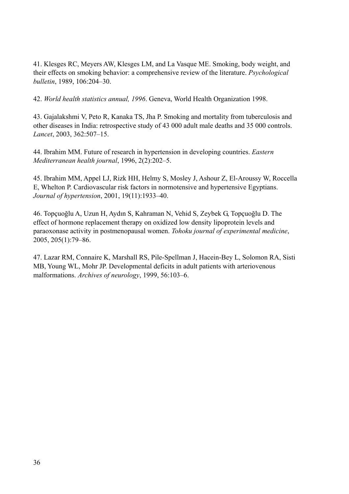41. Klesges RC, Meyers AW, Klesges LM, and La Vasque ME. Smoking, body weight, and their effects on smoking behavior: a comprehensive review of the literature. *Psychological bulletin*, 1989, 106:204–30.

42. *World health statistics annual, 1996*. Geneva, World Health Organization 1998.

43. Gajalakshmi V, Peto R, Kanaka TS, Jha P. Smoking and mortality from tuberculosis and other diseases in India: retrospective study of 43 000 adult male deaths and 35 000 controls. *Lancet*, 2003, 362:507–15.

44. Ibrahim MM. Future of research in hypertension in developing countries. *Eastern Mediterranean health journal*, 1996, 2(2):202–5.

45. Ibrahim MM, Appel LJ, Rizk HH, Helmy S, Mosley J, Ashour Z, El-Aroussy W, Roccella E, Whelton P. Cardiovascular risk factors in normotensive and hypertensive Egyptians. *Journal of hypertension*, 2001, 19(11):1933–40.

46. Topçuoğlu A, Uzun H, Aydın S, Kahraman N, Vehid S, Zeybek G, Topçuoğlu D. The effect of hormone replacement therapy on oxidized low density lipoprotein levels and paraoxonase activity in postmenopausal women. *Tohoku journal of experimental medicine*, 2005, 205(1):79–86.

47. Lazar RM, Connaire K, Marshall RS, Pile-Spellman J, Hacein-Bey L, Solomon RA, Sisti MB, Young WL, Mohr JP. Developmental deficits in adult patients with arteriovenous malformations. *Archives of neurology*, 1999, 56:103–6.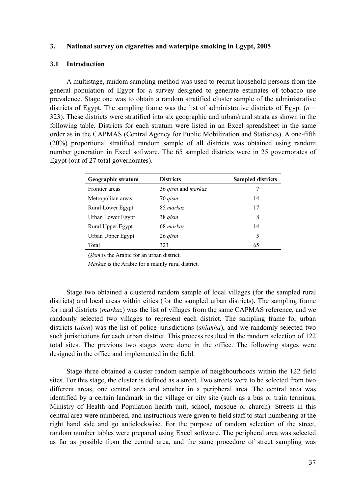### **3. National survey on cigarettes and waterpipe smoking in Egypt, 2005**

### **3.1 Introduction**

A multistage, random sampling method was used to recruit household persons from the general population of Egypt for a survey designed to generate estimates of tobacco use prevalence. Stage one was to obtain a random stratified cluster sample of the administrative districts of Egypt. The sampling frame was the list of administrative districts of Egypt  $(n =$ 323). These districts were stratified into six geographic and urban/rural strata as shown in the following table. Districts for each stratum were listed in an Excel spreadsheet in the same order as in the CAPMAS (Central Agency for Public Mobilization and Statistics). A one-fifth (20%) proportional stratified random sample of all districts was obtained using random number generation in Excel software. The 65 sampled districts were in 25 governorates of Egypt (out of 27 total governorates).

| Geographic stratum | <b>Districts</b>   | <b>Sampled districts</b> |
|--------------------|--------------------|--------------------------|
| Frontier areas     | 36 qism and markaz | 7                        |
| Metropolitan areas | 70 qism            | 14                       |
| Rural Lower Egypt  | 85 markaz          | 17                       |
| Urban Lower Egypt  | 38 gism            | 8                        |
| Rural Upper Egypt  | 68 markaz          | 14                       |
| Urban Upper Egypt  | 26 <i>gism</i>     | 5                        |
| Total              | 323                | 65                       |

*Qism* is the Arabic for an urban district.

*Markaz* is the Arabic for a mainly rural district.

Stage two obtained a clustered random sample of local villages (for the sampled rural districts) and local areas within cities (for the sampled urban districts). The sampling frame for rural districts (*markaz*) was the list of villages from the same CAPMAS reference, and we randomly selected two villages to represent each district. The sampling frame for urban districts (*qism*) was the list of police jurisdictions (*shiakha*), and we randomly selected two such jurisdictions for each urban district. This process resulted in the random selection of 122 total sites. The previous two stages were done in the office. The following stages were designed in the office and implemented in the field.

Stage three obtained a cluster random sample of neighbourhoods within the 122 field sites. For this stage, the cluster is defined as a street. Two streets were to be selected from two different areas, one central area and another in a peripheral area. The central area was identified by a certain landmark in the village or city site (such as a bus or train terminus, Ministry of Health and Population health unit, school, mosque or church). Streets in this central area were numbered, and instructions were given to field staff to start numbering at the right hand side and go anticlockwise. For the purpose of random selection of the street, random number tables were prepared using Excel software. The peripheral area was selected as far as possible from the central area, and the same procedure of street sampling was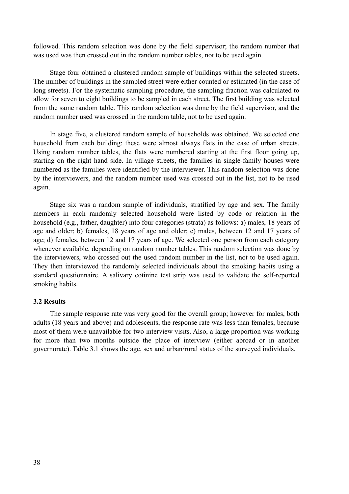followed. This random selection was done by the field supervisor; the random number that was used was then crossed out in the random number tables, not to be used again.

Stage four obtained a clustered random sample of buildings within the selected streets. The number of buildings in the sampled street were either counted or estimated (in the case of long streets). For the systematic sampling procedure, the sampling fraction was calculated to allow for seven to eight buildings to be sampled in each street. The first building was selected from the same random table. This random selection was done by the field supervisor, and the random number used was crossed in the random table, not to be used again.

In stage five, a clustered random sample of households was obtained. We selected one household from each building: these were almost always flats in the case of urban streets. Using random number tables, the flats were numbered starting at the first floor going up, starting on the right hand side. In village streets, the families in single-family houses were numbered as the families were identified by the interviewer. This random selection was done by the interviewers, and the random number used was crossed out in the list, not to be used again.

Stage six was a random sample of individuals, stratified by age and sex. The family members in each randomly selected household were listed by code or relation in the household (e.g., father, daughter) into four categories (strata) as follows: a) males, 18 years of age and older; b) females, 18 years of age and older; c) males, between 12 and 17 years of age; d) females, between 12 and 17 years of age. We selected one person from each category whenever available, depending on random number tables. This random selection was done by the interviewers, who crossed out the used random number in the list, not to be used again. They then interviewed the randomly selected individuals about the smoking habits using a standard questionnaire. A salivary cotinine test strip was used to validate the self-reported smoking habits.

#### **3.2 Results**

The sample response rate was very good for the overall group; however for males, both adults (18 years and above) and adolescents, the response rate was less than females, because most of them were unavailable for two interview visits. Also, a large proportion was working for more than two months outside the place of interview (either abroad or in another governorate). Table 3.1 shows the age, sex and urban/rural status of the surveyed individuals.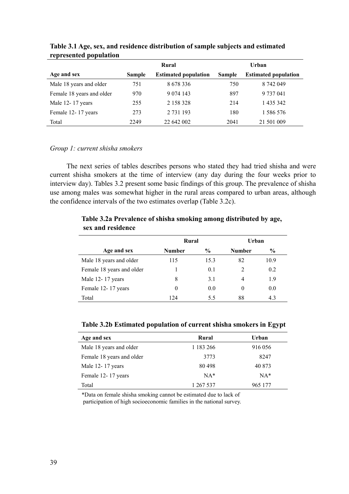|                           |               | Rural                       | Urban         |                             |  |
|---------------------------|---------------|-----------------------------|---------------|-----------------------------|--|
| Age and sex               | <b>Sample</b> | <b>Estimated population</b> | <b>Sample</b> | <b>Estimated population</b> |  |
| Male 18 years and older   | 751           | 8 678 336                   | 750           | 8 742 049                   |  |
| Female 18 years and older | 970           | 9 0 74 143                  | 897           | 9 737 041                   |  |
| Male 12-17 years          | 255           | 2 158 328                   | 214           | 1 435 342                   |  |
| Female 12-17 years        | 273           | 2 731 193                   | 180           | 1 586 576                   |  |
| Total                     | 2249          | 22 642 002                  | 2041          | 21 501 009                  |  |

# **Table 3.1 Age, sex, and residence distribution of sample subjects and estimated represented population**

### *Group 1: current shisha smokers*

The next series of tables describes persons who stated they had tried shisha and were current shisha smokers at the time of interview (any day during the four weeks prior to interview day). Tables 3.2 present some basic findings of this group. The prevalence of shisha use among males was somewhat higher in the rural areas compared to urban areas, although the confidence intervals of the two estimates overlap (Table 3.2c).

# **Rural Urban**  Age and sex **Number**  $\%$  **Number**  $\%$ Male 18 years and older 115 15.3 82 10.9 Female 18 years and older 1 0.1 2 0.2 Male 12- 17 years 8 3.1 4 1.9 Female 12-17 years 0 0.0 0.0 0 0.0 Total 124 5.5 88 4.3

# **Table 3.2a Prevalence of shisha smoking among distributed by age, sex and residence**

# **Table 3.2b Estimated population of current shisha smokers in Egypt**

| Age and sex               | Rural         | Urban   |
|---------------------------|---------------|---------|
| Male 18 years and older   | 1 1 8 3 2 6 6 | 916 056 |
| Female 18 years and older | 3773          | 8247    |
| Male 12-17 years          | 80498         | 40 873  |
| Female 12-17 years        | $NA*$         | $NA*$   |
| Total                     | 1 267 537     | 965 177 |

\*Data on female shisha smoking cannot be estimated due to lack of participation of high socioeconomic families in the national survey.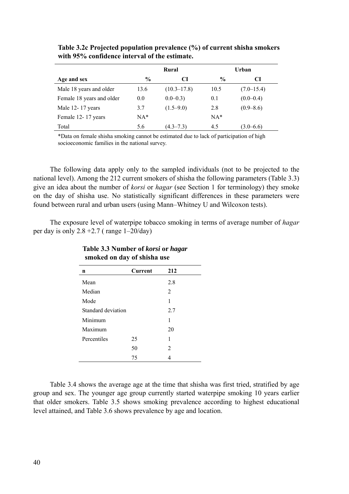|                           | Rural         |                 | Urban         |                |
|---------------------------|---------------|-----------------|---------------|----------------|
| Age and sex               | $\frac{6}{6}$ | CI              | $\frac{0}{0}$ | CI             |
| Male 18 years and older   | 13.6          | $(10.3 - 17.8)$ | 10.5          | $(7.0 - 15.4)$ |
| Female 18 years and older | 0.0           | $0.0 - 0.3$     | 0.1           | $(0.0 - 0.4)$  |
| Male 12-17 years          | 3.7           | $(1.5-9.0)$     | 2.8           | $(0.9 - 8.6)$  |
| Female 12-17 years        | $NA*$         |                 | $NA*$         |                |
| Total                     | 5.6           | $(4.3 - 7.3)$   | 4.5           | $(3.0 - 6.6)$  |

**Table 3.2c Projected population prevalence (%) of current shisha smokers with 95% confidence interval of the estimate.** 

\*Data on female shisha smoking cannot be estimated due to lack of participation of high socioeconomic families in the national survey.

The following data apply only to the sampled individuals (not to be projected to the national level). Among the 212 current smokers of shisha the following parameters (Table 3.3) give an idea about the number of *korsi* or *hagar* (see Section 1 for terminology) they smoke on the day of shisha use. No statistically significant differences in these parameters were found between rural and urban users (using Mann–Whitney U and Wilcoxon tests).

The exposure level of waterpipe tobacco smoking in terms of average number of *hagar* per day is only  $2.8 + 2.7$  (range  $1 - 20$ /day)

| n                  | Current | 212 |
|--------------------|---------|-----|
| Mean               |         | 2.8 |
| Median             |         | 2   |
| Mode               |         | 1   |
| Standard deviation |         | 2.7 |
| Minimum            |         | 1   |
| Maximum            |         | 20  |
| Percentiles        | 25      | 1   |
|                    | 50      | 2   |
|                    | 75      |     |

**Table 3.3 Number of** *korsi* **or** *hagar* **smoked on day of shisha use** 

Table 3.4 shows the average age at the time that shisha was first tried, stratified by age group and sex. The younger age group currently started waterpipe smoking 10 years earlier that older smokers. Table 3.5 shows smoking prevalence according to highest educational level attained, and Table 3.6 shows prevalence by age and location.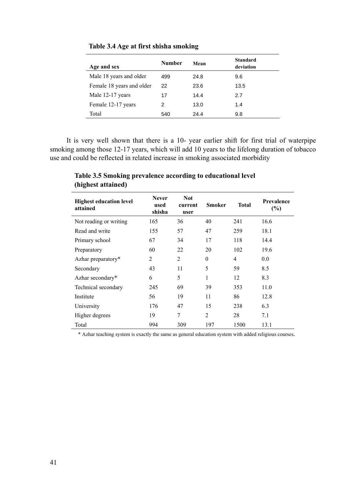| Age and sex               | Number | Mean | <b>Standard</b><br>deviation |
|---------------------------|--------|------|------------------------------|
| Male 18 years and older   | 499    | 24.8 | 9.6                          |
| Female 18 years and older | 22     | 23.6 | 13.5                         |
| Male 12-17 years          | 17     | 14.4 | 2.7                          |
| Female 12-17 years        | 2      | 13.0 | 1.4                          |
| Total                     | 540    | 24.4 | 9.8                          |

**Table 3.4 Age at first shisha smoking** 

It is very well shown that there is a 10- year earlier shift for first trial of waterpipe smoking among those 12-17 years, which will add 10 years to the lifelong duration of tobacco use and could be reflected in related increase in smoking associated morbidity

**Highest education level attained Never used shisha Not current user Smoker Total Prevalence (%)**  Not reading or writing 165 36 40 241 16.6 Read and write 155 57 47 259 18.1 Primary school 67 34 17 118 14.4 Preparatory 60 22 20 102 19.6 Azhar preparatory\* 2 2 0 4 0.0 Secondary 43 11 5 59 8.5 Azhar secondary\*  $6 \qquad 5 \qquad 1 \qquad 12 \qquad 8.3$ Technical secondary 245 69 39 353 11.0 Institute 56 19 11 86 12.8 University 176 47 15 238 6.3 Higher degrees 19 7 2 28 7.1 Total 994 309 197 1500 13.1

**Table 3.5 Smoking prevalence according to educational level (highest attained)** 

\* Azhar teaching system is exactly the same as general education system with added religious courses.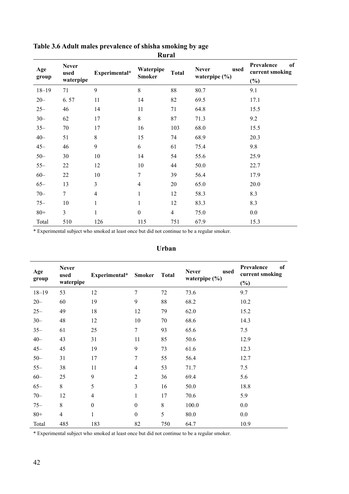| IXUI AI      |                                   |                |                            |                |                                           |                                               |
|--------------|-----------------------------------|----------------|----------------------------|----------------|-------------------------------------------|-----------------------------------------------|
| Age<br>group | <b>Never</b><br>used<br>waterpipe | Experimental*  | Waterpipe<br><b>Smoker</b> | <b>Total</b>   | <b>Never</b><br>used<br>waterpipe $(\% )$ | Prevalence<br>of<br>current smoking<br>$(\%)$ |
| $18 - 19$    | 71                                | 9              | $8\,$                      | 88             | 80.7                                      | 9.1                                           |
| $20 -$       | 6.57                              | 11             | 14                         | 82             | 69.5                                      | 17.1                                          |
| $25 -$       | 46                                | 14             | 11                         | 71             | 64.8                                      | 15.5                                          |
| $30 -$       | 62                                | 17             | $8\,$                      | 87             | 71.3                                      | 9.2                                           |
| $35 -$       | 70                                | 17             | 16                         | 103            | 68.0                                      | 15.5                                          |
| $40 -$       | 51                                | 8              | 15                         | 74             | 68.9                                      | 20.3                                          |
| $45 -$       | 46                                | 9              | 6                          | 61             | 75.4                                      | 9.8                                           |
| $50 -$       | 30                                | 10             | 14                         | 54             | 55.6                                      | 25.9                                          |
| $55 -$       | 22                                | 12             | 10                         | 44             | 50.0                                      | 22.7                                          |
| $60 -$       | 22                                | 10             | $\tau$                     | 39             | 56.4                                      | 17.9                                          |
| $65 -$       | 13                                | $\overline{3}$ | $\overline{4}$             | 20             | 65.0                                      | 20.0                                          |
| $70 -$       | $7\overline{ }$                   | $\overline{4}$ | 1                          | 12             | 58.3                                      | 8.3                                           |
| $75 -$       | 10                                | 1              | 1                          | 12             | 83.3                                      | 8.3                                           |
| $80+$        | $\overline{3}$                    | $\mathbf{1}$   | $\boldsymbol{0}$           | $\overline{4}$ | 75.0                                      | 0.0                                           |
| Total        | 510                               | 126            | 115                        | 751            | 67.9                                      | 15.3                                          |

### **Table 3.6 Adult males prevalence of shisha smoking by age Rural**

\* Experimental subject who smoked at least once but did not continue to be a regular smoker.

| Age<br>group | <b>Never</b><br>used<br>waterpipe | Experimental* Smoker |                  | <b>Total</b> | <b>Never</b><br>used<br>waterpipe $(\% )$ | Prevalence<br>of<br>current smoking<br>$(\%)$ |
|--------------|-----------------------------------|----------------------|------------------|--------------|-------------------------------------------|-----------------------------------------------|
| $18 - 19$    | 53                                | 12                   | 7                | 72           | 73.6                                      | 9.7                                           |
| $20 -$       | 60                                | 19                   | 9                | 88           | 68.2                                      | 10.2                                          |
| $25 -$       | 49                                | 18                   | 12               | 79           | 62.0                                      | 15.2                                          |
| $30 -$       | 48                                | 12                   | 10               | 70           | 68.6                                      | 14.3                                          |
| $35 -$       | 61                                | 25                   | $\boldsymbol{7}$ | 93           | 65.6                                      | 7.5                                           |
| $40 -$       | 43                                | 31                   | 11               | 85           | 50.6                                      | 12.9                                          |
| $45 -$       | 45                                | 19                   | 9                | 73           | 61.6                                      | 12.3                                          |
| $50 -$       | 31                                | 17                   | 7                | 55           | 56.4                                      | 12.7                                          |
| $55 -$       | 38                                | 11                   | $\overline{4}$   | 53           | 71.7                                      | 7.5                                           |
| $60 -$       | 25                                | 9                    | $\overline{2}$   | 36           | 69.4                                      | 5.6                                           |
| $65 -$       | 8                                 | 5                    | 3                | 16           | 50.0                                      | 18.8                                          |
| $70 -$       | 12                                | $\overline{4}$       | $\mathbf{1}$     | 17           | 70.6                                      | 5.9                                           |
| $75 -$       | $8\,$                             | $\boldsymbol{0}$     | $\boldsymbol{0}$ | $\,$ 8 $\,$  | 100.0                                     | 0.0                                           |
| $80 +$       | $\overline{4}$                    | $\mathbf{1}$         | $\boldsymbol{0}$ | 5            | 80.0                                      | 0.0                                           |
| Total        | 485                               | 183                  | 82               | 750          | 64.7                                      | 10.9                                          |

# **Urban**

\* Experimental subject who smoked at least once but did not continue to be a regular smoker.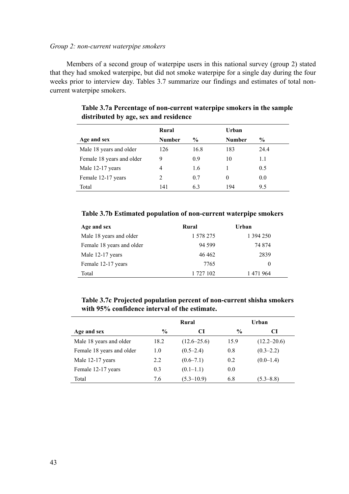### *Group 2: non-current waterpipe smokers*

Members of a second group of waterpipe users in this national survey (group 2) stated that they had smoked waterpipe, but did not smoke waterpipe for a single day during the four weeks prior to interview day. Tables 3.7 summarize our findings and estimates of total noncurrent waterpipe smokers.

|                           | Rural         |               | Urban         |      |
|---------------------------|---------------|---------------|---------------|------|
| Age and sex               | <b>Number</b> | $\frac{6}{9}$ | <b>Number</b> | $\%$ |
| Male 18 years and older   | 126           | 16.8          | 183           | 24.4 |
| Female 18 years and older | 9             | 0.9           | 10            | 1.1  |
| Male 12-17 years          | 4             | 1.6           |               | 0.5  |
| Female 12-17 years        | 2             | 0.7           | $\theta$      | 0.0  |
| Total                     | 141           | 6.3           | 194           | 9.5  |

# **Table 3.7a Percentage of non-current waterpipe smokers in the sample distributed by age, sex and residence**

### **Table 3.7b Estimated population of non-current waterpipe smokers**

| Age and sex               | Rural     | Urban     |
|---------------------------|-----------|-----------|
| Male 18 years and older   | 1 578 275 | 1 394 250 |
| Female 18 years and older | 94 599    | 74 874    |
| Male 12-17 years          | 46462     | 2839      |
| Female 12-17 years        | 7765      | $\theta$  |
| Total                     | 1 727 102 | 1471964   |

# **Table 3.7c Projected population percent of non-current shisha smokers with 95% confidence interval of the estimate.**

|                           | Rural         |                 |               | Urban           |
|---------------------------|---------------|-----------------|---------------|-----------------|
| Age and sex               | $\frac{0}{0}$ | CI              | $\frac{0}{0}$ | CI              |
| Male 18 years and older   | 18.2          | $(12.6 - 25.6)$ | 15.9          | $(12.2 - 20.6)$ |
| Female 18 years and older | 1.0           | $(0.5-2.4)$     | 0.8           | $(0.3 - 2.2)$   |
| Male 12-17 years          | 2.2           | $(0.6 - 7.1)$   | 0.2           | $(0.0-1.4)$     |
| Female 12-17 years        | 0.3           | $(0.1-1.1)$     | 0.0           |                 |
| Total                     | 7.6           | $(5.3 - 10.9)$  | 6.8           | $(5.3 - 8.8)$   |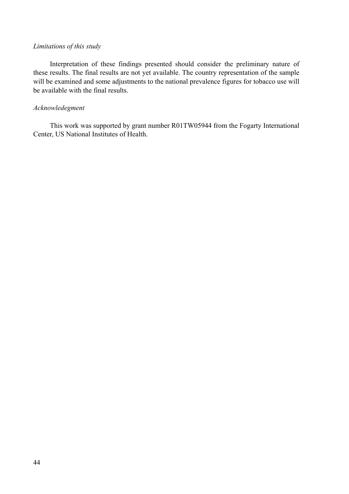# *Limitations of this study*

Interpretation of these findings presented should consider the preliminary nature of these results. The final results are not yet available. The country representation of the sample will be examined and some adjustments to the national prevalence figures for tobacco use will be available with the final results.

# *Acknowledegment*

This work was supported by grant number R01TW05944 from the Fogarty International Center, US National Institutes of Health.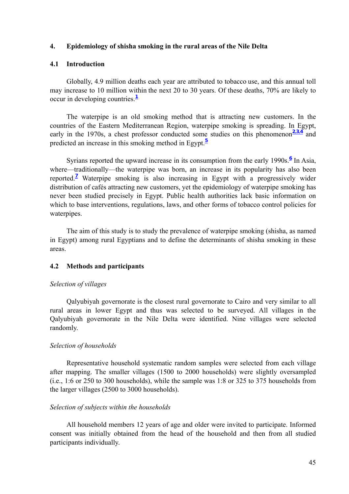#### **4. Epidemiology of shisha smoking in the rural areas of the Nile Delta**

#### **4.1 Introduction**

Globally, 4.9 million deaths each year are attributed to tobacco use, and this annual toll may increase to 10 million within the next 20 to 30 years. Of these deaths, 70% are likely to occur in developing countries.**<sup>1</sup>**

The waterpipe is an old smoking method that is attracting new customers. In the countries of the Eastern Mediterranean Region, waterpipe smoking is spreading. In Egypt, early in the 1970s, a chest professor conducted some studies on this phenomenon $\frac{2,3,4}{2}$  and predicted an increase in this smoking method in Egypt.**<sup>5</sup>**

Syrians reported the upward increase in its consumption from the early 1990s.<sup>6</sup> In Asia, where—traditionally—the waterpipe was born, an increase in its popularity has also been reported.**<sup>7</sup>** Waterpipe smoking is also increasing in Egypt with a progressively wider distribution of cafés attracting new customers, yet the epidemiology of waterpipe smoking has never been studied precisely in Egypt. Public health authorities lack basic information on which to base interventions, regulations, laws, and other forms of tobacco control policies for waterpipes.

The aim of this study is to study the prevalence of waterpipe smoking (shisha, as named in Egypt) among rural Egyptians and to define the determinants of shisha smoking in these areas.

### **4.2 Methods and participants**

#### *Selection of villages*

Qalyubiyah governorate is the closest rural governorate to Cairo and very similar to all rural areas in lower Egypt and thus was selected to be surveyed. All villages in the Qalyubiyah governorate in the Nile Delta were identified. Nine villages were selected randomly.

### *Selection of households*

Representative household systematic random samples were selected from each village after mapping. The smaller villages (1500 to 2000 households) were slightly oversampled (i.e., 1:6 or 250 to 300 households), while the sample was 1:8 or 325 to 375 households from the larger villages (2500 to 3000 households).

### *Selection of subjects within the households*

All household members 12 years of age and older were invited to participate. Informed consent was initially obtained from the head of the household and then from all studied participants individually.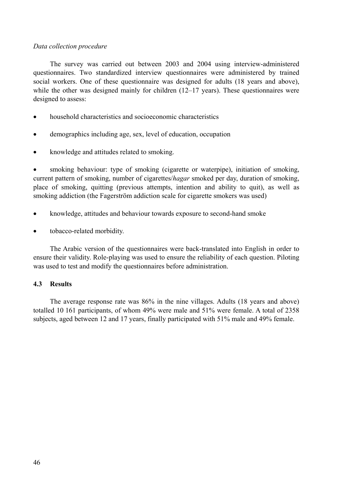# *Data collection procedure*

The survey was carried out between 2003 and 2004 using interview-administered questionnaires. Two standardized interview questionnaires were administered by trained social workers. One of these questionnaire was designed for adults (18 years and above), while the other was designed mainly for children (12–17 years). These questionnaires were designed to assess:

- household characteristics and socioeconomic characteristics
- demographics including age, sex, level of education, occupation
- knowledge and attitudes related to smoking.

• smoking behaviour: type of smoking (cigarette or waterpipe), initiation of smoking, current pattern of smoking, number of cigarettes/*hagar* smoked per day, duration of smoking, place of smoking, quitting (previous attempts, intention and ability to quit), as well as smoking addiction (the Fagerström addiction scale for cigarette smokers was used)

- knowledge, attitudes and behaviour towards exposure to second-hand smoke
- tobacco-related morbidity.

The Arabic version of the questionnaires were back-translated into English in order to ensure their validity. Role-playing was used to ensure the reliability of each question. Piloting was used to test and modify the questionnaires before administration.

# **4.3 Results**

The average response rate was 86% in the nine villages. Adults (18 years and above) totalled 10 161 participants, of whom 49% were male and 51% were female. A total of 2358 subjects, aged between 12 and 17 years, finally participated with 51% male and 49% female.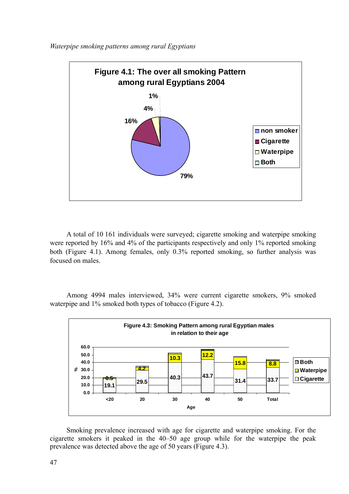

*Waterpipe smoking patterns among rural Egyptians* 

A total of 10 161 individuals were surveyed; cigarette smoking and waterpipe smoking were reported by 16% and 4% of the participants respectively and only 1% reported smoking both (Figure 4.1). Among females, only 0.3% reported smoking, so further analysis was focused on males.

Among 4994 males interviewed, 34% were current cigarette smokers, 9% smoked waterpipe and 1% smoked both types of tobacco (Figure 4.2).



Smoking prevalence increased with age for cigarette and waterpipe smoking. For the cigarette smokers it peaked in the 40–50 age group while for the waterpipe the peak prevalence was detected above the age of 50 years (Figure 4.3).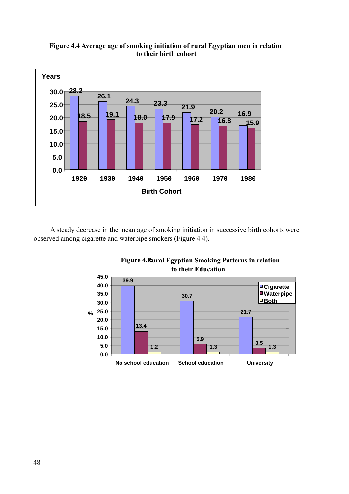

**Figure 4.4 Average age of smoking initiation of rural Egyptian men in relation to their birth cohort** 

A steady decrease in the mean age of smoking initiation in successive birth cohorts were observed among cigarette and waterpipe smokers (Figure 4.4).

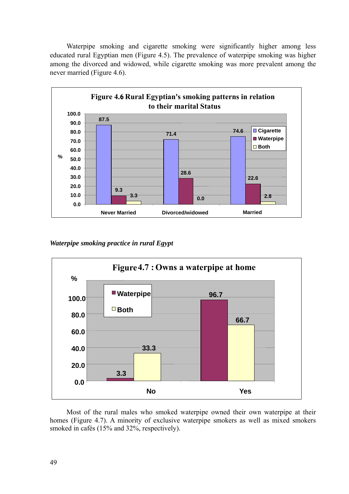Waterpipe smoking and cigarette smoking were significantly higher among less educated rural Egyptian men (Figure 4.5). The prevalence of waterpipe smoking was higher among the divorced and widowed, while cigarette smoking was more prevalent among the never married (Figure 4.6).



*Waterpipe smoking practice in rural Egypt* 



Most of the rural males who smoked waterpipe owned their own waterpipe at their homes (Figure 4.7). A minority of exclusive waterpipe smokers as well as mixed smokers smoked in cafés (15% and 32%, respectively).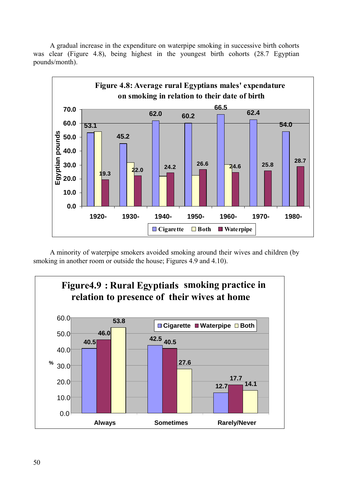A gradual increase in the expenditure on waterpipe smoking in successive birth cohorts was clear (Figure 4.8), being highest in the youngest birth cohorts (28.7 Egyptian pounds/month).



A minority of waterpipe smokers avoided smoking around their wives and children (by smoking in another room or outside the house; Figures 4.9 and 4.10).

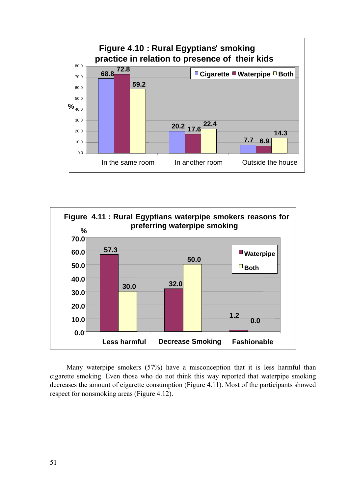



Many waterpipe smokers (57%) have a misconception that it is less harmful than cigarette smoking. Even those who do not think this way reported that waterpipe smoking decreases the amount of cigarette consumption (Figure 4.11). Most of the participants showed respect for nonsmoking areas (Figure 4.12).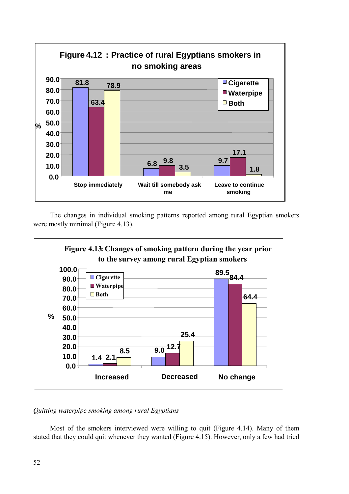

The changes in individual smoking patterns reported among rural Egyptian smokers were mostly minimal (Figure 4.13).



*Quitting waterpipe smoking among rural Egyptians* 

Most of the smokers interviewed were willing to quit (Figure 4.14). Many of them stated that they could quit whenever they wanted (Figure 4.15). However, only a few had tried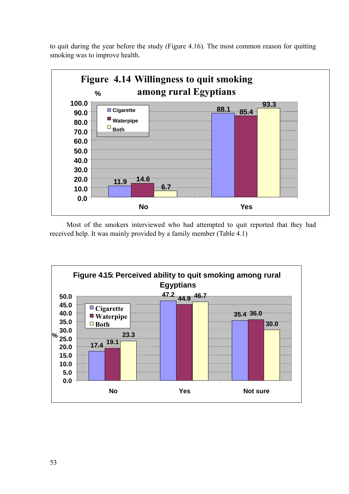to quit during the year before the study (Figure 4.16). The most common reason for quitting smoking was to improve health.



Most of the smokers interviewed who had attempted to quit reported that they had received help. It was mainly provided by a family member (Table 4.1)

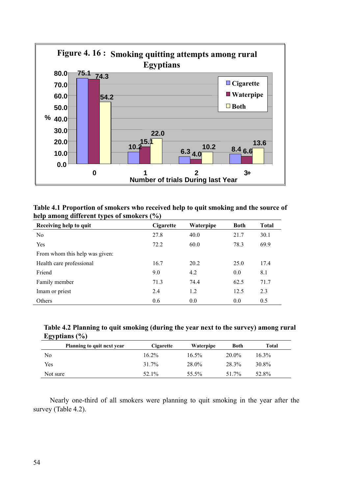

| Table 4.1 Proportion of smokers who received help to quit smoking and the source of |  |
|-------------------------------------------------------------------------------------|--|
| help among different types of smokers (%)                                           |  |

| Receiving help to quit         | Cigarette | Waterpipe | <b>Both</b> | <b>Total</b> |
|--------------------------------|-----------|-----------|-------------|--------------|
| N <sub>0</sub>                 | 27.8      | 40.0      | 21.7        | 30.1         |
| Yes                            | 72.2      | 60.0      | 78.3        | 69.9         |
| From whom this help was given: |           |           |             |              |
| Health care professional       | 16.7      | 20.2      | 25.0        | 17.4         |
| Friend                         | 9.0       | 4.2       | 0.0         | 8.1          |
| Family member                  | 71.3      | 74.4      | 62.5        | 71.7         |
| Imam or priest                 | 2.4       | 1.2       | 12.5        | 2.3          |
| Others                         | 0.6       | 0.0       | 0.0         | 0.5          |

**Table 4.2 Planning to quit smoking (during the year next to the survey) among rural Egyptians (%)** 

| Planning to quit next year | Cigarette | Waterpipe | Both     | Total |
|----------------------------|-----------|-----------|----------|-------|
| No                         | $16.2\%$  | $16.5\%$  | $20.0\%$ | 16.3% |
| Yes                        | 31.7%     | 28.0%     | 28.3%    | 30.8% |
| Not sure                   | 52.1%     | 55.5%     | 51 7%    | 52.8% |

Nearly one-third of all smokers were planning to quit smoking in the year after the survey (Table 4.2).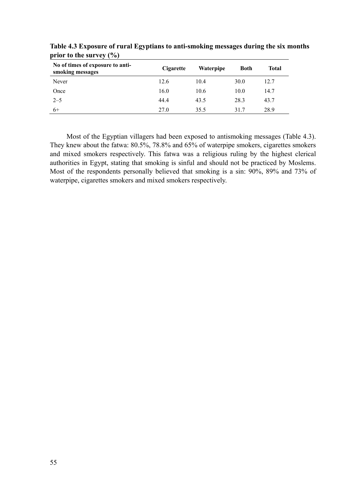| $\cdot$ $\cdot$ $\cdot$ $\cdot$ $\cdot$ $\cdot$ $\cdot$<br>No of times of exposure to anti-<br>smoking messages | Cigarette | <b>Waterpipe</b> | <b>Both</b> | Total |
|-----------------------------------------------------------------------------------------------------------------|-----------|------------------|-------------|-------|
| Never                                                                                                           | 12.6      | 10.4             | 30.0        | 12.7  |
| Once                                                                                                            | 16.0      | 10.6             | 10.0        | 14.7  |
| $2 - 5$                                                                                                         | 44.4      | 43.5             | 28.3        | 43.7  |
| 6+                                                                                                              | 27.0      | 35.5             | 31.7        | 28.9  |

**Table 4.3 Exposure of rural Egyptians to anti-smoking messages during the six months prior to the survey (%)** 

Most of the Egyptian villagers had been exposed to antismoking messages (Table 4.3). They knew about the fatwa: 80.5%, 78.8% and 65% of waterpipe smokers, cigarettes smokers and mixed smokers respectively. This fatwa was a religious ruling by the highest clerical authorities in Egypt, stating that smoking is sinful and should not be practiced by Moslems. Most of the respondents personally believed that smoking is a sin: 90%, 89% and 73% of waterpipe, cigarettes smokers and mixed smokers respectively.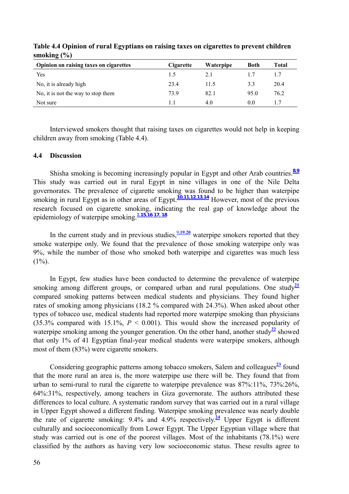| Opinion on raising taxes on cigarettes | Cigarette | <b>Waterpipe</b> | Both | Total |
|----------------------------------------|-----------|------------------|------|-------|
| Yes                                    | 1.5       | 2.1              |      | 1.7   |
| No, it is already high                 | 23.4      | 11.5             | 3.3  | 20.4  |
| No, it is not the way to stop them     | 73.9      | 82.1             | 95.0 | 76.2  |
| Not sure                               |           | 4.0              | 0.0  |       |

**Table 4.4 Opinion of rural Egyptians on raising taxes on cigarettes to prevent children smoking (%)** 

Interviewed smokers thought that raising taxes on cigarettes would not help in keeping children away from smoking (Table 4.4).

# **4.4 Discussion**

Shisha smoking is becoming increasingly popular in Egypt and other Arab countries.**<sup>8</sup>,<sup>9</sup>** This study was carried out in rural Egypt in nine villages in one of the Nile Delta governorates. The prevalence of cigarette smoking was found to be higher than waterpipe smoking in rural Egypt as in other areas of Egypt.  $\frac{10,11,12,13,14}{10,11,12,13,14}$  However, most of the previous research focused on cigarette smoking, indicating the real gap of knowledge about the epidemiology of waterpipe smoking.**2,15,<sup>16</sup> <sup>17</sup>, <sup>18</sup>**

In the current study and in previous studies,  $\frac{9,19,20}{2}$  waterpipe smokers reported that they smoke waterpipe only. We found that the prevalence of those smoking waterpipe only was 9%, while the number of those who smoked both waterpipe and cigarettes was much less  $(1\%)$ .

In Egypt, few studies have been conducted to determine the prevalence of waterpipe smoking among different groups, or compared urban and rural populations. One study<sup>21</sup> compared smoking patterns between medical students and physicians. They found higher rates of smoking among physicians (18.2 % compared with 24.3%). When asked about other types of tobacco use, medical students had reported more waterpipe smoking than physicians (35.3% compared with 15.1%, *P* < 0.001). This would show the increased popularity of waterpipe smoking among the younger generation. On the other hand, another study<sup>22</sup> showed that only 1% of 41 Egyptian final-year medical students were waterpipe smokers, although most of them (83%) were cigarette smokers.

Considering geographic patterns among tobacco smokers, Salem and colleagues**<sup>23</sup>** found that the more rural an area is, the more waterpipe use there will be. They found that from urban to semi-rural to rural the cigarette to waterpipe prevalence was 87%:11%, 73%:26%, 64%:31%, respectively, among teachers in Giza governorate. The authors attributed these differences to local culture. A systematic random survey that was carried out in a rural village in Upper Egypt showed a different finding. Waterpipe smoking prevalence was nearly double the rate of cigarette smoking:  $9.4\%$  and  $4.9\%$  respectively.<sup>24</sup> Upper Egypt is different culturally and socioeconomically from Lower Egypt. The Upper Egyptian village where that study was carried out is one of the poorest villages. Most of the inhabitants (78.1%) were classified by the authors as having very low socioeconomic status. These results agree to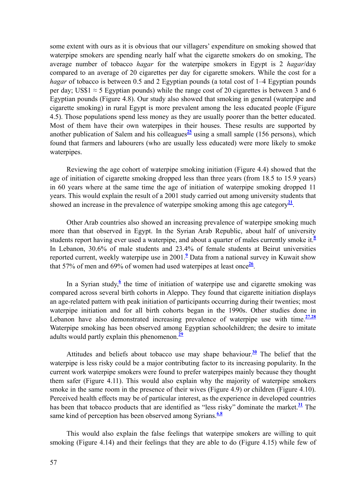some extent with ours as it is obvious that our villagers' expenditure on smoking showed that waterpipe smokers are spending nearly half what the cigarette smokers do on smoking, The average number of tobacco *hagar* for the waterpipe smokers in Egypt is 2 *hagar*/day compared to an average of 20 cigarettes per day for cigarette smokers. While the cost for a *hagar* of tobacco is between 0.5 and 2 Egyptian pounds (a total cost of 1–4 Egyptian pounds per day; US\$1  $\approx$  5 Egyptian pounds) while the range cost of 20 cigarettes is between 3 and 6 Egyptian pounds (Figure 4.8). Our study also showed that smoking in general (waterpipe and cigarette smoking) in rural Egypt is more prevalent among the less educated people (Figure 4.5). Those populations spend less money as they are usually poorer than the better educated. Most of them have their own waterpipes in their houses. These results are supported by another publication of Salem and his colleagues $\frac{25}{3}$  using a small sample (156 persons), which found that farmers and labourers (who are usually less educated) were more likely to smoke waterpipes.

Reviewing the age cohort of waterpipe smoking initiation (Figure 4.4) showed that the age of initiation of cigarette smoking dropped less than three years (from 18.5 to 15.9 years) in 60 years where at the same time the age of initiation of waterpipe smoking dropped 11 years. This would explain the result of a 2001 study carried out among university students that showed an increase in the prevalence of waterpipe smoking among this age category<sup>21</sup>.

Other Arab countries also showed an increasing prevalence of waterpipe smoking much more than that observed in Egypt. In the Syrian Arab Republic, about half of university students report having ever used a waterpipe, and about a quarter of males currently smoke it.**<sup>8</sup>** In Lebanon, 30.6% of male students and 23.4% of female students at Beirut universities reported current, weekly waterpipe use in 2001.**<sup>9</sup>** Data from a national survey in Kuwait show that 57% of men and 69% of women had used waterpipes at least once  $\frac{26}{1}$ .

In a Syrian study, $6$  the time of initiation of waterpipe use and cigarette smoking was compared across several birth cohorts in Aleppo. They found that cigarette initiation displays an age-related pattern with peak initiation of participants occurring during their twenties; most waterpipe initiation and for all birth cohorts began in the 1990s. Other studies done in Lebanon have also demonstrated increasing prevalence of waterpipe use with time. $\frac{27.28}{ }$ Waterpipe smoking has been observed among Egyptian schoolchildren; the desire to imitate adults would partly explain this phenomenon.**<sup>29</sup>**

Attitudes and beliefs about tobacco use may shape behaviour.**<sup>30</sup>** The belief that the waterpipe is less risky could be a major contributing factor to its increasing popularity. In the current work waterpipe smokers were found to prefer waterpipes mainly because they thought them safer (Figure 4.11). This would also explain why the majority of waterpipe smokers smoke in the same room in the presence of their wives (Figure 4.9) or children (Figure 4.10). Perceived health effects may be of particular interest, as the experience in developed countries has been that tobacco products that are identified as "less risky" dominate the market.**<sup>31</sup>** The same kind of perception has been observed among Syrians.<sup>6,8</sup>

This would also explain the false feelings that waterpipe smokers are willing to quit smoking (Figure 4.14) and their feelings that they are able to do (Figure 4.15) while few of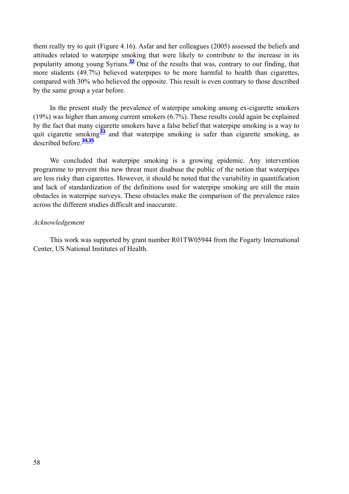them really try to quit (Figure 4.16). Asfar and her colleagues (2005) assessed the beliefs and attitudes related to waterpipe smoking that were likely to contribute to the increase in its popularity among young Syrians.**<sup>32</sup>** One of the results that was, contrary to our finding, that more students (49.7%) believed waterpipes to be more harmful to health than cigarettes, compared with 30% who believed the opposite. This result is even contrary to those described by the same group a year before.

In the present study the prevalence of waterpipe smoking among ex-cigarette smokers (19%) was higher than among current smokers (6.7%). These results could again be explained by the fact that many cigarette smokers have a false belief that waterpipe smoking is a way to quit cigarette smoking**<sup>33</sup>** and that waterpipe smoking is safer than cigarette smoking, as described before.**<sup>34</sup>,<sup>35</sup>**

We concluded that waterpipe smoking is a growing epidemic. Any intervention programme to prevent this new threat must disabuse the public of the notion that waterpipes are less risky than cigarettes. However, it should be noted that the variability in quantification and lack of standardization of the definitions used for waterpipe smoking are still the main obstacles in waterpipe surveys. These obstacles make the comparison of the prevalence rates across the different studies difficult and inaccurate.

#### *Acknowledgement*

This work was supported by grant number R01TW05944 from the Fogarty International Center, US National Institutes of Health.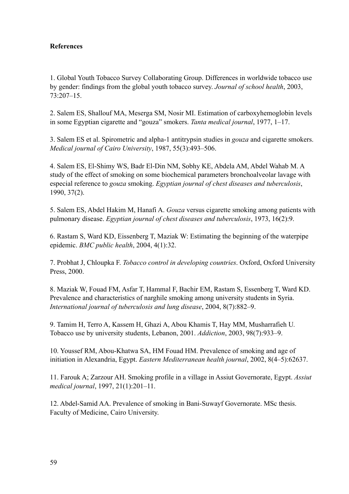# **References**

1. Global Youth Tobacco Survey Collaborating Group. Differences in worldwide tobacco use by gender: findings from the global youth tobacco survey. *Journal of school health*, 2003, 73:207–15.

2. Salem ES, Shallouf MA, Meserga SM, Nosir MI. Estimation of carboxyhemoglobin levels in some Egyptian cigarette and "gouza" smokers. *Tanta medical journal*, 1977, 1–17.

3. Salem ES et al. Spirometric and alpha-1 antitrypsin studies in *gouza* and cigarette smokers. *Medical journal of Cairo University*, 1987, 55(3):493–506.

4. Salem ES, El-Shimy WS, Badr El-Din NM, Sobhy KE, Abdela AM, Abdel Wahab M. A study of the effect of smoking on some biochemical parameters bronchoalveolar lavage with especial reference to *gouza* smoking. *Egyptian journal of chest diseases and tuberculosis*, 1990, 37(2).

5. Salem ES, Abdel Hakim M, Hanafi A. *Gouza* versus cigarette smoking among patients with pulmonary disease. *Egyptian journal of chest diseases and tuberculosis*, 1973, 16(2):9.

6. Rastam S, Ward KD, Eissenberg T, Maziak W: Estimating the beginning of the waterpipe epidemic. *BMC public health*, 2004, 4(1):32.

7. Probhat J, Chloupka F. *Tobacco control in developing countries*. Oxford, Oxford University Press, 2000.

8. Maziak W, Fouad FM, Asfar T, Hammal F, Bachir EM, Rastam S, Essenberg T, Ward KD. Prevalence and characteristics of narghile smoking among university students in Syria. *International journal of tuberculosis and lung disease*, 2004, 8(7):882–9.

9. Tamim H, Terro A, Kassem H, Ghazi A, Abou Khamis T, Hay MM, Musharrafieh U*.*  Tobacco use by university students, Lebanon, 2001. *Addiction*, 2003, 98(7):933–9.

10. Youssef RM, Abou-Khatwa SA, HM Fouad HM. Prevalence of smoking and age of initiation in Alexandria, Egypt. *Eastern Mediterranean health journal*, 2002, 8(4–5):62637.

11. Farouk A; Zarzour AH. Smoking profile in a village in Assiut Governorate, Egypt. *Assiut medical journal*, 1997, 21(1):201–11.

12. Abdel-Samid AA. Prevalence of smoking in Bani-Suwayf Governorate. MSc thesis. Faculty of Medicine, Cairo University.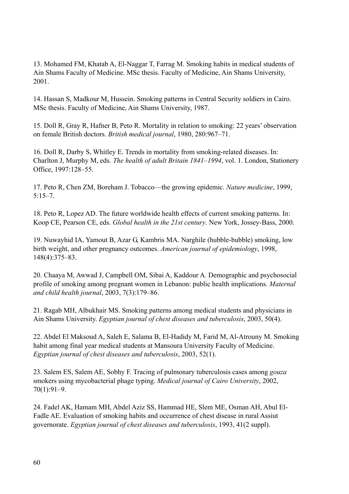13. Mohamed FM, Khatab A, El-Naggar T, Farrag M. Smoking habits in medical students of Ain Shams Faculty of Medicine. MSc thesis. Faculty of Medicine, Ain Shams University, 2001.

14. Hassan S, Madkour M, Hussein. Smoking patterns in Central Security soldiers in Cairo. MSc thesis. Faculty of Medicine, Ain Shams University, 1987.

15. Doll R, Gray R, Hafner B, Peto R. Mortality in relation to smoking: 22 years' observation on female British doctors. *British medical journal*, 1980, 280:967–71.

16. Doll R, Darby S, Whitley E. Trends in mortality from smoking-related diseases. In: Charlton J, Murphy M, eds. *The health of adult Britain 1841–1994*, vol. 1. London, Stationery Office, 1997:128–55.

17. Peto R, Chen ZM, Boreham J. Tobacco—the growing epidemic. *Nature medicine*, 1999,  $5:15-7.$ 

18. Peto R, Lopez AD. The future worldwide health effects of current smoking patterns. In: Koop CE, Pearson CE, eds. *Global health in the 21st century*. New York, Jossey-Bass, 2000.

19. Nuwayhid IA, Yamout B, Azar G, Kambris MA. Narghile (hubble-bubble) smoking, low birth weight, and other pregnancy outcomes. *American journal of epidemiology*, 1998, 148(4):375–83.

20. Chaaya M, Awwad J, Campbell OM, Sibai A, Kaddour A. Demographic and psychosocial profile of smoking among pregnant women in Lebanon: public health implications. *Maternal and child health journal*, 2003, 7(3):179–86.

21. Ragab MH, Albukhair MS. Smoking patterns among medical students and physicians in Ain Shams University. *Egyptian journal of chest diseases and tuberculosis*, 2003, 50(4).

22. Abdel El Maksoud A, Saleh E, Salama B, El-Hadidy M, Farid M, Al-Atrouny M. Smoking habit among final year medical students at Mansoura University Faculty of Medicine. *Egyptian journal of chest diseases and tuberculosis*, 2003, 52(1).

23. Salem ES, Salem AE, Sobhy F. Tracing of pulmonary tuberculosis cases among *gouza* smokers using mycobacterial phage typing. *Medical journal of Cairo University*, 2002, 70(1):91–9.

24. Fadel AK, Hamam MH, Abdel Aziz SS, Hammad HE, Slem ME, Osman AH, Abul El-Fadle AE. Evaluation of smoking habits and occurrence of chest disease in rural Assiut governorate. *Egyptian journal of chest diseases and tuberculosis*, 1993, 41(2 suppl).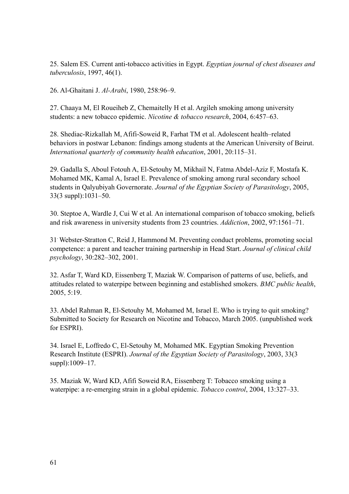25. Salem ES. Current anti-tobacco activities in Egypt. *Egyptian journal of chest diseases and tuberculosis*, 1997, 46(1).

26. Al-Ghaitani J. *Al-Arabi*, 1980, 258:96–9.

27. Chaaya M, El Roueiheb Z, Chemaitelly H et al. Argileh smoking among university students: a new tobacco epidemic. *Nicotine & tobacco research*, 2004, 6:457–63.

28. Shediac-Rizkallah M, Afifi-Soweid R, Farhat TM et al. Adolescent health–related behaviors in postwar Lebanon: findings among students at the American University of Beirut. *International quarterly of community health education*, 2001, 20:115–31.

29. Gadalla S, Aboul Fotouh A, El-Setouhy M, Mikhail N, Fatma Abdel-Aziz F, Mostafa K. Mohamed MK, Kamal A, Israel E. Prevalence of smoking among rural secondary school students in Qalyubiyah Governorate. *Journal of the Egyptian Society of Parasitology*, 2005, 33(3 suppl):1031–50.

30. Steptoe A, Wardle J, Cui W et al*.* An international comparison of tobacco smoking, beliefs and risk awareness in university students from 23 countries. *Addiction*, 2002, 97:1561–71.

31. Webster-Stratton C, Reid J, Hammond M. Preventing conduct problems, promoting social competence: a parent and teacher training partnership in Head Start. *Journal of clinical child psychology*, 30:282–302, 2001.

32. Asfar T, Ward KD, Eissenberg T, Maziak W. Comparison of patterns of use, beliefs, and attitudes related to waterpipe between beginning and established smokers. *BMC public health*, 2005, 5:19.

33. Abdel Rahman R, El-Setouhy M, Mohamed M, Israel E. Who is trying to quit smoking? Submitted to Society for Research on Nicotine and Tobacco, March 2005. (unpublished work for ESPRI).

34. Israel E, Loffredo C, El-Setouhy M, Mohamed MK. Egyptian Smoking Prevention Research Institute (ESPRI). *Journal of the Egyptian Society of Parasitology*, 2003, 33(3 suppl):1009–17.

35. Maziak W, Ward KD, Afifi Soweid RA, Eissenberg T: Tobacco smoking using a waterpipe: a re-emerging strain in a global epidemic. *Tobacco control*, 2004, 13:327–33.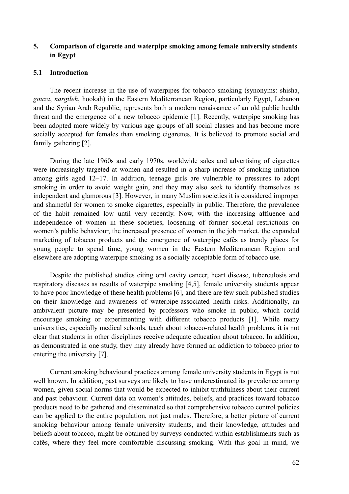# **5. Comparison of cigarette and waterpipe smoking among female university students in Egypt**

#### **5.1 Introduction**

The recent increase in the use of waterpipes for tobacco smoking (synonyms: shisha, *gouza*, *nargileh*, hookah) in the Eastern Mediterranean Region, particularly Egypt, Lebanon and the Syrian Arab Republic, represents both a modern renaissance of an old public health threat and the emergence of a new tobacco epidemic [1]. Recently, waterpipe smoking has been adopted more widely by various age groups of all social classes and has become more socially accepted for females than smoking cigarettes. It is believed to promote social and family gathering [2].

During the late 1960s and early 1970s, worldwide sales and advertising of cigarettes were increasingly targeted at women and resulted in a sharp increase of smoking initiation among girls aged 12–17. In addition, teenage girls are vulnerable to pressures to adopt smoking in order to avoid weight gain, and they may also seek to identify themselves as independent and glamorous [3]. However, in many Muslim societies it is considered improper and shameful for women to smoke cigarettes, especially in public. Therefore, the prevalence of the habit remained low until very recently. Now, with the increasing affluence and independence of women in these societies, loosening of former societal restrictions on women's public behaviour, the increased presence of women in the job market, the expanded marketing of tobacco products and the emergence of waterpipe cafés as trendy places for young people to spend time, young women in the Eastern Mediterranean Region and elsewhere are adopting waterpipe smoking as a socially acceptable form of tobacco use.

Despite the published studies citing oral cavity cancer, heart disease, tuberculosis and respiratory diseases as results of waterpipe smoking [4,5], female university students appear to have poor knowledge of these health problems [6], and there are few such published studies on their knowledge and awareness of waterpipe-associated health risks. Additionally, an ambivalent picture may be presented by professors who smoke in public, which could encourage smoking or experimenting with different tobacco products [1]. While many universities, especially medical schools, teach about tobacco-related health problems, it is not clear that students in other disciplines receive adequate education about tobacco. In addition, as demonstrated in one study, they may already have formed an addiction to tobacco prior to entering the university [7].

Current smoking behavioural practices among female university students in Egypt is not well known. In addition, past surveys are likely to have underestimated its prevalence among women, given social norms that would be expected to inhibit truthfulness about their current and past behaviour. Current data on women's attitudes, beliefs, and practices toward tobacco products need to be gathered and disseminated so that comprehensive tobacco control policies can be applied to the entire population, not just males. Therefore, a better picture of current smoking behaviour among female university students, and their knowledge, attitudes and beliefs about tobacco, might be obtained by surveys conducted within establishments such as cafés, where they feel more comfortable discussing smoking. With this goal in mind, we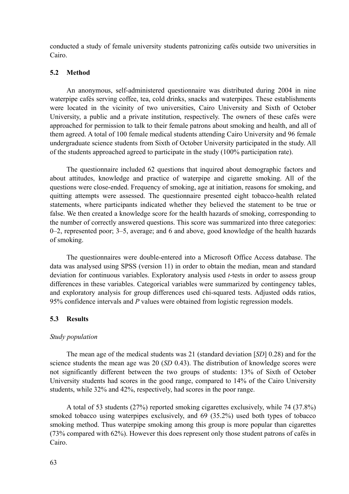conducted a study of female university students patronizing cafés outside two universities in Cairo.

### **5.2 Method**

An anonymous, self-administered questionnaire was distributed during 2004 in nine waterpipe cafés serving coffee, tea, cold drinks, snacks and waterpipes. These establishments were located in the vicinity of two universities, Cairo University and Sixth of October University, a public and a private institution, respectively. The owners of these cafés were approached for permission to talk to their female patrons about smoking and health, and all of them agreed. A total of 100 female medical students attending Cairo University and 96 female undergraduate science students from Sixth of October University participated in the study. All of the students approached agreed to participate in the study (100% participation rate).

The questionnaire included 62 questions that inquired about demographic factors and about attitudes, knowledge and practice of waterpipe and cigarette smoking. All of the questions were close-ended. Frequency of smoking, age at initiation, reasons for smoking, and quitting attempts were assessed. The questionnaire presented eight tobacco-health related statements, where participants indicated whether they believed the statement to be true or false. We then created a knowledge score for the health hazards of smoking, corresponding to the number of correctly answered questions. This score was summarized into three categories: 0–2, represented poor; 3–5, average; and 6 and above, good knowledge of the health hazards of smoking.

The questionnaires were double-entered into a Microsoft Office Access database. The data was analysed using SPSS (version 11) in order to obtain the median, mean and standard deviation for continuous variables. Exploratory analysis used *t*-tests in order to assess group differences in these variables. Categorical variables were summarized by contingency tables, and exploratory analysis for group differences used chi-squared tests. Adjusted odds ratios, 95% confidence intervals and *P* values were obtained from logistic regression models.

#### **5.3 Results**

#### *Study population*

The mean age of the medical students was 21 (standard deviation [*SD*] 0.28) and for the science students the mean age was 20 (*SD* 0.43). The distribution of knowledge scores were not significantly different between the two groups of students: 13% of Sixth of October University students had scores in the good range, compared to 14% of the Cairo University students, while 32% and 42%, respectively, had scores in the poor range.

A total of 53 students (27%) reported smoking cigarettes exclusively, while 74 (37.8%) smoked tobacco using waterpipes exclusively, and 69 (35.2%) used both types of tobacco smoking method. Thus waterpipe smoking among this group is more popular than cigarettes (73% compared with 62%). However this does represent only those student patrons of cafés in Cairo.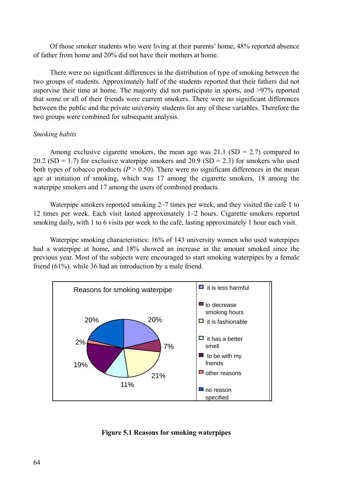Of those smoker students who were living at their parents' home, 48% reported absence of father from home and 20% did not have their mothers at home.

There were no significant differences in the distribution of type of smoking between the two groups of students. Approximately half of the students reported that their fathers did not supervise their time at home. The majority did not participate in sports, and >97% reported that some or all of their friends were current smokers. There were no significant differences between the public and the private university students for any of these variables. Therefore the two groups were combined for subsequent analysis.

# *Smoking habits*

Among exclusive cigarette smokers, the mean age was  $21.1$  (SD = 2.7) compared to 20.2 (SD = 1.7) for exclusive waterpipe smokers and 20.9 (SD = 2.3) for smokers who used both types of tobacco products ( $P > 0.50$ ). There were no significant differences in the mean age at initiation of smoking, which was 17 among the cigarette smokers, 18 among the waterpipe smokers and 17 among the users of combined products.

Waterpipe smokers reported smoking 2–7 times per week, and they visited the café 1 to 12 times per week. Each visit lasted approximately 1–2 hours. Cigarette smokers reported smoking daily, with 1 to 6 visits per week to the café, lasting approximately 1 hour each visit.

Waterpipe smoking characteristics: 16% of 143 university women who used waterpipes had a waterpipe at home, and 18% showed an increase in the amount smoked since the previous year. Most of the subjects were encouraged to start smoking waterpipes by a female friend (61%). while 36 had an introduction by a male friend.



**Figure 5.1 Reasons for smoking waterpipes**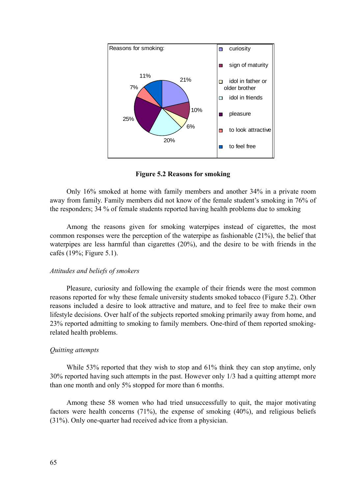

**Figure 5.2 Reasons for smoking** 

Only 16% smoked at home with family members and another 34% in a private room away from family. Family members did not know of the female student's smoking in 76% of the responders; 34 % of female students reported having health problems due to smoking

Among the reasons given for smoking waterpipes instead of cigarettes, the most common responses were the perception of the waterpipe as fashionable (21%), the belief that waterpipes are less harmful than cigarettes (20%), and the desire to be with friends in the cafés (19%; Figure 5.1).

#### *Attitudes and beliefs of smokers*

Pleasure, curiosity and following the example of their friends were the most common reasons reported for why these female university students smoked tobacco (Figure 5.2). Other reasons included a desire to look attractive and mature, and to feel free to make their own lifestyle decisions. Over half of the subjects reported smoking primarily away from home, and 23% reported admitting to smoking to family members. One-third of them reported smokingrelated health problems.

#### *Quitting attempts*

While 53% reported that they wish to stop and 61% think they can stop anytime, only 30% reported having such attempts in the past. However only 1/3 had a quitting attempt more than one month and only 5% stopped for more than 6 months.

Among these 58 women who had tried unsuccessfully to quit, the major motivating factors were health concerns (71%), the expense of smoking (40%), and religious beliefs (31%). Only one-quarter had received advice from a physician.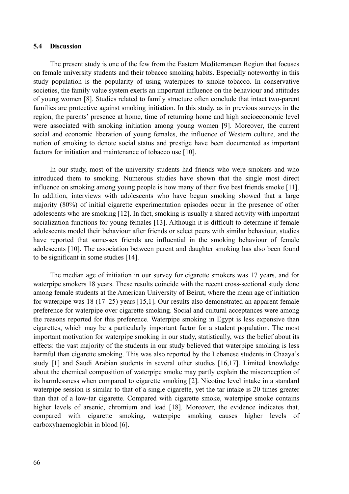### **5.4 Discussion**

The present study is one of the few from the Eastern Mediterranean Region that focuses on female university students and their tobacco smoking habits. Especially noteworthy in this study population is the popularity of using waterpipes to smoke tobacco. In conservative societies, the family value system exerts an important influence on the behaviour and attitudes of young women [8]. Studies related to family structure often conclude that intact two-parent families are protective against smoking initiation. In this study, as in previous surveys in the region, the parents' presence at home, time of returning home and high socioeconomic level were associated with smoking initiation among young women [9]. Moreover, the current social and economic liberation of young females, the influence of Western culture, and the notion of smoking to denote social status and prestige have been documented as important factors for initiation and maintenance of tobacco use [10].

In our study, most of the university students had friends who were smokers and who introduced them to smoking. Numerous studies have shown that the single most direct influence on smoking among young people is how many of their five best friends smoke [11]. In addition, interviews with adolescents who have begun smoking showed that a large majority (80%) of initial cigarette experimentation episodes occur in the presence of other adolescents who are smoking [12]. In fact, smoking is usually a shared activity with important socialization functions for young females [13]. Although it is difficult to determine if female adolescents model their behaviour after friends or select peers with similar behaviour, studies have reported that same-sex friends are influential in the smoking behaviour of female adolescents [10]. The association between parent and daughter smoking has also been found to be significant in some studies [14].

The median age of initiation in our survey for cigarette smokers was 17 years, and for waterpipe smokers 18 years. These results coincide with the recent cross-sectional study done among female students at the American University of Beirut, where the mean age of initiation for waterpipe was 18 (17–25) years [15,1]. Our results also demonstrated an apparent female preference for waterpipe over cigarette smoking. Social and cultural acceptances were among the reasons reported for this preference. Waterpipe smoking in Egypt is less expensive than cigarettes, which may be a particularly important factor for a student population. The most important motivation for waterpipe smoking in our study, statistically, was the belief about its effects: the vast majority of the students in our study believed that waterpipe smoking is less harmful than cigarette smoking. This was also reported by the Lebanese students in Chaaya's study [1] and Saudi Arabian students in several other studies [16,17]. Limited knowledge about the chemical composition of waterpipe smoke may partly explain the misconception of its harmlessness when compared to cigarette smoking [2]. Nicotine level intake in a standard waterpipe session is similar to that of a single cigarette, yet the tar intake is 20 times greater than that of a low-tar cigarette. Compared with cigarette smoke, waterpipe smoke contains higher levels of arsenic, chromium and lead [18]. Moreover, the evidence indicates that, compared with cigarette smoking, waterpipe smoking causes higher levels of carboxyhaemoglobin in blood [6].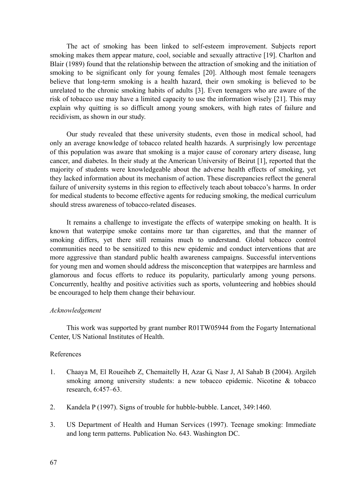The act of smoking has been linked to self-esteem improvement. Subjects report smoking makes them appear mature, cool, sociable and sexually attractive [19]. Charlton and Blair (1989) found that the relationship between the attraction of smoking and the initiation of smoking to be significant only for young females [20]. Although most female teenagers believe that long-term smoking is a health hazard, their own smoking is believed to be unrelated to the chronic smoking habits of adults [3]. Even teenagers who are aware of the risk of tobacco use may have a limited capacity to use the information wisely [21]. This may explain why quitting is so difficult among young smokers, with high rates of failure and recidivism, as shown in our study.

Our study revealed that these university students, even those in medical school, had only an average knowledge of tobacco related health hazards. A surprisingly low percentage of this population was aware that smoking is a major cause of coronary artery disease, lung cancer, and diabetes. In their study at the American University of Beirut [1], reported that the majority of students were knowledgeable about the adverse health effects of smoking, yet they lacked information about its mechanism of action. These discrepancies reflect the general failure of university systems in this region to effectively teach about tobacco's harms. In order for medical students to become effective agents for reducing smoking, the medical curriculum should stress awareness of tobacco-related diseases.

It remains a challenge to investigate the effects of waterpipe smoking on health. It is known that waterpipe smoke contains more tar than cigarettes, and that the manner of smoking differs, yet there still remains much to understand. Global tobacco control communities need to be sensitized to this new epidemic and conduct interventions that are more aggressive than standard public health awareness campaigns. Successful interventions for young men and women should address the misconception that waterpipes are harmless and glamorous and focus efforts to reduce its popularity, particularly among young persons. Concurrently, healthy and positive activities such as sports, volunteering and hobbies should be encouraged to help them change their behaviour.

### *Acknowledgement*

This work was supported by grant number R01TW05944 from the Fogarty International Center, US National Institutes of Health.

# References

- 1. Chaaya M, El Roueiheb Z, Chemaitelly H, Azar G, Nasr J, Al Sahab B (2004). Argileh smoking among university students: a new tobacco epidemic. Nicotine & tobacco research, 6:457–63.
- 2. Kandela P (1997). Signs of trouble for hubble-bubble. Lancet, 349:1460.
- 3. US Department of Health and Human Services (1997). Teenage smoking: Immediate and long term patterns. Publication No. 643. Washington DC.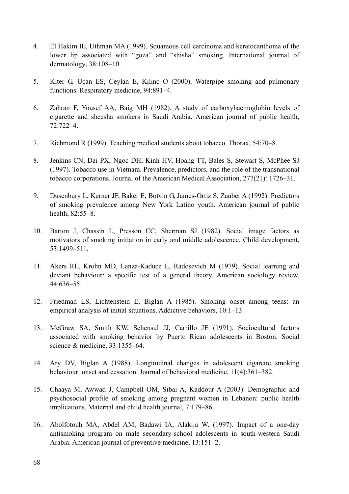- 4. El Hakim IE, Uthman MA (1999). Squamous cell carcinoma and keratocanthoma of the lower lip associated with "goza" and "shisha" smoking. International journal of dermatology, 38:108–10.
- 5. Kiter G, Uçan ES, Ceylan E, Kılınç O (2000). Waterpipe smoking and pulmonary functions. Respiratory medicine, 94:891–4.
- 6. Zahran F, Yousef AA, Baig MH (1982). A study of carboxyhaemoglobin levels of cigarette and sheesha smokers in Saudi Arabia. American journal of public health, 72:722–4.
- 7. Richmond R (1999). Teaching medical students about tobacco. Thorax, 54:70–8.
- 8. Jenkins CN, Dai PX, Ngoc DH, Kinh HV, Hoang TT, Bales S, Stewart S, McPhee SJ (1997). Tobacco use in Vietnam. Prevalence, predictors, and the role of the transnational tobacco corporations. Journal of the American Medical Association, 277(21): 1726–31.
- 9. Dusenbury L, Kerner JF, Baker E, Botvin G, James-Ortiz S, Zauber A (1992). Predictors of smoking prevalence among New York Latino youth. American journal of public health, 82:55–8.
- 10. Barton J, Chassin L, Presson CC, Sherman SJ (1982). Social image factors as motivators of smoking initiation in early and middle adolescence. Child development, 53:1499–511.
- 11. Akers RL, Krohn MD, Lanza-Kaduce L, Radosevich M (1979). Social learning and deviant behaviour: a specific test of a general theory. American sociology review, 44:636–55.
- 12. Friedman LS, Lichtenstein E, Biglan A (1985). Smoking onset among teens: an empirical analysis of initial situations. Addictive behaviors, 10:1–13.
- 13. McGraw SA, Smith KW, Schensul JJ, Carrillo JE (1991). Sociocultural factors associated with smoking behavior by Puerto Rican adolescents in Boston. Social science & medicine, 33:1355–64.
- 14. Ary DV, Biglan A (1988). Longitudinal changes in adolescent cigarette smoking behaviour: onset and cessation. Journal of behavioral medicine, 11(4):361–382.
- 15. Chaaya M, Awwad J, Campbell OM, Sibai A, Kaddour A (2003). Demographic and psychosocial profile of smoking among pregnant women in Lebanon: public health implications. Maternal and child health journal, 7:179–86.
- 16. Abolfotouh MA, Abdel AM, Badawi IA, Alakija W. (1997). Impact of a one-day antismoking program on male secondary-school adolescents in south-western Saudi Arabia. American journal of preventive medicine, 13:151–2.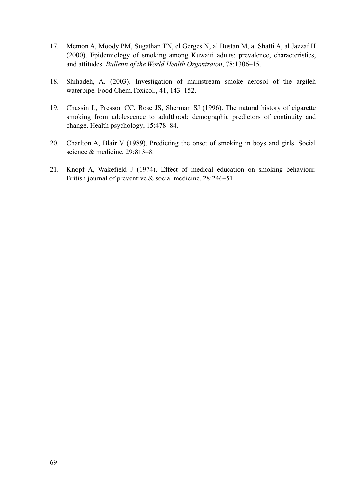- 17. Memon A, Moody PM, Sugathan TN, el Gerges N, al Bustan M, al Shatti A, al Jazzaf H (2000). Epidemiology of smoking among Kuwaiti adults: prevalence, characteristics, and attitudes. *Bulletin of the World Health Organizaton*, 78:1306–15.
- 18. Shihadeh, A. (2003). Investigation of mainstream smoke aerosol of the argileh waterpipe. Food Chem.Toxicol., 41, 143–152.
- 19. Chassin L, Presson CC, Rose JS, Sherman SJ (1996). The natural history of cigarette smoking from adolescence to adulthood: demographic predictors of continuity and change. Health psychology, 15:478–84.
- 20. Charlton A, Blair V (1989). Predicting the onset of smoking in boys and girls. Social science & medicine, 29:813–8.
- 21. Knopf A, Wakefield J (1974). Effect of medical education on smoking behaviour. British journal of preventive & social medicine, 28:246–51.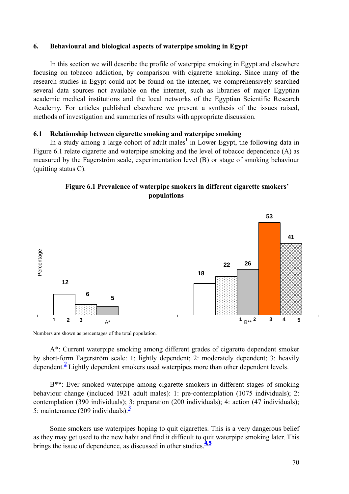# **6. Behavioural and biological aspects of waterpipe smoking in Egypt**

In this section we will describe the profile of waterpipe smoking in Egypt and elsewhere focusing on tobacco addiction, by comparison with cigarette smoking. Since many of the research studies in Egypt could not be found on the internet, we comprehensively searched several data sources not available on the internet, such as libraries of major Egyptian academic medical institutions and the local networks of the Egyptian Scientific Research Academy. For articles published elsewhere we present a synthesis of the issues raised, methods of investigation and summaries of results with appropriate discussion.

# **6.1 Relationship between cigarette smoking and waterpipe smoking**

In a study among a large cohort of adult males<sup>1</sup> in Lower Egypt, the following data in Figure 6.1 relate cigarette and waterpipe smoking and the level of tobacco dependence (A) as measured by the Fagerström scale, experimentation level (B) or stage of smoking behaviour (quitting status C).





Numbers are shown as percentages of the total population.

A\*: Current waterpipe smoking among different grades of cigarette dependent smoker by short-form Fagerström scale: 1: lightly dependent; 2: moderately dependent; 3: heavily dependent.<sup>2</sup> Lightly dependent smokers used waterpipes more than other dependent levels.

B\*\*: Ever smoked waterpipe among cigarette smokers in different stages of smoking behaviour change (included 1921 adult males): 1: pre-contemplation (1075 individuals); 2: contemplation (390 individuals); 3: preparation (200 individuals); 4: action (47 individuals); 5: maintenance (209 individuals). $\frac{3}{2}$ 

Some smokers use waterpipes hoping to quit cigarettes. This is a very dangerous belief as they may get used to the new habit and find it difficult to quit waterpipe smoking later. This brings the issue of dependence, as discussed in other studies.**4,<sup>5</sup>**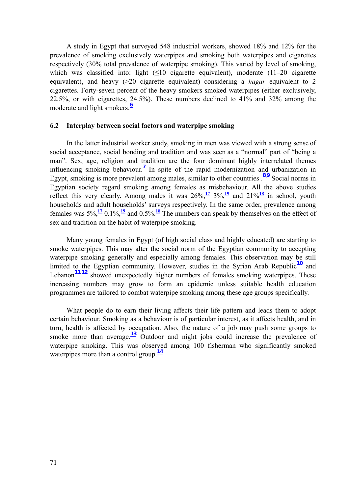A study in Egypt that surveyed 548 industrial workers, showed 18% and 12% for the prevalence of smoking exclusively waterpipes and smoking both waterpipes and cigarettes respectively (30% total prevalence of waterpipe smoking). This varied by level of smoking, which was classified into: light  $(≤10$  cigarette equivalent), moderate  $(11–20$  cigarette equivalent), and heavy (>20 cigarette equivalent) considering a *hagar* equivalent to 2 cigarettes. Forty-seven percent of the heavy smokers smoked waterpipes (either exclusively, 22.5%, or with cigarettes, 24.5%). These numbers declined to 41% and 32% among the moderate and light smokers.**<sup>6</sup>**

## **6.2 Interplay between social factors and waterpipe smoking**

In the latter industrial worker study, smoking in men was viewed with a strong sense of social acceptance, social bonding and tradition and was seen as a "normal" part of "being a man". Sex, age, religion and tradition are the four dominant highly interrelated themes influencing smoking behaviour.<sup>7</sup> In spite of the rapid modernization and urbanization in Egypt, smoking is more prevalent among males, similar to other countries  $\frac{8.9}{1}$  Social norms in Egyptian society regard smoking among females as misbehaviour. All the above studies reflect this very clearly. Among males it was  $26\frac{\sqrt{17}}{3}\frac{3}{\sqrt{12}}$  and  $21\frac{\sqrt{18}}{2}$  in school, youth households and adult households' surveys respectively. In the same order, prevalence among females was  $5\%$ ,  $\frac{17}{12}$  0.1%,  $\frac{19}{12}$  and 0.5%. <sup>18</sup> The numbers can speak by themselves on the effect of sex and tradition on the habit of waterpipe smoking.

Many young females in Egypt (of high social class and highly educated) are starting to smoke waterpipes. This may alter the social norm of the Egyptian community to accepting waterpipe smoking generally and especially among females. This observation may be still limited to the Egyptian community. However, studies in the Syrian Arab Republic**10** and Lebanon<sup>11,12</sup> showed unexpectedly higher numbers of females smoking waterpipes. These increasing numbers may grow to form an epidemic unless suitable health education programmes are tailored to combat waterpipe smoking among these age groups specifically.

What people do to earn their living affects their life pattern and leads them to adopt certain behaviour. Smoking as a behaviour is of particular interest, as it affects health, and in turn, health is affected by occupation. Also, the nature of a job may push some groups to smoke more than average.<sup>13</sup> Outdoor and night jobs could increase the prevalence of waterpipe smoking. This was observed among 100 fisherman who significantly smoked waterpipes more than a control group.<sup>14</sup>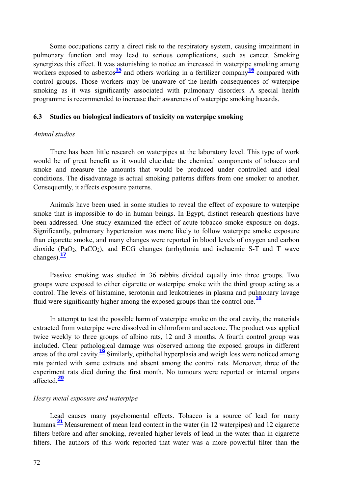Some occupations carry a direct risk to the respiratory system, causing impairment in pulmonary function and may lead to serious complications, such as cancer. Smoking synergizes this effect. It was astonishing to notice an increased in waterpipe smoking among workers exposed to asbestos<sup>15</sup> and others working in a fertilizer company<sup>16</sup> compared with control groups. Those workers may be unaware of the health consequences of waterpipe smoking as it was significantly associated with pulmonary disorders. A special health programme is recommended to increase their awareness of waterpipe smoking hazards.

## **6.3 Studies on biological indicators of toxicity on waterpipe smoking**

### *Animal studies*

There has been little research on waterpipes at the laboratory level. This type of work would be of great benefit as it would elucidate the chemical components of tobacco and smoke and measure the amounts that would be produced under controlled and ideal conditions. The disadvantage is actual smoking patterns differs from one smoker to another. Consequently, it affects exposure patterns.

Animals have been used in some studies to reveal the effect of exposure to waterpipe smoke that is impossible to do in human beings. In Egypt, distinct research questions have been addressed. One study examined the effect of acute tobacco smoke exposure on dogs. Significantly, pulmonary hypertension was more likely to follow waterpipe smoke exposure than cigarette smoke, and many changes were reported in blood levels of oxygen and carbon dioxide (PaO<sub>2</sub>, PaCO<sub>2</sub>), and ECG changes (arrhythmia and ischaemic S-T and T wave changes). $\frac{17}{2}$ 

Passive smoking was studied in 36 rabbits divided equally into three groups. Two groups were exposed to either cigarette or waterpipe smoke with the third group acting as a control. The levels of histamine, serotonin and leukotrienes in plasma and pulmonary lavage fluid were significantly higher among the exposed groups than the control one.**<sup>18</sup>**

In attempt to test the possible harm of waterpipe smoke on the oral cavity, the materials extracted from waterpipe were dissolved in chloroform and acetone. The product was applied twice weekly to three groups of albino rats, 12 and 3 months. A fourth control group was included. Clear pathological damage was observed among the exposed groups in different areas of the oral cavity.**19** Similarly, epithelial hyperplasia and weigh loss were noticed among rats painted with same extracts and absent among the control rats. Moreover, three of the experiment rats died during the first month. No tumours were reported or internal organs affected.**<sup>20</sup>**

#### *Heavy metal exposure and waterpipe*

Lead causes many psychomental effects. Tobacco is a source of lead for many humans.**21** Measurement of mean lead content in the water (in 12 waterpipes) and 12 cigarette filters before and after smoking, revealed higher levels of lead in the water than in cigarette filters. The authors of this work reported that water was a more powerful filter than the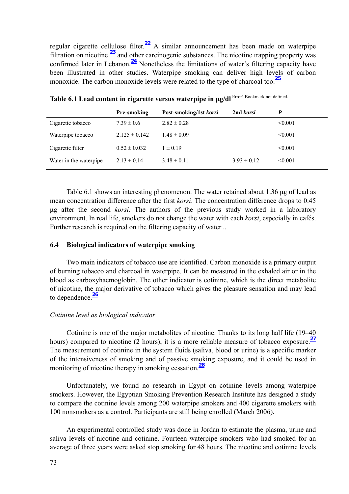regular cigarette cellulose filter.**22** A similar announcement has been made on waterpipe filtration on nicotine **23** and other carcinogenic substances. The nicotine trapping property was confirmed later in Lebanon.**24** Nonetheless the limitations of water's filtering capacity have been illustrated in other studies. Waterpipe smoking can deliver high levels of carbon monoxide. The carbon monoxide levels were related to the type of charcoal too.**<sup>25</sup>**

|                        | <b>Pre-smoking</b> | Post-smoking/1st korsi | 2nd korsi       | P            |
|------------------------|--------------------|------------------------|-----------------|--------------|
| Cigarette tobacco      | $7.39 \pm 0.6$     | $2.82 \pm 0.28$        |                 | < 0.001      |
| Waterpipe tobacco      | $2.125 \pm 0.142$  | $1.48 \pm 0.09$        |                 | < 0.001      |
| Cigarette filter       | $0.52 \pm 0.032$   | $1 \pm 0.19$           |                 | $\leq 0.001$ |
| Water in the waterpipe | $2.13 \pm 0.14$    | $3.48 \pm 0.11$        | $3.93 \pm 0.12$ | $\leq 0.001$ |

**Table 6.1 Lead content in cigarette versus waterpipe in μg/dl** Error! Bookmark not defined.

Table 6.1 shows an interesting phenomenon. The water retained about 1.36 μg of lead as mean concentration difference after the first *korsi*. The concentration difference drops to 0.45 μg after the second *korsi*. The authors of the previous study worked in a laboratory environment. In real life, smokers do not change the water with each *korsi*, especially in cafés. Further research is required on the filtering capacity of water ..

#### **6.4 Biological indicators of waterpipe smoking**

Two main indicators of tobacco use are identified. Carbon monoxide is a primary output of burning tobacco and charcoal in waterpipe. It can be measured in the exhaled air or in the blood as carboxyhaemoglobin. The other indicator is cotinine, which is the direct metabolite of nicotine, the major derivative of tobacco which gives the pleasure sensation and may lead to dependence.**<sup>26</sup>**

#### *Cotinine level as biological indicator*

Cotinine is one of the major metabolites of nicotine. Thanks to its long half life (19–40 hours) compared to nicotine (2 hours), it is a more reliable measure of tobacco exposure.<sup>27</sup> The measurement of cotinine in the system fluids (saliva, blood or urine) is a specific marker of the intensiveness of smoking and of passive smoking exposure, and it could be used in monitoring of nicotine therapy in smoking cessation.**<sup>28</sup>**

Unfortunately, we found no research in Egypt on cotinine levels among waterpipe smokers. However, the Egyptian Smoking Prevention Research Institute has designed a study to compare the cotinine levels among 200 waterpipe smokers and 400 cigarette smokers with 100 nonsmokers as a control. Participants are still being enrolled (March 2006).

An experimental controlled study was done in Jordan to estimate the plasma, urine and saliva levels of nicotine and cotinine. Fourteen waterpipe smokers who had smoked for an average of three years were asked stop smoking for 48 hours. The nicotine and cotinine levels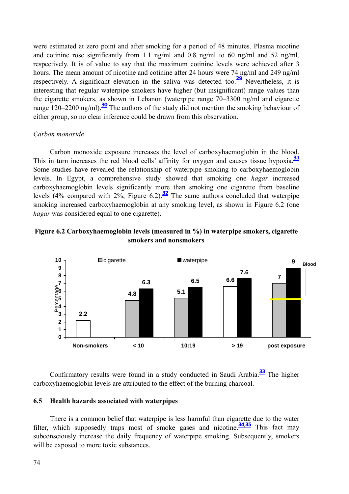were estimated at zero point and after smoking for a period of 48 minutes. Plasma nicotine and cotinine rose significantly from 1.1 ng/ml and 0.8 ng/ml to 60 ng/ml and 52 ng/ml, respectively. It is of value to say that the maximum cotinine levels were achieved after 3 hours. The mean amount of nicotine and cotinine after 24 hours were 74 ng/ml and 249 ng/ml respectively. A significant elevation in the saliva was detected too.**29** Nevertheless, it is interesting that regular waterpipe smokers have higher (but insignificant) range values than the cigarette smokers, as shown in Lebanon (waterpipe range 70–3300 ng/ml and cigarette range 120–2200 ng/ml).**30** The authors of the study did not mention the smoking behaviour of either group, so no clear inference could be drawn from this observation.

## *Carbon monoxide*

Carbon monoxide exposure increases the level of carboxyhaemoglobin in the blood. This in turn increases the red blood cells' affinity for oxygen and causes tissue hypoxia.**<sup>31</sup>** Some studies have revealed the relationship of waterpipe smoking to carboxyhaemoglobin levels. In Egypt, a comprehensive study showed that smoking one *hagar* increased carboxyhaemoglobin levels significantly more than smoking one cigarette from baseline levels (4% compared with  $2\%$ ; Figure 6.2).<sup>32</sup> The same authors concluded that waterpipe smoking increased carboxyhaemoglobin at any smoking level, as shown in Figure 6.2 (one *hagar* was considered equal to one cigarette).





Confirmatory results were found in a study conducted in Saudi Arabia.**33** The higher carboxyhaemoglobin levels are attributed to the effect of the burning charcoal.

## **6.5 Health hazards associated with waterpipes**

There is a common belief that waterpipe is less harmful than cigarette due to the water filter, which supposedly traps most of smoke gases and nicotine.**34,35** This fact may subconsciously increase the daily frequency of waterpipe smoking. Subsequently, smokers will be exposed to more toxic substances.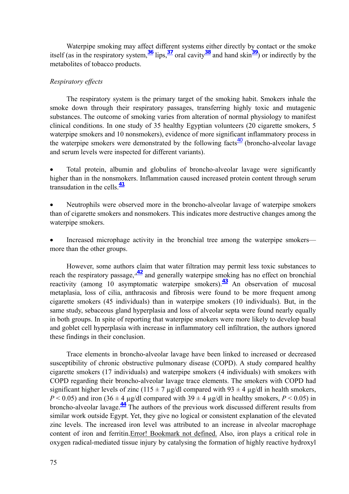Waterpipe smoking may affect different systems either directly by contact or the smoke itself (as in the respiratory system,**36** lips,**37** oral cavity**38** and hand skin**39**) or indirectly by the metabolites of tobacco products.

## *Respiratory effects*

The respiratory system is the primary target of the smoking habit. Smokers inhale the smoke down through their respiratory passages, transferring highly toxic and mutagenic substances. The outcome of smoking varies from alteration of normal physiology to manifest clinical conditions. In one study of 35 healthy Egyptian volunteers (20 cigarette smokers, 5 waterpipe smokers and 10 nonsmokers), evidence of more significant inflammatory process in the waterpipe smokers were demonstrated by the following facts<sup> $\frac{40}{40}$ </sup> (broncho-alveolar lavage and serum levels were inspected for different variants).

• Total protein, albumin and globulins of broncho-alveolar lavage were significantly higher than in the nonsmokers. Inflammation caused increased protein content through serum transudation in the cells.**<sup>41</sup>**

• Neutrophils were observed more in the broncho-alveolar lavage of waterpipe smokers than of cigarette smokers and nonsmokers. This indicates more destructive changes among the waterpipe smokers.

Increased microphage activity in the bronchial tree among the waterpipe smokers more than the other groups.

However, some authors claim that water filtration may permit less toxic substances to reach the respiratory passage,  $\frac{42}{ }$  and generally waterpipe smoking has no effect on bronchial reactivity (among 10 asymptomatic waterpipe smokers).**43** An observation of mucosal metaplasia, loss of cilia, anthracosis and fibrosis were found to be more frequent among cigarette smokers (45 individuals) than in waterpipe smokers (10 individuals). But, in the same study, sebaceous gland hyperplasia and loss of alveolar septa were found nearly equally in both groups. In spite of reporting that waterpipe smokers were more likely to develop basal and goblet cell hyperplasia with increase in inflammatory cell infiltration, the authors ignored these findings in their conclusion.

Trace elements in broncho-alveolar lavage have been linked to increased or decreased susceptibility of chronic obstructive pulmonary disease (COPD). A study compared healthy cigarette smokers (17 individuals) and waterpipe smokers (4 individuals) with smokers with COPD regarding their broncho-alveolar lavage trace elements. The smokers with COPD had significant higher levels of zinc (115  $\pm$  7 µg/dl compared with 93  $\pm$  4 µg/dl in health smokers,  $P < 0.05$ ) and iron (36  $\pm$  4 µg/dl compared with 39  $\pm$  4 µg/dl in healthy smokers, *P* < 0.05) in broncho-alveolar lavage.**44** The authors of the previous work discussed different results from similar work outside Egypt. Yet, they give no logical or consistent explanation of the elevated zinc levels. The increased iron level was attributed to an increase in alveolar macrophage content of iron and ferritin.Error! Bookmark not defined. Also, iron plays a critical role in oxygen radical-mediated tissue injury by catalysing the formation of highly reactive hydroxyl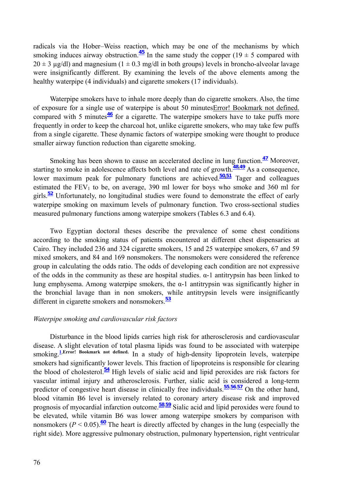radicals via the Hober–Weiss reaction, which may be one of the mechanisms by which smoking induces airway obstruction.<sup>45</sup> In the same study the copper (19  $\pm$  5 compared with  $20 \pm 3$  µg/dl) and magnesium (1  $\pm$  0.3 mg/dl in both groups) levels in broncho-alveolar lavage were insignificantly different. By examining the levels of the above elements among the healthy waterpipe (4 individuals) and cigarette smokers (17 individuals).

Waterpipe smokers have to inhale more deeply than do cigarette smokers. Also, the time of exposure for a single use of waterpipe is about 50 minutesError! Bookmark not defined. compared with 5 minutes $\frac{46}{10}$  for a cigarette. The waterpipe smokers have to take puffs more frequently in order to keep the charcoal hot, unlike cigarette smokers, who may take few puffs from a single cigarette. These dynamic factors of waterpipe smoking were thought to produce smaller airway function reduction than cigarette smoking.

Smoking has been shown to cause an accelerated decline in lung function.**<sup>47</sup>** Moreover, starting to smoke in adolescence affects both level and rate of growth.<sup>48,49</sup> As a consequence, lower maximum peak for pulmonary functions are achieved.<sup>50,51</sup> Tager and colleagues estimated the  $FEV<sub>1</sub>$  to be, on average, 390 ml lower for boys who smoke and 360 ml for girls.**<sup>52</sup>** Unfortunately, no longitudinal studies were found to demonstrate the effect of early waterpipe smoking on maximum levels of pulmonary function. Two cross-sectional studies measured pulmonary functions among waterpipe smokers (Tables 6.3 and 6.4).

Two Egyptian doctoral theses describe the prevalence of some chest conditions according to the smoking status of patients encountered at different chest dispensaries at Cairo. They included 236 and 324 cigarette smokers, 15 and 25 waterpipe smokers, 67 and 59 mixed smokers, and 84 and 169 nonsmokers. The nonsmokers were considered the reference group in calculating the odds ratio. The odds of developing each condition are not expressive of the odds in the community as these are hospital studies.  $\alpha$ -1 antitrypsin has been linked to lung emphysema. Among waterpipe smokers, the α-1 antitrypsin was significantly higher in the bronchial lavage than in non smokers, while antitrypsin levels were insignificantly different in cigarette smokers and nonsmokers.**<sup>53</sup>**

## *Waterpipe smoking and cardiovascular risk factors*

Disturbance in the blood lipids carries high risk for atherosclerosis and cardiovascular disease. A slight elevation of total plasma lipids was found to be associated with waterpipe smoking.<sup>1</sup>, Error! Bookmark not defined. In a study of high-density lipoprotein levels, waterpipe smokers had significantly lower levels. This fraction of lipoproteins is responsible for clearing the blood of cholesterol.**<sup>54</sup>** High levels of sialic acid and lipid peroxides are risk factors for vascular intimal injury and atherosclerosis. Further, sialic acid is considered a long-term predictor of congestive heart disease in clinically free individuals.**<sup>55</sup>**,**56**,**<sup>57</sup>** On the other hand, blood vitamin B6 level is inversely related to coronary artery disease risk and improved prognosis of myocardial infarction outcome.**<sup>58</sup>**,**<sup>59</sup>** Sialic acid and lipid peroxides were found to be elevated, while vitamin B6 was lower among waterpipe smokers by comparison with nonsmokers ( $P < 0.05$ ).<sup>60</sup> The heart is directly affected by changes in the lung (especially the right side). More aggressive pulmonary obstruction, pulmonary hypertension, right ventricular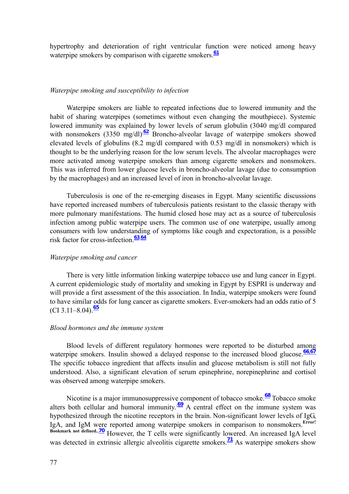hypertrophy and deterioration of right ventricular function were noticed among heavy waterpipe smokers by comparison with cigarette smokers.<sup>61</sup>

#### *Waterpipe smoking and susceptibility to infection*

Waterpipe smokers are liable to repeated infections due to lowered immunity and the habit of sharing waterpipes (sometimes without even changing the mouthpiece). Systemic lowered immunity was explained by lower levels of serum globulin (3040 mg/dl compared with nonsmokers (3350 mg/dl) $\frac{62}{2}$  Broncho-alveolar lavage of waterpipe smokers showed elevated levels of globulins (8.2 mg/dl compared with 0.53 mg/dl in nonsmokers) which is thought to be the underlying reason for the low serum levels. The alveolar macrophages were more activated among waterpipe smokers than among cigarette smokers and nonsmokers. This was inferred from lower glucose levels in broncho-alveolar lavage (due to consumption by the macrophages) and an increased level of iron in broncho-alveolar lavage.

Tuberculosis is one of the re-emerging diseases in Egypt. Many scientific discussions have reported increased numbers of tuberculosis patients resistant to the classic therapy with more pulmonary manifestations. The humid closed hose may act as a source of tuberculosis infection among public waterpipe users. The common use of one waterpipe, usually among consumers with low understanding of symptoms like cough and expectoration, is a possible risk factor for cross-infection.**<sup>63</sup>**,**<sup>64</sup>**

#### *Waterpipe smoking and cancer*

There is very little information linking waterpipe tobacco use and lung cancer in Egypt. A current epidemiologic study of mortality and smoking in Egypt by ESPRI is underway and will provide a first assessment of the this association. In India, waterpipe smokers were found to have similar odds for lung cancer as cigarette smokers. Ever-smokers had an odds ratio of 5  $(CI 3.11–8.04).$ <sup>65</sup>

#### *Blood hormones and the immune system*

Blood levels of different regulatory hormones were reported to be disturbed among waterpipe smokers. Insulin showed a delayed response to the increased blood glucose.<sup>66,67</sup> The specific tobacco ingredient that affects insulin and glucose metabolism is still not fully understood. Also, a significant elevation of serum epinephrine, norepinephrine and cortisol was observed among waterpipe smokers.

Nicotine is a major immunosuppressive component of tobacco smoke.**68** Tobacco smoke alters both cellular and humoral immunity. $\frac{69}{9}$  A central effect on the immune system was hypothesized through the nicotine receptors in the brain. Non-significant lower levels of IgG, IgA, and IgM were reported among waterpipe smokers in comparison to nonsmokers.**Error!**  Bookmark not defined.<sup>70</sup> However, the T cells were significantly lowered. An increased IgA level was detected in extrinsic allergic alveolitis cigarette smokers.<sup>71</sup> As waterpipe smokers show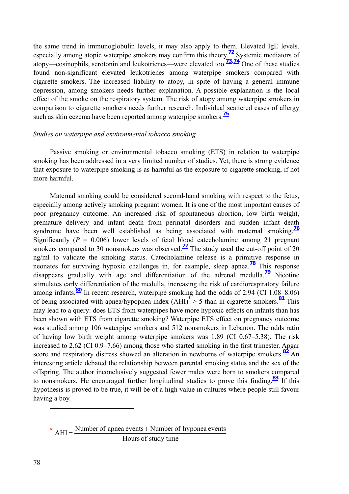the same trend in immunoglobulin levels, it may also apply to them. Elevated IgE levels, especially among atopic waterpipe smokers may confirm this theory.**72** Systemic mediators of atopy—eosinophils, serotonin and leukotrienes—were elevated too.**73,74** One of these studies found non-significant elevated leukotrienes among waterpipe smokers compared with cigarette smokers. The increased liability to atopy, in spite of having a general immune depression, among smokers needs further explanation. A possible explanation is the local effect of the smoke on the respiratory system. The risk of atopy among waterpipe smokers in comparison to cigarette smokers needs further research. Individual scattered cases of allergy such as skin eczema have been reported among waterpipe smokers.<sup>15</sup>

## *Studies on waterpipe and environmental tobacco smoking*

Passive smoking or environmental tobacco smoking (ETS) in relation to waterpipe smoking has been addressed in a very limited number of studies. Yet, there is strong evidence that exposure to waterpipe smoking is as harmful as the exposure to cigarette smoking, if not more harmful.

Maternal smoking could be considered second-hand smoking with respect to the fetus, especially among actively smoking pregnant women. It is one of the most important causes of poor pregnancy outcome. An increased risk of spontaneous abortion, low birth weight, premature delivery and infant death from perinatal disorders and sudden infant death syndrome have been well established as being associated with maternal smoking.<sup>76</sup> Significantly  $(P = 0.006)$  lower levels of fetal blood cate cholamine among 21 pregnant smokers compared to 30 nonsmokers was observed.<sup> $77$ </sup> The study used the cut-off point of 20 ng/ml to validate the smoking status. Catecholamine release is a primitive response in neonates for surviving hypoxic challenges in, for example, sleep apnea.<sup>78</sup> This response disappears gradually with age and differentiation of the adrenal medulla.<sup>79</sup> Nicotine stimulates early differentiation of the medulla, increasing the risk of cardiorespiratory failure among infants.<sup>80</sup> In recent research, waterpipe smoking had the odds of 2.94 (CI 1.08–8.06) of being associated with apnea/hypopnea index (AHI)**\*** > 5 than in cigarette smokers.**<sup>81</sup>** This may lead to a query: does ETS from waterpipes have more hypoxic effects on infants than has been shown with ETS from cigarette smoking? Waterpipe ETS effect on pregnancy outcome was studied among 106 waterpipe smokers and 512 nonsmokers in Lebanon. The odds ratio of having low birth weight among waterpipe smokers was 1.89 (CI 0.67–5.38). The risk increased to 2.62 (CI 0.9–7.66) among those who started smoking in the first trimester. Apgar score and respiratory distress showed an alteration in newborns of waterpipe smokers.<sup>82</sup> An interesting article debated the relationship between parental smoking status and the sex of the offspring. The author inconclusively suggested fewer males were born to smokers compared to nonsmokers. He encouraged further longitudinal studies to prove this finding.**83** If this hypothesis is proved to be true, it will be of a high value in cultures where people still favour having a boy.

 $*$  AHI =  $\frac{\text{Number of apnea events} + \text{Number of hyponea events}}{\text{Number of phynonea}}$ Hours of study time

 $\overline{a}$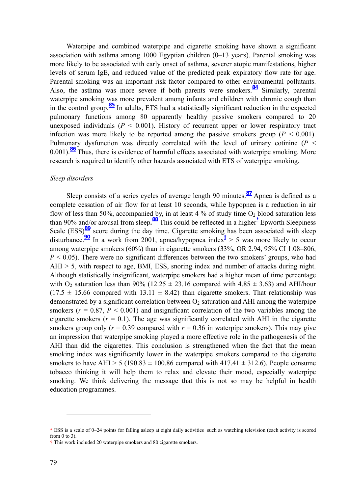Waterpipe and combined waterpipe and cigarette smoking have shown a significant association with asthma among 1000 Egyptian children (0–13 years). Parental smoking was more likely to be associated with early onset of asthma, severer atopic manifestations, higher levels of serum IgE, and reduced value of the predicted peak expiratory flow rate for age. Parental smoking was an important risk factor compared to other environmental pollutants. Also, the asthma was more severe if both parents were smokers.**84** Similarly, parental waterpipe smoking was more prevalent among infants and children with chronic cough than in the control group.**85** In adults, ETS had a statistically significant reduction in the expected pulmonary functions among 80 apparently healthy passive smokers compared to 20 unexposed individuals  $(P \le 0.001)$ . History of recurrent upper or lower respiratory tract infection was more likely to be reported among the passive smokers group ( $P < 0.001$ ). Pulmonary dysfunction was directly correlated with the level of urinary cotinine ( $P \leq$ 0.001).**86** Thus, there is evidence of harmful effects associated with waterpipe smoking. More research is required to identify other hazards associated with ETS of waterpipe smoking.

#### *Sleep disorders*

Sleep consists of a series cycles of average length 90 minutes.**87** Apnea is defined as a complete cessation of air flow for at least 10 seconds, while hypopnea is a reduction in air flow of less than 50%, accompanied by, in at least 4 % of study time  $O_2$  blood saturation less than 90% and/or arousal from sleep**. <sup>88</sup>** This could be reflected in a higher**\*** Epworth Sleepiness Scale (ESS)<sup>89</sup> score during the day time. Cigarette smoking has been associated with sleep disturbance.<sup>90</sup> In a work from 2001, apnea/hypopnea index<sup>†</sup> > 5 was more likely to occur among waterpipe smokers (60%) than in cigarette smokers (33%, OR 2.94, 95% CI 1.08–806,  $P < 0.05$ ). There were no significant differences between the two smokers' groups, who had AHI > 5, with respect to age, BMI, ESS, snoring index and number of attacks during night. Although statistically insignificant, waterpipe smokers had a higher mean of time percentage with O<sub>2</sub> saturation less than 90% (12.25  $\pm$  23.16 compared with 4.85  $\pm$  3.63) and AHI/hour  $(17.5 \pm 15.66$  compared with  $13.11 \pm 8.42$ ) than cigarette smokers. That relationship was demonstrated by a significant correlation between  $O_2$  saturation and AHI among the waterpipe smokers  $(r = 0.87, P < 0.001)$  and insignificant correlation of the two variables among the cigarette smokers  $(r = 0.1)$ . The age was significantly correlated with AHI in the cigarette smokers group only ( $r = 0.39$  compared with  $r = 0.36$  in waterpipe smokers). This may give an impression that waterpipe smoking played a more effective role in the pathogenesis of the AHI than did the cigarettes. This conclusion is strengthened when the fact that the mean smoking index was significantly lower in the waterpipe smokers compared to the cigarette smokers to have AHI > 5 (190.83  $\pm$  100.86 compared with 417.41  $\pm$  312.6). People consume tobacco thinking it will help them to relax and elevate their mood, especially waterpipe smoking. We think delivering the message that this is not so may be helpful in health education programmes.

 $\overline{a}$ 

**<sup>\*</sup>** ESS is a scale of 0–24 points for falling asleep at eight daily activities such as watching television (each activity is scored from 0 to 3).

**<sup>†</sup>** This work included 20 waterpipe smokers and 80 cigarette smokers.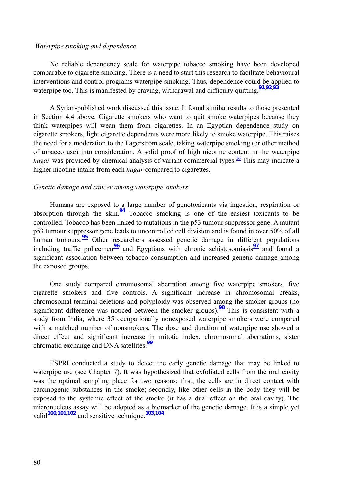#### *Waterpipe smoking and dependence*

No reliable dependency scale for waterpipe tobacco smoking have been developed comparable to cigarette smoking. There is a need to start this research to facilitate behavioural interventions and control programs waterpipe smoking. Thus, dependence could be applied to waterpipe too. This is manifested by craving, withdrawal and difficulty quitting.**91,92,<sup>93</sup>**

A Syrian-published work discussed this issue. It found similar results to those presented in Section 4.4 above. Cigarette smokers who want to quit smoke waterpipes because they think waterpipes will wean them from cigarettes. In an Egyptian dependence study on cigarette smokers, light cigarette dependents were more likely to smoke waterpipe. This raises the need for a moderation to the Fagerström scale, taking waterpipe smoking (or other method of tobacco use) into consideration. A solid proof of high nicotine content in the waterpipe *hagar* was provided by chemical analysis of variant commercial types.<sup>16</sup> This may indicate a higher nicotine intake from each *hagar* compared to cigarettes.

#### *Genetic damage and cancer among waterpipe smokers*

Humans are exposed to a large number of genotoxicants via ingestion, respiration or absorption through the skin.<sup>94</sup> Tobacco smoking is one of the easiest toxicants to be controlled. Tobacco has been linked to mutations in the p53 tumour suppressor gene. A mutant p53 tumour suppressor gene leads to uncontrolled cell division and is found in over 50% of all human tumours.<sup>95</sup> Other researchers assessed genetic damage in different populations including traffic policemen<sup>96</sup> and Egyptians with chronic schistosomiasis<sup>97</sup> and found a significant association between tobacco consumption and increased genetic damage among the exposed groups.

One study compared chromosomal aberration among five waterpipe smokers, five cigarette smokers and five controls. A significant increase in chromosomal breaks, chromosomal terminal deletions and polyploidy was observed among the smoker groups (no significant difference was noticed between the smoker groups).**98** This is consistent with a study from India, where 35 occupationally nonexposed waterpipe smokers were compared with a matched number of nonsmokers. The dose and duration of waterpipe use showed a direct effect and significant increase in mitotic index, chromosomal aberrations, sister chromatid exchange and DNA satellites.**<sup>99</sup>**

ESPRI conducted a study to detect the early genetic damage that may be linked to waterpipe use (see Chapter 7). It was hypothesized that exfoliated cells from the oral cavity was the optimal sampling place for two reasons: first, the cells are in direct contact with carcinogenic substances in the smoke; secondly, like other cells in the body they will be exposed to the systemic effect of the smoke (it has a dual effect on the oral cavity). The micronucleus assay will be adopted as a biomarker of the genetic damage. It is a simple yet valid**100,101,102** and sensitive technique.**103,<sup>104</sup>**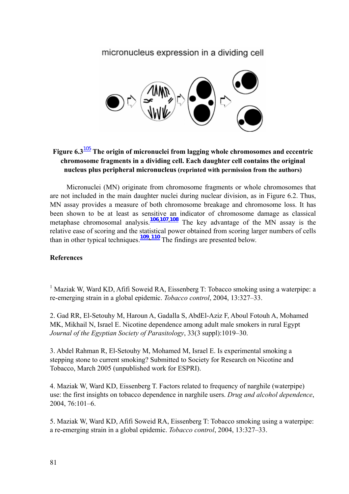# micronucleus expression in a dividing cell



# **Figure 6.3**105 **The origin of micronuclei from lagging whole chromosomes and eccentric chromosome fragments in a dividing cell. Each daughter cell contains the original nucleus plus peripheral micronucleus (reprinted with permission from the authors)**

Micronuclei (MN) originate from chromosome fragments or whole chromosomes that are not included in the main daughter nuclei during nuclear division, as in Figure 6.2. Thus, MN assay provides a measure of both chromosome breakage and chromosome loss. It has been shown to be at least as sensitive an indicator of chromosome damage as classical metaphase chromosomal analysis.**106,107,108** The key advantage of the MN assay is the relative ease of scoring and the statistical power obtained from scoring larger numbers of cells than in other typical techniques.**109, 110** The findings are presented below.

# **References**

<sup>1</sup> Maziak W, Ward KD, Afifi Soweid RA, Eissenberg T: Tobacco smoking using a waterpipe: a re-emerging strain in a global epidemic. *Tobacco control*, 2004, 13:327–33.

2. Gad RR, El-Setouhy M, Haroun A, Gadalla S, AbdEl-Aziz F, Aboul Fotouh A, Mohamed MK, Mikhail N, Israel E. Nicotine dependence among adult male smokers in rural Egypt *Journal of the Egyptian Society of Parasitology*, 33(3 suppl):1019–30.

3. Abdel Rahman R, El-Setouhy M, Mohamed M, Israel E. Is experimental smoking a stepping stone to current smoking? Submitted to Society for Research on Nicotine and Tobacco, March 2005 (unpublished work for ESPRI).

4. Maziak W, Ward KD, Eissenberg T. Factors related to frequency of narghile (waterpipe) use: the first insights on tobacco dependence in narghile users. *Drug and alcohol dependence*, 2004, 76:101–6.

5. Maziak W, Ward KD, Afifi Soweid RA, Eissenberg T: Tobacco smoking using a waterpipe: a re-emerging strain in a global epidemic. *Tobacco control*, 2004, 13:327–33.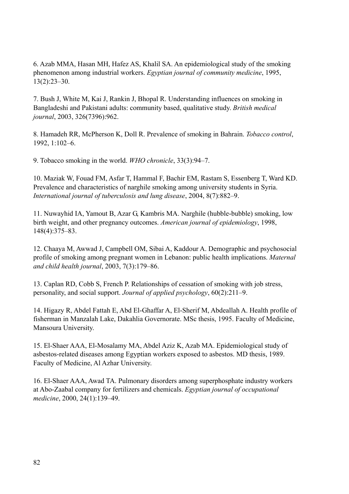6. Azab MMA, Hasan MH, Hafez AS, Khalil SA. An epidemiological study of the smoking phenomenon among industrial workers. *Egyptian journal of community medicine*, 1995, 13(2):23–30.

7. Bush J, White M, Kai J, Rankin J, Bhopal R. Understanding influences on smoking in Bangladeshi and Pakistani adults: community based, qualitative study. *British medical journal*, 2003, 326(7396):962.

8. Hamadeh RR, McPherson K, Doll R. Prevalence of smoking in Bahrain. *Tobacco control*, 1992, 1:102–6.

9. Tobacco smoking in the world. *WHO chronicle*, 33(3):94–7.

10. Maziak W, Fouad FM, Asfar T, Hammal F, Bachir EM, Rastam S, Essenberg T, Ward KD. Prevalence and characteristics of narghile smoking among university students in Syria. *International journal of tuberculosis and lung disease*, 2004, 8(7):882–9.

11. Nuwayhid IA, Yamout B, Azar G, Kambris MA. Narghile (hubble-bubble) smoking, low birth weight, and other pregnancy outcomes. *American journal of epidemiology*, 1998, 148(4):375–83.

12. Chaaya M, Awwad J, Campbell OM, Sibai A, Kaddour A. Demographic and psychosocial profile of smoking among pregnant women in Lebanon: public health implications. *Maternal and child health journal*, 2003, 7(3):179–86.

13. Caplan RD, Cobb S, French P. Relationships of cessation of smoking with job stress, personality, and social support. *Journal of applied psychology*, 60(2):211–9.

14. Higazy R, Abdel Fattah E, Abd El-Ghaffar A, El-Sherif M, Abdeallah A. Health profile of fisherman in Manzalah Lake, Dakahlia Governorate. MSc thesis, 1995. Faculty of Medicine, Mansoura University.

15. El-Shaer AAA, El-Mosalamy MA, Abdel Aziz K, Azab MA. Epidemiological study of asbestos-related diseases among Egyptian workers exposed to asbestos. MD thesis, 1989. Faculty of Medicine, Al Azhar University.

16. El-Shaer AAA, Awad TA. Pulmonary disorders among superphosphate industry workers at Abo-Zaabal company for fertilizers and chemicals. *Egyptian journal of occupational medicine*, 2000, 24(1):139–49.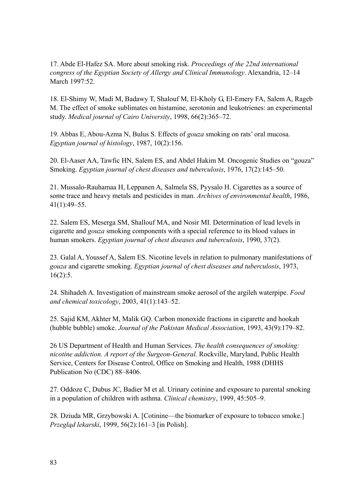17. Abde El-Hafez SA. More about smoking risk. *Proceedings of the 22nd international congress of the Egyptian Society of Allergy and Clinical Immunology*. Alexandria, 12–14 March 1997:52.

18. El-Shimy W, Madi M, Badawy T, Shalouf M, El-Kholy G, El-Emery FA, Salem A, Rageb M. The effect of smoke sublimates on histamine, serotonin and leukotrienes: an experimental study. *Medical journal of Cairo University*, 1998, 66(2):365–72.

19. Abbas E, Abou-Azma N, Bulus S. Effects of *gouza* smoking on rats' oral mucosa. *Egyptian journal of histology*, 1987, 10(2):156.

20. El-Aaser AA, Tawfic HN, Salem ES, and Abdel Hakim M. Oncogenic Studies on "gouza" Smoking. *Egyptian journal of chest diseases and tuberculosis*, 1976, 17(2):145–50.

21. Mussalo-Rauhamaa H, Leppanen A, Salmela SS, Pyysalo H. Cigarettes as a source of some trace and heavy metals and pesticides in man. *Archives of environmental health*, 1986, 41(1):49–55.

22. Salem ES, Meserga SM, Shallouf MA, and Nosir MI. Determination of lead levels in cigarette and *gouza* smoking components with a special reference to its blood values in human smokers. *Egyptian journal of chest diseases and tuberculosis*, 1990, 37(2).

23. Galal A, Youssef A, Salem ES. Nicotine levels in relation to pulmonary manifestations of *gouza* and cigarette smoking. *Egyptian journal of chest diseases and tuberculosis*, 1973, 16(2):5.

24. Shihadeh A. Investigation of mainstream smoke aerosol of the argileh waterpipe. *Food and chemical toxicology*, 2003, 41(1):143–52.

25. Sajid KM, Akhter M, Malik GQ. Carbon monoxide fractions in cigarette and hookah (hubble bubble) smoke. *Journal of the Pakistan Medical Association*, 1993, 43(9):179–82.

26 US Department of Health and Human Services. *The health consequences of smoking: nicotine addiction. A report of the Surgeon-General*. Rockville, Maryland, Public Health Service, Centers for Disease Control, Office on Smoking and Health, 1988 (DHHS Publication No (CDC) 88–8406.

27. Oddoze C, Dubus JC, Badier M et al. Urinary cotinine and exposure to parental smoking in a population of children with asthma. *Clinical chemistry*, 1999, 45:505–9.

28. Dziuda MR, Grzybowski A. [Cotinine—the biomarker of exposure to tobacco smoke.] *Przegląd lekarski*, 1999, 56(2):161–3 [in Polish].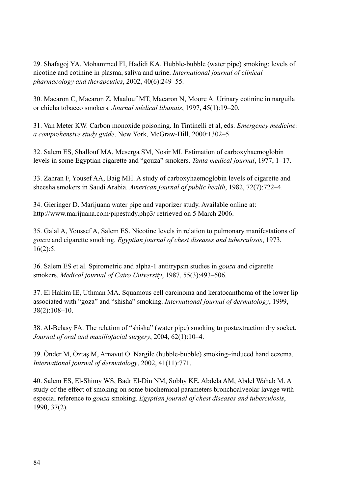29. Shafagoj YA, Mohammed FI, Hadidi KA. Hubble-bubble (water pipe) smoking: levels of nicotine and cotinine in plasma, saliva and urine. *International journal of clinical pharmacology and therapeutics*, 2002, 40(6):249–55.

30. Macaron C, Macaron Z, Maalouf MT, Macaron N, Moore A. Urinary cotinine in narguila or chicha tobacco smokers. *Journal médical libanais*, 1997, 45(1):19–20.

31. Van Meter KW. Carbon monoxide poisoning. In Tintinelli et al, eds. *Emergency medicine: a comprehensive study guide*. New York, McGraw-Hill, 2000:1302–5.

32. Salem ES, Shallouf MA, Meserga SM, Nosir MI. Estimation of carboxyhaemoglobin levels in some Egyptian cigarette and "gouza" smokers. *Tanta medical journal*, 1977, 1–17.

33. Zahran F, Yousef AA, Baig MH. A study of carboxyhaemoglobin levels of cigarette and sheesha smokers in Saudi Arabia. *American journal of public health*, 1982, 72(7):722–4.

34. Gieringer D. Marijuana water pipe and vaporizer study. Available online at: http://www.marijuana.com/pipestudy.php3/ retrieved on 5 March 2006.

35. Galal A, Youssef A, Salem ES. Nicotine levels in relation to pulmonary manifestations of *gouza* and cigarette smoking. *Egyptian journal of chest diseases and tuberculosis*, 1973, 16(2):5.

36. Salem ES et al. Spirometric and alpha-1 antitrypsin studies in *gouza* and cigarette smokers. *Medical journal of Cairo University*, 1987, 55(3):493–506.

37. El Hakim IE, Uthman MA. Squamous cell carcinoma and keratocanthoma of the lower lip associated with "goza" and "shisha" smoking. *International journal of dermatology*, 1999, 38(2):108–10.

38. Al-Belasy FA. The relation of "shisha" (water pipe) smoking to postextraction dry socket. *Journal of oral and maxillofacial surgery*, 2004, 62(1):10–4.

39. Önder M, Öztaş M, Arnavut O. Nargile (hubble-bubble) smoking–induced hand eczema. *International journal of dermatology*, 2002, 41(11):771.

40. Salem ES, El-Shimy WS, Badr El-Din NM, Sobhy KE, Abdela AM, Abdel Wahab M. A study of the effect of smoking on some biochemical parameters bronchoalveolar lavage with especial reference to *gouza* smoking. *Egyptian journal of chest diseases and tuberculosis*, 1990, 37(2).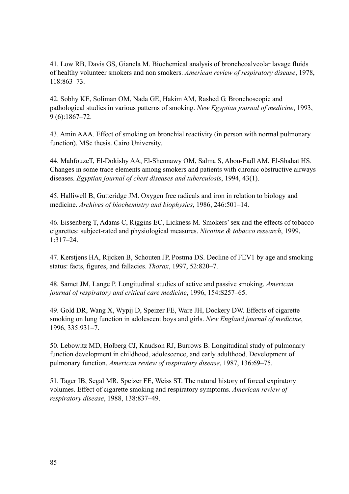41. Low RB, Davis GS, Giancla M. Biochemical analysis of broncheoalveolar lavage fluids of healthy volunteer smokers and non smokers. *American review of respiratory disease*, 1978, 118:863–73.

42. Sobhy KE, Soliman OM, Nada GE, Hakim AM, Rashed G. Bronchoscopic and pathological studies in various patterns of smoking. *New Egyptian journal of medicine*, 1993, 9 (6):1867–72.

43. Amin AAA. Effect of smoking on bronchial reactivity (in person with normal pulmonary function). MSc thesis. Cairo University.

44. MahfouzeT, El-Dokishy AA, El-Shennawy OM, Salma S, Abou-Fadl AM, El-Shahat HS. Changes in some trace elements among smokers and patients with chronic obstructive airways diseases. *Egyptian journal of chest diseases and tuberculosis*, 1994, 43(1).

45. Halliwell B, Gutteridge JM. Oxygen free radicals and iron in relation to biology and medicine. *Archives of biochemistry and biophysics*, 1986, 246:501–14.

46. Eissenberg T, Adams C, Riggins EC, Lickness M. Smokers' sex and the effects of tobacco cigarettes: subject-rated and physiological measures. *Nicotine & tobacco research*, 1999, 1:317–24.

47. Kerstjens HA, Rijcken B, Schouten JP, Postma DS. Decline of FEV1 by age and smoking status: facts, figures, and fallacies. *Thorax*, 1997, 52:820–7.

48. Samet JM, Lange P. Longitudinal studies of active and passive smoking. *American journal of respiratory and critical care medicine*, 1996, 154:S257–65.

49. Gold DR, Wang X, Wypij D, Speizer FE, Ware JH, Dockery DW. Effects of cigarette smoking on lung function in adolescent boys and girls. *New England journal of medicine*, 1996, 335:931–7.

50. Lebowitz MD, Holberg CJ, Knudson RJ, Burrows B. Longitudinal study of pulmonary function development in childhood, adolescence, and early adulthood. Development of pulmonary function. *American review of respiratory disease*, 1987, 136:69–75.

51. Tager IB, Segal MR, Speizer FE, Weiss ST. The natural history of forced expiratory volumes. Effect of cigarette smoking and respiratory symptoms. *American review of respiratory disease*, 1988, 138:837–49.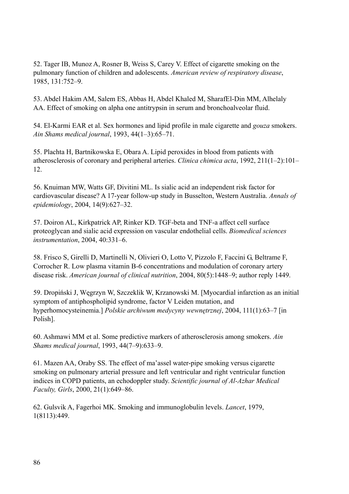52. Tager IB, Munoz A, Rosner B, Weiss S, Carey V. Effect of cigarette smoking on the pulmonary function of children and adolescents. *American review of respiratory disease*, 1985, 131:752–9.

53. Abdel Hakim AM, Salem ES, Abbas H, Abdel Khaled M, SharafEl-Din MM, Alhelaly AA. Effect of smoking on alpha one antitrypsin in serum and bronchoalveolar fluid.

54. El-Karmi EAR et al. Sex hormones and lipid profile in male cigarette and *gouza* smokers. *Ain Shams medical journal*, 1993, 44(1–3):65–71.

55. Plachta H, Bartnikowska E, Obara A. Lipid peroxides in blood from patients with atherosclerosis of coronary and peripheral arteries. *Clinica chimica acta*, 1992, 211(1–2):101– 12.

56. Knuiman MW, Watts GF, Divitini ML. Is sialic acid an independent risk factor for cardiovascular disease? A 17-year follow-up study in Busselton, Western Australia. *Annals of epidemiology*, 2004, 14(9):627–32.

57. Doiron AL, Kirkpatrick AP, Rinker KD. TGF-beta and TNF-a affect cell surface proteoglycan and sialic acid expression on vascular endothelial cells. *Biomedical sciences instrumentation*, 2004, 40:331–6.

58. Frisco S, Girelli D, Martinelli N, Olivieri O, Lotto V, Pizzolo F, Faccini G, Beltrame F, Corrocher R. Low plasma vitamin B-6 concentrations and modulation of coronary artery disease risk. *American journal of clinical nutrition*, 2004, 80(5):1448–9; author reply 1449.

59. Dropiński J, Węgrzyn W, Szczeklik W, Krzanowski M. [Myocardial infarction as an initial symptom of antiphospholipid syndrome, factor V Leiden mutation, and hyperhomocysteinemia.] *Polskie archiwum medycyny wewnętrznej*, 2004, 111(1):63–7 [in Polish].

60. Ashmawi MM et al. Some predictive markers of atherosclerosis among smokers. *Ain Shams medical journal*, 1993, 44(7–9):633–9.

61. Mazen AA, Oraby SS. The effect of ma'assel water-pipe smoking versus cigarette smoking on pulmonary arterial pressure and left ventricular and right ventricular function indices in COPD patients, an echodoppler study. *Scientific journal of Al-Azhar Medical Faculty, Girls*, 2000, 21(1):649–86.

62. Gulsvik A, Fagerhoi MK. Smoking and immunoglobulin levels. *Lancet*, 1979, 1(8113):449.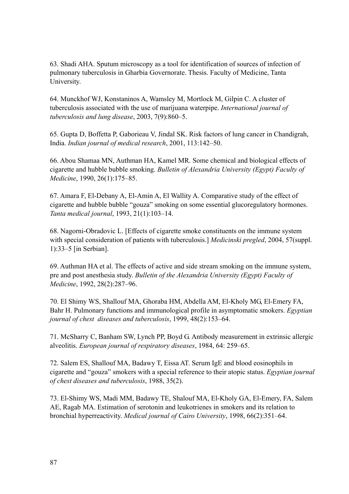63. Shadi AHA. Sputum microscopy as a tool for identification of sources of infection of pulmonary tuberculosis in Gharbia Governorate. Thesis. Faculty of Medicine, Tanta University.

64. Munckhof WJ, Konstaninos A, Wamsley M, Mortlock M, Gilpin C. A cluster of tuberculosis associated with the use of marijuana waterpipe. *International journal of tuberculosis and lung disease*, 2003, 7(9):860–5.

65. Gupta D, Boffetta P, Gaborieau V, Jindal SK. Risk factors of lung cancer in Chandigrah, India. *Indian journal of medical research*, 2001, 113:142–50.

66. Abou Shamaa MN, Authman HA, Kamel MR. Some chemical and biological effects of cigarette and hubble bubble smoking. *Bulletin of Alexandria University (Egypt) Faculty of Medicine*, 1990, 26(1):175–85.

67. Amara F, El-Debany A, El-Amin A, El Wallity A. Comparative study of the effect of cigarette and hubble bubble "gouza" smoking on some essential glucoregulatory hormones. *Tanta medical journal*, 1993, 21(1):103–14.

68. Nagorni-Obradovic L. [Effects of cigarette smoke constituents on the immune system with special consideration of patients with tuberculosis.] *Medicinski pregled*, 2004, 57(suppl. 1):33–5 [in Serbian].

69. Authman HA et al. The effects of active and side stream smoking on the immune system, pre and post anesthesia study. *Bulletin of the Alexandria University (Egypt) Faculty of Medicine*, 1992, 28(2):287–96.

70. El Shimy WS, Shallouf MA, Ghoraba HM, Abdella AM, El-Kholy MG, El-Emery FA, Bahr H. Pulmonary functions and immunological profile in asymptomatic smokers. *Egyptian journal of chest diseases and tuberculosis*, 1999, 48(2):153–64.

71. McSharry C, Banham SW, Lynch PP, Boyd G. Antibody measurement in extrinsic allergic alveolitis. *European journal of respiratory diseases*, 1984, 64: 259–65.

72. Salem ES, Shallouf MA, Badawy T, Eissa AT. Serum IgE and blood eosinophils in cigarette and "gouza" smokers with a special reference to their atopic status. *Egyptian journal of chest diseases and tuberculosis*, 1988, 35(2).

73. El-Shimy WS, Madi MM, Badawy TE, Shalouf MA, El-Kholy GA, El-Emery, FA, Salem AE, Ragab MA. Estimation of serotonin and leukotrienes in smokers and its relation to bronchial hyperreactivity. *Medical journal of Cairo University*, 1998, 66(2):351–64.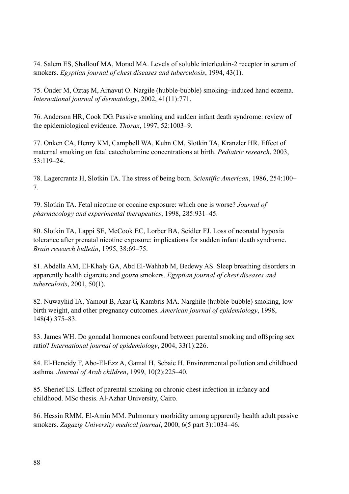74. Salem ES, Shallouf MA, Morad MA. Levels of soluble interleukin-2 receptor in serum of smokers. *Egyptian journal of chest diseases and tuberculosis*, 1994, 43(1).

75. Önder M, Öztaş M, Arnavut O. Nargile (hubble-bubble) smoking–induced hand eczema. *International journal of dermatology*, 2002, 41(11):771.

76. Anderson HR, Cook DG. Passive smoking and sudden infant death syndrome: review of the epidemiological evidence. *Thorax*, 1997, 52:1003–9.

77. Onken CA, Henry KM, Campbell WA, Kuhn CM, Slotkin TA, Kranzler HR. Effect of maternal smoking on fetal catecholamine concentrations at birth. *Pediatric research*, 2003, 53:119–24.

78. Lagercrantz H, Slotkin TA. The stress of being born. *Scientific American*, 1986, 254:100– 7.

79. Slotkin TA. Fetal nicotine or cocaine exposure: which one is worse? *Journal of pharmacology and experimental therapeutics*, 1998, 285:931–45.

80. Slotkin TA, Lappi SE, McCook EC, Lorber BA, Seidler FJ. Loss of neonatal hypoxia tolerance after prenatal nicotine exposure: implications for sudden infant death syndrome. *Brain research bulletin*, 1995, 38:69–75.

81. Abdella AM, El-Khaly GA, Abd El-Wahhab M, Bedewy AS. Sleep breathing disorders in apparently health cigarette and *gouza* smokers. *Egyptian journal of chest diseases and tuberculosis*, 2001, 50(1).

82. Nuwayhid IA, Yamout B, Azar G, Kambris MA. Narghile (hubble-bubble) smoking, low birth weight, and other pregnancy outcomes. *American journal of epidemiology*, 1998, 148(4):375–83.

83. James WH. Do gonadal hormones confound between parental smoking and offspring sex ratio? *International journal of epidemiology*, 2004, 33(1):226.

84. El-Heneidy F, Abo-El-Ezz A, Gamal H, Sebaie H. Environmental pollution and childhood asthma. *Journal of Arab children*, 1999, 10(2):225–40.

85. Sherief ES. Effect of parental smoking on chronic chest infection in infancy and childhood. MSc thesis. Al-Azhar University, Cairo.

86. Hessin RMM, El-Amin MM. Pulmonary morbidity among apparently health adult passive smokers. *Zagazig University medical journal*, 2000, 6(5 part 3):1034–46.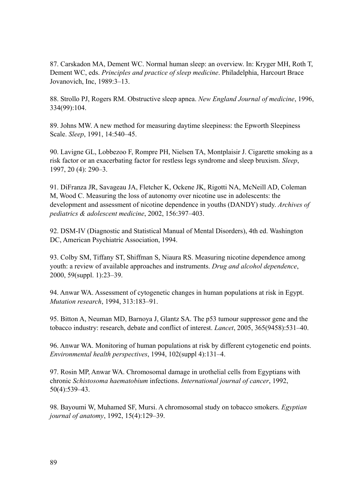87. Carskadon MA, Dement WC. Normal human sleep: an overview. In: Kryger MH, Roth T, Dement WC, eds. *Principles and practice of sleep medicine*. Philadelphia, Harcourt Brace Jovanovich, Inc, 1989:3–13.

88. Strollo PJ, Rogers RM. Obstructive sleep apnea. *New England Journal of medicine*, 1996, 334(99):104.

89. Johns MW. A new method for measuring daytime sleepiness: the Epworth Sleepiness Scale. *Sleep*, 1991, 14:540–45.

90. Lavigne GL, Lobbezoo F, Rompre PH, Nielsen TA, Montplaisir J. Cigarette smoking as a risk factor or an exacerbating factor for restless legs syndrome and sleep bruxism. *Sleep*, 1997, 20 (4): 290–3.

91. DiFranza JR, Savageau JA, Fletcher K, Ockene JK, Rigotti NA, McNeill AD, Coleman M, Wood C. Measuring the loss of autonomy over nicotine use in adolescents: the development and assessment of nicotine dependence in youths (DANDY) study. *Archives of pediatrics & adolescent medicine*, 2002, 156:397–403.

92. DSM-IV (Diagnostic and Statistical Manual of Mental Disorders), 4th ed. Washington DC, American Psychiatric Association, 1994.

93. Colby SM, Tiffany ST, Shiffman S, Niaura RS. Measuring nicotine dependence among youth: a review of available approaches and instruments. *Drug and alcohol dependence*, 2000, 59(suppl. 1):23–39.

94. Anwar WA. Assessment of cytogenetic changes in human populations at risk in Egypt. *Mutation research*, 1994, 313:183–91.

95. Bitton A, Neuman MD, Barnoya J, Glantz SA. The p53 tumour suppressor gene and the tobacco industry: research, debate and conflict of interest. *Lancet*, 2005, 365(9458):531–40.

96. Anwar WA. Monitoring of human populations at risk by different cytogenetic end points. *Environmental health perspectives*, 1994, 102(suppl 4):131–4.

97. Rosin MP, Anwar WA. Chromosomal damage in urothelial cells from Egyptians with chronic *Schistosoma haematobium* infections. *International journal of cancer*, 1992, 50(4):539–43.

98. Bayoumi W, Muhamed SF, Mursi. A chromosomal study on tobacco smokers. *Egyptian journal of anatomy*, 1992, 15(4):129–39.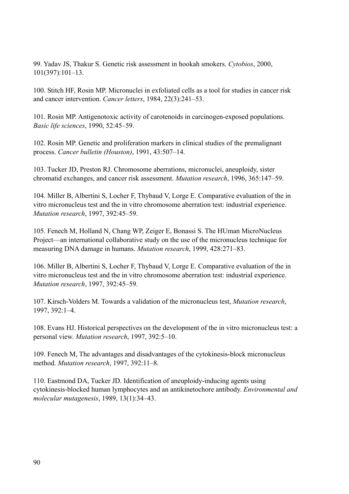99. Yadav JS, Thakur S. Genetic risk assessment in hookah smokers. *Cytobios*, 2000, 101(397):101–13.

100. Stitch HF, Rosin MP. Micronuclei in exfoliated cells as a tool for studies in cancer risk and cancer intervention. *Cancer letters*, 1984, 22(3):241–53.

101. Rosin MP. Antigenotoxic activity of carotenoids in carcinogen-exposed populations. *Basic life sciences*, 1990, 52:45–59.

102. Rosin MP. Genetic and proliferation markers in clinical studies of the premalignant process. *Cancer bulletin (Houston)*, 1991, 43:507–14.

103. Tucker JD, Preston RJ. Chromosome aberrations, micronuclei, aneuploidy, sister chromatid exchanges, and cancer risk assessment. *Mutation research*, 1996, 365:147–59.

104. Miller B, Albertini S, Locher F, Thybaud V, Lorge E. Comparative evaluation of the in vitro micronucleus test and the in vitro chromosome aberration test: industrial experience. *Mutation research*, 1997, 392:45–59.

105. Fenech M, Holland N, Chang WP, Zeiger E, Bonassi S. The HUman MicroNucleus Project—an international collaborative study on the use of the micronucleus technique for measuring DNA damage in humans. *Mutation research*, 1999, 428:271–83.

106. Miller B, Albertini S, Locher F, Thybaud V, Lorge E. Comparative evaluation of the in vitro micronucleus test and the in vitro chromosome aberration test: industrial experience. *Mutation research*, 1997, 392:45–59.

107. Kirsch-Volders M. Towards a validation of the micronucleus test, *Mutation research*, 1997, 392:1–4.

108. Evans HJ. Historical perspectives on the development of the in vitro micronucleus test: a personal view. *Mutation research*, 1997, 392:5–10.

109. Fenech M, The advantages and disadvantages of the cytokinesis-block micronucleus method. *Mutation research*, 1997, 392:11–8.

110. Eastmond DA, Tucker JD. Identification of aneuploidy-inducing agents using cytokinesis-blocked human lymphocytes and an antikinetochore antibody. *Environmental and molecular mutagenesis*, 1989, 13(1):34–43.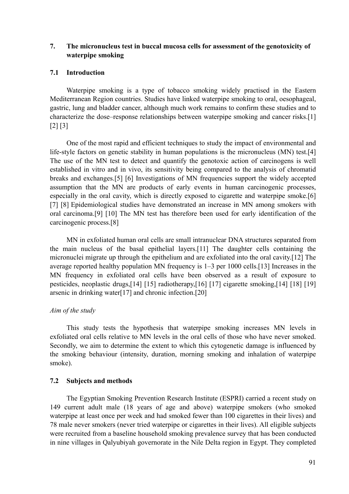## **7. The micronucleus test in buccal mucosa cells for assessment of the genotoxicity of waterpipe smoking**

## **7.1 Introduction**

Waterpipe smoking is a type of tobacco smoking widely practised in the Eastern Mediterranean Region countries. Studies have linked waterpipe smoking to oral, oesophageal, gastric, lung and bladder cancer, although much work remains to confirm these studies and to characterize the dose–response relationships between waterpipe smoking and cancer risks.[1] [2] [3]

One of the most rapid and efficient techniques to study the impact of environmental and life-style factors on genetic stability in human populations is the micronucleus (MN) test.[4] The use of the MN test to detect and quantify the genotoxic action of carcinogens is well established in vitro and in vivo, its sensitivity being compared to the analysis of chromatid breaks and exchanges.[5] [6] Investigations of MN frequencies support the widely accepted assumption that the MN are products of early events in human carcinogenic processes, especially in the oral cavity, which is directly exposed to cigarette and waterpipe smoke.[6] [7] [8] Epidemiological studies have demonstrated an increase in MN among smokers with oral carcinoma.[9] [10] The MN test has therefore been used for early identification of the carcinogenic process.[8]

MN in exfoliated human oral cells are small intranuclear DNA structures separated from the main nucleus of the basal epithelial layers.[11] The daughter cells containing the micronuclei migrate up through the epithelium and are exfoliated into the oral cavity.[12] The average reported healthy population MN frequency is 1–3 per 1000 cells.[13] Increases in the MN frequency in exfoliated oral cells have been observed as a result of exposure to pesticides, neoplastic drugs,[14] [15] radiotherapy,[16] [17] cigarette smoking,[14] [18] [19] arsenic in drinking water[17] and chronic infection.[20]

# *Aim of the study*

This study tests the hypothesis that waterpipe smoking increases MN levels in exfoliated oral cells relative to MN levels in the oral cells of those who have never smoked. Secondly, we aim to determine the extent to which this cytogenetic damage is influenced by the smoking behaviour (intensity, duration, morning smoking and inhalation of waterpipe smoke).

# **7.2 Subjects and methods**

The Egyptian Smoking Prevention Research Institute (ESPRI) carried a recent study on 149 current adult male (18 years of age and above) waterpipe smokers (who smoked waterpipe at least once per week and had smoked fewer than 100 cigarettes in their lives) and 78 male never smokers (never tried waterpipe or cigarettes in their lives). All eligible subjects were recruited from a baseline household smoking prevalence survey that has been conducted in nine villages in Qalyubiyah governorate in the Nile Delta region in Egypt. They completed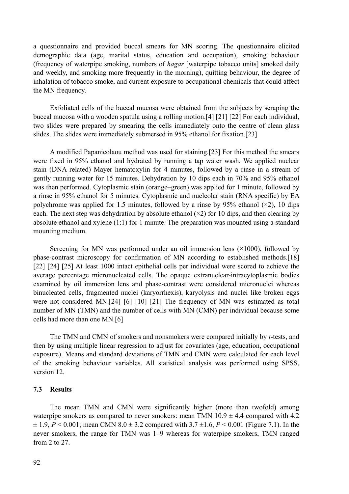a questionnaire and provided buccal smears for MN scoring. The questionnaire elicited demographic data (age, marital status, education and occupation), smoking behaviour (frequency of waterpipe smoking, numbers of *hagar* [waterpipe tobacco units] smoked daily and weekly, and smoking more frequently in the morning), quitting behaviour, the degree of inhalation of tobacco smoke, and current exposure to occupational chemicals that could affect the MN frequency.

Exfoliated cells of the buccal mucosa were obtained from the subjects by scraping the buccal mucosa with a wooden spatula using a rolling motion.[4] [21] [22] For each individual, two slides were prepared by smearing the cells immediately onto the centre of clean glass slides. The slides were immediately submersed in 95% ethanol for fixation.[23]

A modified Papanicolaou method was used for staining.[23] For this method the smears were fixed in 95% ethanol and hydrated by running a tap water wash. We applied nuclear stain (DNA related) Mayer hematoxylin for 4 minutes, followed by a rinse in a stream of gently running water for 15 minutes. Dehydration by 10 dips each in 70% and 95% ethanol was then performed. Cytoplasmic stain (orange–green) was applied for 1 minute, followed by a rinse in 95% ethanol for 5 minutes. Cytoplasmic and nucleolar stain (RNA specific) by EA polychrome was applied for 1.5 minutes, followed by a rinse by 95% ethanol  $(\times 2)$ , 10 dips each. The next step was dehydration by absolute ethanol  $(\times 2)$  for 10 dips, and then clearing by absolute ethanol and xylene (1:1) for 1 minute. The preparation was mounted using a standard mounting medium.

Screening for MN was performed under an oil immersion lens  $(\times 1000)$ , followed by phase-contrast microscopy for confirmation of MN according to established methods.[18] [22] [24] [25] At least 1000 intact epithelial cells per individual were scored to achieve the average percentage micronucleated cells. The opaque extranuclear-intracytoplasmic bodies examined by oil immersion lens and phase-contrast were considered micronuclei whereas binucleated cells, fragmented nuclei (karyorrhexis), karyolysis and nuclei like broken eggs were not considered MN.[24] [6] [10] [21] The frequency of MN was estimated as total number of MN (TMN) and the number of cells with MN (CMN) per individual because some cells had more than one MN.[6]

The TMN and CMN of smokers and nonsmokers were compared initially by *t*-tests, and then by using multiple linear regression to adjust for covariates (age, education, occupational exposure). Means and standard deviations of TMN and CMN were calculated for each level of the smoking behaviour variables. All statistical analysis was performed using SPSS, version 12.

#### **7.3 Results**

The mean TMN and CMN were significantly higher (more than twofold) among waterpipe smokers as compared to never smokers: mean TMN  $10.9 \pm 4.4$  compared with 4.2  $\pm$  1.9, *P* < 0.001; mean CMN 8.0  $\pm$  3.2 compared with 3.7  $\pm$ 1.6, *P* < 0.001 (Figure 7.1). In the never smokers, the range for TMN was 1–9 whereas for waterpipe smokers, TMN ranged from 2 to 27.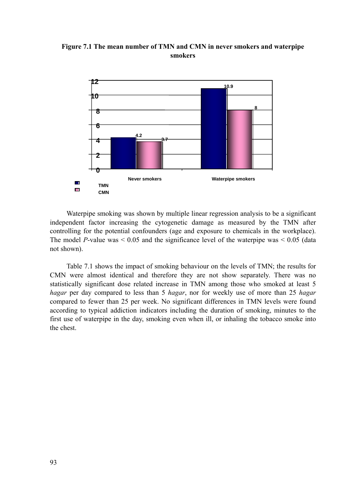

**Figure 7.1 The mean number of TMN and CMN in never smokers and waterpipe smokers** 

Waterpipe smoking was shown by multiple linear regression analysis to be a significant independent factor increasing the cytogenetic damage as measured by the TMN after controlling for the potential confounders (age and exposure to chemicals in the workplace). The model *P*-value was  $\leq 0.05$  and the significance level of the waterpipe was  $\leq 0.05$  (data not shown).

Table 7.1 shows the impact of smoking behaviour on the levels of TMN; the results for CMN were almost identical and therefore they are not show separately. There was no statistically significant dose related increase in TMN among those who smoked at least 5 *hagar* per day compared to less than 5 *hagar*, nor for weekly use of more than 25 *hagar* compared to fewer than 25 per week. No significant differences in TMN levels were found according to typical addiction indicators including the duration of smoking, minutes to the first use of waterpipe in the day, smoking even when ill, or inhaling the tobacco smoke into the chest.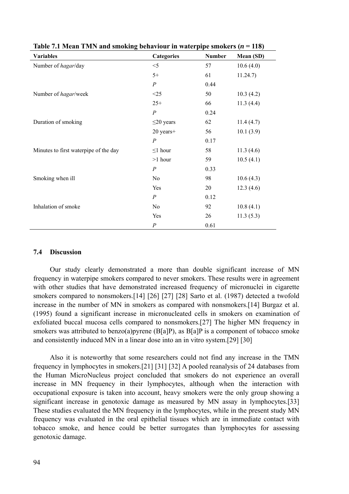| <b>Variables</b>                      | <b>Categories</b> | <b>Number</b> | Mean (SD) |
|---------------------------------------|-------------------|---------------|-----------|
| Number of hagar/day                   | $<$ 5             | 57            | 10.6(4.0) |
|                                       | $5+$              | 61            | 11.24.7)  |
|                                       | $\boldsymbol{P}$  | 0.44          |           |
| Number of hagar/week                  | <25               | 50            | 10.3(4.2) |
|                                       | $25+$             | 66            | 11.3(4.4) |
|                                       | $\boldsymbol{P}$  | 0.24          |           |
| Duration of smoking                   | $\leq$ 20 years   | 62            | 11.4(4.7) |
|                                       | 20 years+         | 56            | 10.1(3.9) |
|                                       | $\overline{P}$    | 0.17          |           |
| Minutes to first waterpipe of the day | $\leq$ 1 hour     | 58            | 11.3(4.6) |
|                                       | $>1$ hour         | 59            | 10.5(4.1) |
|                                       | $\boldsymbol{P}$  | 0.33          |           |
| Smoking when ill                      | No                | 98            | 10.6(4.3) |
|                                       | Yes               | 20            | 12.3(4.6) |
|                                       | $\overline{P}$    | 0.12          |           |
| Inhalation of smoke                   | N <sub>0</sub>    | 92            | 10.8(4.1) |
|                                       | Yes               | 26            | 11.3(5.3) |
|                                       | $\overline{P}$    | 0.61          |           |

**Table 7.1 Mean TMN and smoking behaviour in waterpipe smokers (***n* **= 118)** 

## **7.4 Discussion**

Our study clearly demonstrated a more than double significant increase of MN frequency in waterpipe smokers compared to never smokers. These results were in agreement with other studies that have demonstrated increased frequency of micronuclei in cigarette smokers compared to nonsmokers.[14] [26] [27] [28] Sarto et al. (1987) detected a twofold increase in the number of MN in smokers as compared with nonsmokers.[14] Burgaz et al. (1995) found a significant increase in micronucleated cells in smokers on examination of exfoliated buccal mucosa cells compared to nonsmokers.[27] The higher MN frequency in smokers was attributed to benzo(a)pyrene (B[a]P), as B[a]P is a component of tobacco smoke and consistently induced MN in a linear dose into an in vitro system.[29] [30]

Also it is noteworthy that some researchers could not find any increase in the TMN frequency in lymphocytes in smokers.[21] [31] [32] A pooled reanalysis of 24 databases from the Human MicroNucleus project concluded that smokers do not experience an overall increase in MN frequency in their lymphocytes, although when the interaction with occupational exposure is taken into account, heavy smokers were the only group showing a significant increase in genotoxic damage as measured by MN assay in lymphocytes.[33] These studies evaluated the MN frequency in the lymphocytes, while in the present study MN frequency was evaluated in the oral epithelial tissues which are in immediate contact with tobacco smoke, and hence could be better surrogates than lymphocytes for assessing genotoxic damage.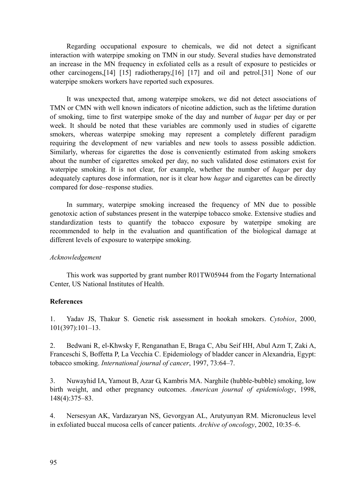Regarding occupational exposure to chemicals, we did not detect a significant interaction with waterpipe smoking on TMN in our study. Several studies have demonstrated an increase in the MN frequency in exfoliated cells as a result of exposure to pesticides or other carcinogens,[14] [15] radiotherapy,[16] [17] and oil and petrol.[31] None of our waterpipe smokers workers have reported such exposures.

It was unexpected that, among waterpipe smokers, we did not detect associations of TMN or CMN with well known indicators of nicotine addiction, such as the lifetime duration of smoking, time to first waterpipe smoke of the day and number of *hagar* per day or per week. It should be noted that these variables are commonly used in studies of cigarette smokers, whereas waterpipe smoking may represent a completely different paradigm requiring the development of new variables and new tools to assess possible addiction. Similarly, whereas for cigarettes the dose is conveniently estimated from asking smokers about the number of cigarettes smoked per day, no such validated dose estimators exist for waterpipe smoking. It is not clear, for example, whether the number of *hagar* per day adequately captures dose information, nor is it clear how *hagar* and cigarettes can be directly compared for dose–response studies.

In summary, waterpipe smoking increased the frequency of MN due to possible genotoxic action of substances present in the waterpipe tobacco smoke. Extensive studies and standardization tests to quantify the tobacco exposure by waterpipe smoking are recommended to help in the evaluation and quantification of the biological damage at different levels of exposure to waterpipe smoking.

## *Acknowledgement*

This work was supported by grant number R01TW05944 from the Fogarty International Center, US National Institutes of Health.

## **References**

1. Yadav JS, Thakur S. Genetic risk assessment in hookah smokers. *Cytobios*, 2000, 101(397):101–13.

2. Bedwani R, el-Khwsky F, Renganathan E, Braga C, Abu Seif HH, Abul Azm T, Zaki A, Franceschi S, Boffetta P, La Vecchia C. Epidemiology of bladder cancer in Alexandria, Egypt: tobacco smoking. *International journal of cancer*, 1997, 73:64–7.

3. Nuwayhid IA, Yamout B, Azar G, Kambris MA. Narghile (hubble-bubble) smoking, low birth weight, and other pregnancy outcomes. *American journal of epidemiology*, 1998, 148(4):375–83.

4. Nersesyan AK, Vardazaryan NS, Gevorgyan AL, Arutyunyan RM. Micronucleus level in exfoliated buccal mucosa cells of cancer patients. *Archive of oncology*, 2002, 10:35–6.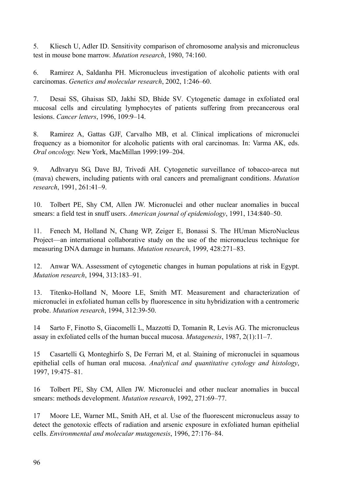5. Kliesch U, Adler ID. Sensitivity comparison of chromosome analysis and micronucleus test in mouse bone marrow. *Mutation research*, 1980, 74:160.

6. Ramirez A, Saldanha PH. Micronucleus investigation of alcoholic patients with oral carcinomas. *Genetics and molecular research*, 2002, 1:246–60.

7. Desai SS, Ghaisas SD, Jakhi SD, Bhide SV*.* Cytogenetic damage in exfoliated oral mucosal cells and circulating lymphocytes of patients suffering from precancerous oral lesions. *Cancer letters*, 1996, 109:9–14.

8. Ramirez A, Gattas GJF, Carvalho MB, et al. Clinical implications of micronuclei frequency as a biomonitor for alcoholic patients with oral carcinomas. In: Varma AK, eds. *Oral oncology.* New York, MacMillan 1999:199–204.

9. Adhvaryu SG, Dave BJ, Trivedi AH. Cytogenetic surveillance of tobacco-areca nut (mava) chewers, including patients with oral cancers and premalignant conditions. *Mutation research*, 1991, 261:41–9.

10. Tolbert PE, Shy CM, Allen JW. Micronuclei and other nuclear anomalies in buccal smears: a field test in snuff users. *American journal of epidemiology*, 1991, 134:840–50.

11. Fenech M, Holland N, Chang WP, Zeiger E, Bonassi S. The HUman MicroNucleus Project—an international collaborative study on the use of the micronucleus technique for measuring DNA damage in humans. *Mutation research*, 1999, 428:271–83.

12. Anwar WA. Assessment of cytogenetic changes in human populations at risk in Egypt. *Mutation research*, 1994, 313:183–91.

13. Titenko-Holland N, Moore LE, Smith MT. Measurement and characterization of micronuclei in exfoliated human cells by fluorescence in situ hybridization with a centromeric probe. *Mutation research*, 1994, 312:39-50.

14 Sarto F, Finotto S, Giacomelli L, Mazzotti D, Tomanin R, Levis AG. The micronucleus assay in exfoliated cells of the human buccal mucosa. *Mutagenesis*, 1987, 2(1):11–7.

15 Casartelli G, Monteghirfo S, De Ferrari M, et al. Staining of micronuclei in squamous epithelial cells of human oral mucosa. *Analytical and quantitative cytology and histology*, 1997, 19:475–81.

16 Tolbert PE, Shy CM, Allen JW. Micronuclei and other nuclear anomalies in buccal smears: methods development. *Mutation research*, 1992, 271:69–77.

17 Moore LE, Warner ML, Smith AH, et al. Use of the fluorescent micronucleus assay to detect the genotoxic effects of radiation and arsenic exposure in exfoliated human epithelial cells. *Environmental and molecular mutagenesis*, 1996, 27:176–84.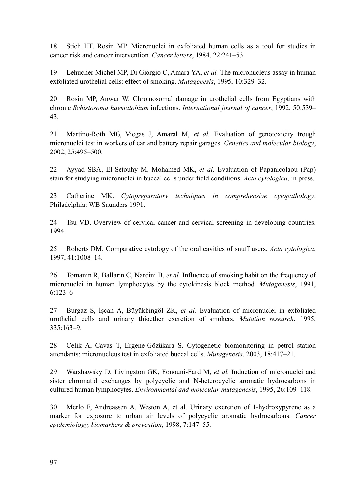18 Stich HF, Rosin MP. Micronuclei in exfoliated human cells as a tool for studies in cancer risk and cancer intervention. *Cancer letters*, 1984, 22:241–53.

19 Lehucher-Michel MP, Di Giorgio C, Amara YA, *et al.* The micronucleus assay in human exfoliated urothelial cells: effect of smoking. *Mutagenesis*, 1995, 10:329–32.

20 Rosin MP, Anwar W. Chromosomal damage in urothelial cells from Egyptians with chronic *Schistosoma haematobium* infections. *International journal of cancer*, 1992, 50:539– 43.

21 Martino-Roth MG, Viegas J, Amaral M, *et al.* Evaluation of genotoxicity trough micronuclei test in workers of car and battery repair garages. *Genetics and molecular biology*, 2002, 25:495–500.

22 Ayyad SBA, El-Setouhy M, Mohamed MK, *et al.* Evaluation of Papanicolaou (Pap) stain for studying micronuclei in buccal cells under field conditions. *Acta cytologica*, in press.

23 Catherine MK. *Cytopreparatory techniques in comprehensive cytopathology*. Philadelphia: WB Saunders 1991.

24 Tsu VD. Overview of cervical cancer and cervical screening in developing countries. 1994.

25 Roberts DM. Comparative cytology of the oral cavities of snuff users. *Acta cytologica*, 1997, 41:1008–14.

26 Tomanin R, Ballarin C, Nardini B, *et al.* Influence of smoking habit on the frequency of micronuclei in human lymphocytes by the cytokinesis block method. *Mutagenesis*, 1991, 6:123–6

27 Burgaz S, İşcan A, Büyükbingöl ZK, *et al.* Evaluation of micronuclei in exfoliated urothelial cells and urinary thioether excretion of smokers. *Mutation research*, 1995, 335:163–9.

28 Çelik A, Cavas T, Ergene-Gözükara S. Cytogenetic biomonitoring in petrol station attendants: micronucleus test in exfoliated buccal cells. *Mutagenesis*, 2003, 18:417–21.

29 Warshawsky D, Livingston GK, Fonouni-Fard M, *et al.* Induction of micronuclei and sister chromatid exchanges by polycyclic and N-heterocyclic aromatic hydrocarbons in cultured human lymphocytes. *Environmental and molecular mutagenesis*, 1995, 26:109–118.

30 Merlo F, Andreassen A, Weston A, et al. Urinary excretion of 1-hydroxypyrene as a marker for exposure to urban air levels of polycyclic aromatic hydrocarbons. *Cancer epidemiology, biomarkers & prevention*, 1998, 7:147–55.